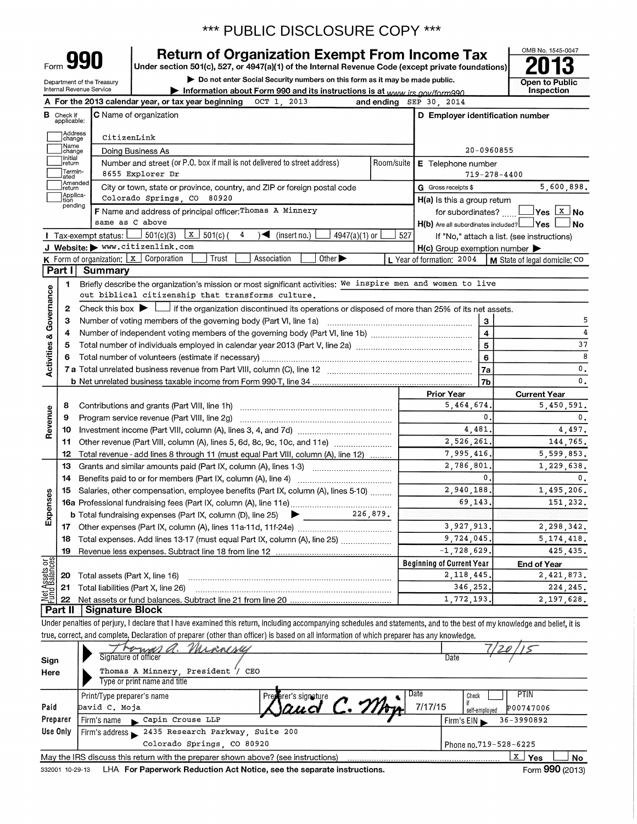| Form ' | no<br>I |
|--------|---------|
|        |         |

Preparer

Use Only

Firm's name

Firm's address

ĥ.

### **Return of Organization Exempt From Income Tax**

Under section 501(c), 527, or 4947(a)(1) of the Internal Revenue Code (except private foundations)

Do not enter Social Security numbers on this form as it may be made public.



|                         | Department of the Treasury<br>Internal Revenue Service    | $\blacktriangleright$ Do not enter Social Security numbers on this form as it may be made public.                                                                          |            |                                                           | Open to Public<br>Inspection |  |  |  |  |
|-------------------------|-----------------------------------------------------------|----------------------------------------------------------------------------------------------------------------------------------------------------------------------------|------------|-----------------------------------------------------------|------------------------------|--|--|--|--|
|                         |                                                           | Information about Form 990 and its instructions is at www.irs.gov/form990.<br>A For the 2013 calendar year, or tax year beginning<br>OCT 1.<br>2013                        |            | and ending SEP 30, 2014                                   |                              |  |  |  |  |
|                         | <b>B</b> Check if                                         | C Name of organization                                                                                                                                                     |            | D Employer identification number                          |                              |  |  |  |  |
|                         | applicable:                                               |                                                                                                                                                                            |            |                                                           |                              |  |  |  |  |
|                         | Address<br> change                                        | CitizenLink                                                                                                                                                                |            |                                                           |                              |  |  |  |  |
|                         | Name<br>change                                            | Doing Business As                                                                                                                                                          | 20-0960855 |                                                           |                              |  |  |  |  |
|                         | Initial<br>return                                         | Number and street (or P.O. box if mail is not delivered to street address)                                                                                                 | Room/suite | E Telephone number                                        |                              |  |  |  |  |
|                         | Termin-<br>ated<br>8655 Explorer Dr<br>$719 - 278 - 4400$ |                                                                                                                                                                            |            |                                                           |                              |  |  |  |  |
|                         | Amended<br>return                                         | City or town, state or province, country, and ZIP or foreign postal code                                                                                                   |            | G Gross receipts \$                                       | 5,600,898.                   |  |  |  |  |
|                         | Applica-<br>Ition                                         | Colorado Springs CO 80920                                                                                                                                                  |            | H(a) Is this a group return                               |                              |  |  |  |  |
|                         | pending                                                   | F Name and address of principal officer: Thomas A Minnery                                                                                                                  |            | for subordinates?                                         | $\Box$ Yes $\Box$ No         |  |  |  |  |
|                         |                                                           | same as C above                                                                                                                                                            |            | $H(b)$ Are all subordinates included? $\Box$ Yes $\Box$   | $\Box$ No                    |  |  |  |  |
|                         |                                                           | 501(c)(3)<br>  X<br>4<br>$\sqrt{\bullet}$ (insert no.)<br>Tax-exempt status: $\mathsf{\mathsf{L}}$<br>$501(c)$ (<br>$4947(a)(1)$ or                                        | 527        | If "No," attach a list. (see instructions)                |                              |  |  |  |  |
|                         |                                                           | J Website: > www.citizenlink.com                                                                                                                                           |            | $H(c)$ Group exemption number $\blacktriangleright$       |                              |  |  |  |  |
|                         |                                                           | <b>K</b> Form of organization: $\boxed{x}$ Corporation<br>Association<br>Other $\blacktriangleright$<br>Trust                                                              |            | L Year of formation: 2004   M State of legal domicile: CO |                              |  |  |  |  |
|                         | Part II                                                   | Summary                                                                                                                                                                    |            |                                                           |                              |  |  |  |  |
|                         | 1                                                         | Briefly describe the organization's mission or most significant activities: We inspire men and women to live                                                               |            |                                                           |                              |  |  |  |  |
|                         |                                                           | out biblical citizenship that transforms culture.                                                                                                                          |            |                                                           |                              |  |  |  |  |
| Governance              | 2                                                         | Check this box $\blacktriangleright$ $\Box$ if the organization discontinued its operations or disposed of more than 25% of its net assets.                                |            |                                                           |                              |  |  |  |  |
|                         | З                                                         |                                                                                                                                                                            |            | $\mathbf{3}$                                              | 5                            |  |  |  |  |
|                         | 4                                                         |                                                                                                                                                                            |            | $\overline{\mathbf{4}}$                                   | 4                            |  |  |  |  |
| <b>Activities &amp;</b> | 5                                                         |                                                                                                                                                                            |            | ${\bf 5}$                                                 | 37                           |  |  |  |  |
|                         | 6                                                         |                                                                                                                                                                            |            | $6\phantom{1}$                                            | 8                            |  |  |  |  |
|                         |                                                           |                                                                                                                                                                            |            | 7a                                                        | $\mathfrak o$ .              |  |  |  |  |
|                         |                                                           |                                                                                                                                                                            |            | 7b                                                        | $^{\rm o}$ .                 |  |  |  |  |
|                         |                                                           |                                                                                                                                                                            |            | <b>Prior Year</b>                                         | <b>Current Year</b>          |  |  |  |  |
|                         | 8                                                         |                                                                                                                                                                            |            | 5,464,674.                                                | 5,450,591.                   |  |  |  |  |
| Revenue                 | 9                                                         |                                                                                                                                                                            |            | 0.                                                        | 0.                           |  |  |  |  |
|                         | 10                                                        |                                                                                                                                                                            |            | 4,481.                                                    | 4,497.                       |  |  |  |  |
|                         | 11                                                        | Other revenue (Part VIII, column (A), lines 5, 6d, 8c, 9c, 10c, and 11e)                                                                                                   |            | 2,526,261.                                                | 144,765.                     |  |  |  |  |
|                         | 12                                                        | Total revenue - add lines 8 through 11 (must equal Part VIII, column (A), line 12)                                                                                         |            | 7,995,416.                                                | 5,599,853.                   |  |  |  |  |
|                         | 13                                                        | Grants and similar amounts paid (Part IX, column (A), lines 1-3)                                                                                                           |            | 2,786,801                                                 | 1,229,638.                   |  |  |  |  |
|                         | 14                                                        |                                                                                                                                                                            |            | $\mathbf{0}$ .                                            | $\mathbf{0}$ .               |  |  |  |  |
|                         | 15                                                        | Salaries, other compensation, employee benefits (Part IX, column (A), lines 5-10)                                                                                          |            | 2,940,188.                                                | 1,495,206.                   |  |  |  |  |
| Expenses                |                                                           |                                                                                                                                                                            |            | 69,143.                                                   | 151,232.                     |  |  |  |  |
|                         |                                                           | 226.879.<br><b>b</b> Total fundraising expenses (Part IX, column (D), line 25) $\blacktriangleright$                                                                       |            |                                                           |                              |  |  |  |  |
|                         |                                                           |                                                                                                                                                                            |            | 3,927,913.                                                | 2,298,342.                   |  |  |  |  |
|                         |                                                           | 18 Total expenses. Add lines 13-17 (must equal Part IX, column (A), line 25)                                                                                               |            | 9,724,045.                                                | 5, 174, 418.                 |  |  |  |  |
|                         | 19                                                        |                                                                                                                                                                            |            | $-1, 728, 629.$                                           | 425,435.                     |  |  |  |  |
| Net Assets or           |                                                           |                                                                                                                                                                            |            | <b>Beginning of Current Year</b>                          | <b>End of Year</b>           |  |  |  |  |
|                         | 20                                                        | Total assets (Part X, line 16)                                                                                                                                             |            | 2, 118, 445                                               | 2,421,873.                   |  |  |  |  |
|                         | 21                                                        | Total liabilities (Part X, line 26)                                                                                                                                        |            | 346.252.                                                  | 224, 245.                    |  |  |  |  |
|                         | 22                                                        | Net assets or fund balances. Subtract line 21 from line 20                                                                                                                 |            | 1,772,193.                                                | 2,197,628.                   |  |  |  |  |
|                         | Part II                                                   | <b>Signature Block</b>                                                                                                                                                     |            |                                                           |                              |  |  |  |  |
|                         |                                                           | Under penalties of perjury, I declare that I have examined this return, including accompanying schedules and statements, and to the best of my knowledge and belief, it is |            |                                                           |                              |  |  |  |  |
|                         |                                                           | true, correct, and complete. Declaration of preparer (other than officer) is based on all information of which preparer has any knowledge.                                 |            |                                                           |                              |  |  |  |  |
|                         |                                                           | Minimeses<br>Signature of officer                                                                                                                                          |            | Date                                                      |                              |  |  |  |  |
| Sign                    |                                                           |                                                                                                                                                                            |            |                                                           |                              |  |  |  |  |
| Here                    |                                                           | Thomas A Minnery, President<br>CEO<br>Type or print name and title                                                                                                         |            |                                                           |                              |  |  |  |  |
|                         |                                                           |                                                                                                                                                                            |            | Date                                                      | <b>PTIN</b>                  |  |  |  |  |
| Paid                    |                                                           | Print/Type preparer's name<br>Preparer's signature<br>$C_{\alpha}$<br>$\alpha$ is all.<br>David C. Moja                                                                    |            | Check<br>if<br>7/17/15                                    | <b>P00747006</b>             |  |  |  |  |

2435 Research Parkway, Suite 200

Capin Crouse LLP

∫ No

36-3990892

 $X$  Yes

Firm's EIN

Phone no.719-528-6225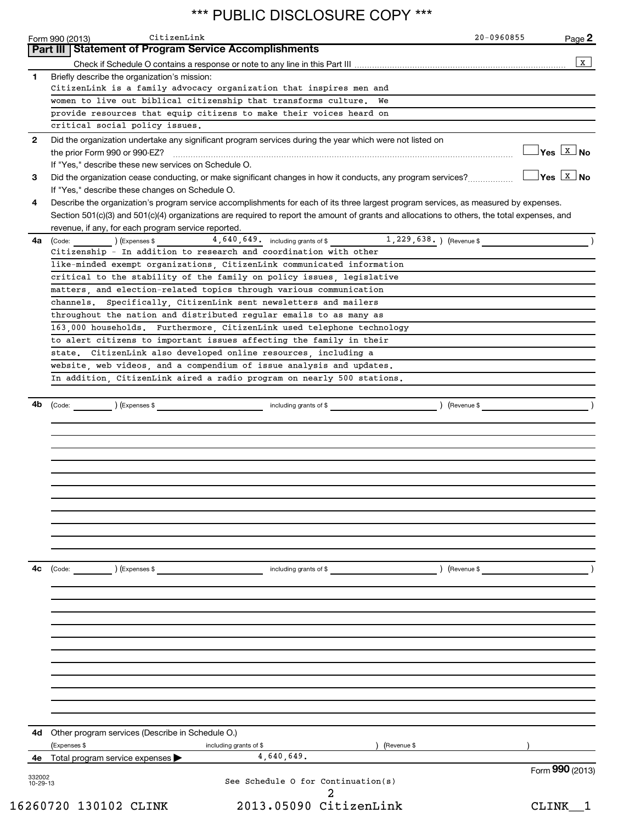|              | CitizenLink<br>Form 990 (2013)<br>Part III   Statement of Program Service Accomplishments                                                                                                                                                    | 20-0960855 | Page 2                                  |
|--------------|----------------------------------------------------------------------------------------------------------------------------------------------------------------------------------------------------------------------------------------------|------------|-----------------------------------------|
|              |                                                                                                                                                                                                                                              |            | X                                       |
| 1            | Briefly describe the organization's mission:                                                                                                                                                                                                 |            |                                         |
|              | CitizenLink is a family advocacy organization that inspires men and                                                                                                                                                                          |            |                                         |
|              | women to live out biblical citizenship that transforms culture.<br>We                                                                                                                                                                        |            |                                         |
|              | provide resources that equip citizens to make their voices heard on                                                                                                                                                                          |            |                                         |
|              | critical social policy issues.                                                                                                                                                                                                               |            |                                         |
| $\mathbf{2}$ | Did the organization undertake any significant program services during the year which were not listed on                                                                                                                                     |            |                                         |
|              |                                                                                                                                                                                                                                              |            | $\frac{1}{2}$ Yes $\boxed{\text{x}}$ No |
|              | If "Yes," describe these new services on Schedule O.                                                                                                                                                                                         |            |                                         |
| 3            | Did the organization cease conducting, or make significant changes in how it conducts, any program services?                                                                                                                                 |            | $Yes \overline{X}$ No                   |
|              | If "Yes," describe these changes on Schedule O.                                                                                                                                                                                              |            |                                         |
| 4            | Describe the organization's program service accomplishments for each of its three largest program services, as measured by expenses.                                                                                                         |            |                                         |
|              | Section 501(c)(3) and 501(c)(4) organizations are required to report the amount of grants and allocations to others, the total expenses, and                                                                                                 |            |                                         |
|              | revenue, if any, for each program service reported.                                                                                                                                                                                          |            |                                         |
| 4a           | $\begin{array}{ccc} \text{(Code:} & \text{________} \end{array}$ (Expenses \$ $\begin{array}{ccc} 4,640,649 \\ \text{________} \end{array}$ including grants of \$ $\begin{array}{ccc} 1,229,638 \\ \text{________} \end{array}$ (Revenue \$ |            |                                         |
|              | Citizenship - In addition to research and coordination with other                                                                                                                                                                            |            |                                         |
|              | like-minded exempt organizations, CitizenLink communicated information                                                                                                                                                                       |            |                                         |
|              | critical to the stability of the family on policy issues, legislative                                                                                                                                                                        |            |                                         |
|              | matters, and election-related topics through various communication                                                                                                                                                                           |            |                                         |
|              |                                                                                                                                                                                                                                              |            |                                         |
|              | channels. Specifically, CitizenLink sent newsletters and mailers                                                                                                                                                                             |            |                                         |
|              | throughout the nation and distributed regular emails to as many as                                                                                                                                                                           |            |                                         |
|              | 163,000 households. Furthermore, CitizenLink used telephone technology                                                                                                                                                                       |            |                                         |
|              | to alert citizens to important issues affecting the family in their                                                                                                                                                                          |            |                                         |
|              | state. CitizenLink also developed online resources including a                                                                                                                                                                               |            |                                         |
|              | website, web videos, and a compendium of issue analysis and updates.                                                                                                                                                                         |            |                                         |
|              | In addition, CitizenLink aired a radio program on nearly 500 stations.                                                                                                                                                                       |            |                                         |
|              |                                                                                                                                                                                                                                              |            |                                         |
|              |                                                                                                                                                                                                                                              |            |                                         |
|              |                                                                                                                                                                                                                                              |            |                                         |
| 4с           | (Code:<br>) (Expenses \$<br>including grants of \$<br>) (Revenue \$                                                                                                                                                                          |            |                                         |
|              |                                                                                                                                                                                                                                              |            |                                         |
|              |                                                                                                                                                                                                                                              |            |                                         |
|              |                                                                                                                                                                                                                                              |            |                                         |
|              |                                                                                                                                                                                                                                              |            |                                         |
|              |                                                                                                                                                                                                                                              |            |                                         |
| 4d           | Other program services (Describe in Schedule O.)                                                                                                                                                                                             |            |                                         |
|              | (Expenses \$<br>including grants of \$<br>(Revenue \$                                                                                                                                                                                        |            |                                         |
| 4е           | 4,640,649.<br>Total program service expenses                                                                                                                                                                                                 |            |                                         |
| 332002       |                                                                                                                                                                                                                                              |            | Form 990 (2013)                         |
| 10-29-13     | See Schedule O for Continuation(s)                                                                                                                                                                                                           |            |                                         |
|              | 2013.05090 CitizenLink<br>16260720 130102 CLINK                                                                                                                                                                                              |            |                                         |
|              |                                                                                                                                                                                                                                              |            | CLINK <sub>1</sub>                      |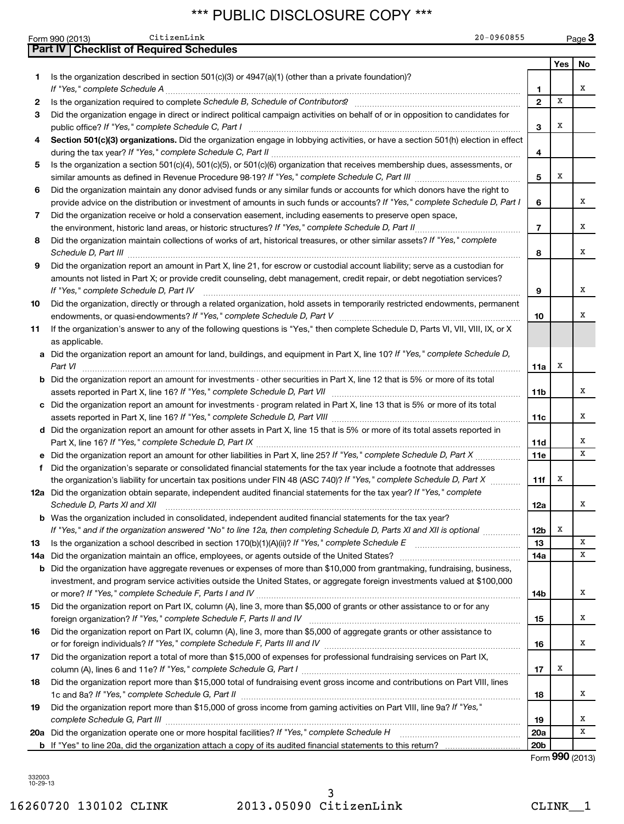| Part IV   Checklist of Required Schedules<br>Is the organization described in section $501(c)(3)$ or $4947(a)(1)$ (other than a private foundation)?<br>1.<br>2                                                                                                                                                                                                           | 1<br>$\overline{2}$<br>3 | Yes<br>x | No<br>x |
|---------------------------------------------------------------------------------------------------------------------------------------------------------------------------------------------------------------------------------------------------------------------------------------------------------------------------------------------------------------------------|--------------------------|----------|---------|
|                                                                                                                                                                                                                                                                                                                                                                           |                          |          |         |
|                                                                                                                                                                                                                                                                                                                                                                           |                          |          |         |
|                                                                                                                                                                                                                                                                                                                                                                           |                          |          |         |
|                                                                                                                                                                                                                                                                                                                                                                           |                          |          |         |
|                                                                                                                                                                                                                                                                                                                                                                           |                          |          |         |
| 3<br>Did the organization engage in direct or indirect political campaign activities on behalf of or in opposition to candidates for                                                                                                                                                                                                                                      |                          |          |         |
|                                                                                                                                                                                                                                                                                                                                                                           |                          | x        |         |
| Section 501(c)(3) organizations. Did the organization engage in lobbying activities, or have a section 501(h) election in effect<br>4                                                                                                                                                                                                                                     | 4                        |          |         |
| Is the organization a section 501(c)(4), 501(c)(5), or 501(c)(6) organization that receives membership dues, assessments, or<br>5                                                                                                                                                                                                                                         |                          |          |         |
|                                                                                                                                                                                                                                                                                                                                                                           | 5                        | х        |         |
| Did the organization maintain any donor advised funds or any similar funds or accounts for which donors have the right to<br>6                                                                                                                                                                                                                                            |                          |          |         |
| provide advice on the distribution or investment of amounts in such funds or accounts? If "Yes," complete Schedule D, Part I                                                                                                                                                                                                                                              | 6                        |          | х       |
| Did the organization receive or hold a conservation easement, including easements to preserve open space,<br>7                                                                                                                                                                                                                                                            |                          |          |         |
|                                                                                                                                                                                                                                                                                                                                                                           | $\overline{7}$           |          | х       |
| Did the organization maintain collections of works of art, historical treasures, or other similar assets? If "Yes," complete<br>8<br>Schedule D, Part III <b>Marting Community Contract Contract Contract Contract Contract Contract Contract Contract Contract Contract Contract Contract Contract Contract Contract Contract Contract Contract Contract Contract Co</b> | 8                        |          | x       |
| Did the organization report an amount in Part X, line 21, for escrow or custodial account liability; serve as a custodian for<br>9                                                                                                                                                                                                                                        |                          |          |         |
| amounts not listed in Part X; or provide credit counseling, debt management, credit repair, or debt negotiation services?<br>If "Yes," complete Schedule D, Part IV                                                                                                                                                                                                       | 9                        |          | х       |
| Did the organization, directly or through a related organization, hold assets in temporarily restricted endowments, permanent<br>10                                                                                                                                                                                                                                       |                          |          |         |
|                                                                                                                                                                                                                                                                                                                                                                           | 10                       |          | х       |
| If the organization's answer to any of the following questions is "Yes," then complete Schedule D, Parts VI, VII, VIII, IX, or X<br>11                                                                                                                                                                                                                                    |                          |          |         |
| as applicable.                                                                                                                                                                                                                                                                                                                                                            |                          |          |         |
| a Did the organization report an amount for land, buildings, and equipment in Part X, line 10? If "Yes," complete Schedule D,<br>Part VI                                                                                                                                                                                                                                  | 11a                      | x        |         |
| <b>b</b> Did the organization report an amount for investments - other securities in Part X, line 12 that is 5% or more of its total                                                                                                                                                                                                                                      |                          |          |         |
| assets reported in Part X, line 16? If "Yes," complete Schedule D, Part VII [[[[[[[[[[[[[[[[[[[[[[[[[[[[[[]]]]                                                                                                                                                                                                                                                            | 11b                      |          | x       |
| c Did the organization report an amount for investments - program related in Part X, line 13 that is 5% or more of its total                                                                                                                                                                                                                                              |                          |          |         |
|                                                                                                                                                                                                                                                                                                                                                                           | 11c                      |          | х       |
| d Did the organization report an amount for other assets in Part X, line 15 that is 5% or more of its total assets reported in                                                                                                                                                                                                                                            |                          |          |         |
|                                                                                                                                                                                                                                                                                                                                                                           | 11d                      |          | х       |
|                                                                                                                                                                                                                                                                                                                                                                           | 11e                      |          | x       |
| Did the organization's separate or consolidated financial statements for the tax year include a footnote that addresses<br>f                                                                                                                                                                                                                                              |                          |          |         |
| the organization's liability for uncertain tax positions under FIN 48 (ASC 740)? If "Yes," complete Schedule D, Part X                                                                                                                                                                                                                                                    | 11f                      | х        |         |
| 12a Did the organization obtain separate, independent audited financial statements for the tax year? If "Yes," complete<br>Schedule D, Parts XI and XII                                                                                                                                                                                                                   | 12a                      |          | x       |
| <b>b</b> Was the organization included in consolidated, independent audited financial statements for the tax year?                                                                                                                                                                                                                                                        |                          |          |         |
| If "Yes," and if the organization answered "No" to line 12a, then completing Schedule D, Parts XI and XII is optional <i>www.www</i>                                                                                                                                                                                                                                      | 12 <sub>b</sub>          | х        |         |
| Is the organization a school described in section 170(b)(1)(A)(ii)? If "Yes," complete Schedule E [ [ [ [ [ [ [ [ [ ] ]]]<br>13                                                                                                                                                                                                                                           | 13                       |          | X       |
| 14a                                                                                                                                                                                                                                                                                                                                                                       | 14a                      |          | х       |
| <b>b</b> Did the organization have aggregate revenues or expenses of more than \$10,000 from grantmaking, fundraising, business,                                                                                                                                                                                                                                          |                          |          |         |
| investment, and program service activities outside the United States, or aggregate foreign investments valued at \$100,000                                                                                                                                                                                                                                                |                          |          |         |
|                                                                                                                                                                                                                                                                                                                                                                           | 14b                      |          | х       |
| Did the organization report on Part IX, column (A), line 3, more than \$5,000 of grants or other assistance to or for any<br>15                                                                                                                                                                                                                                           |                          |          |         |
|                                                                                                                                                                                                                                                                                                                                                                           | 15                       |          | х       |
| Did the organization report on Part IX, column (A), line 3, more than \$5,000 of aggregate grants or other assistance to<br>16                                                                                                                                                                                                                                            |                          |          |         |
|                                                                                                                                                                                                                                                                                                                                                                           | 16                       |          | x       |
| Did the organization report a total of more than \$15,000 of expenses for professional fundraising services on Part IX,<br>17                                                                                                                                                                                                                                             |                          |          |         |
|                                                                                                                                                                                                                                                                                                                                                                           | 17                       | х        |         |
| Did the organization report more than \$15,000 total of fundraising event gross income and contributions on Part VIII, lines<br>18<br>1c and 8a? If "Yes," complete Schedule G, Part II                                                                                                                                                                                   | 18                       |          | х       |
| Did the organization report more than \$15,000 of gross income from gaming activities on Part VIII, line 9a? If "Yes,"<br>19                                                                                                                                                                                                                                              |                          |          |         |
| complete Schedule G, Part III                                                                                                                                                                                                                                                                                                                                             | 19                       |          | х       |
|                                                                                                                                                                                                                                                                                                                                                                           | <b>20a</b>               |          | х       |
|                                                                                                                                                                                                                                                                                                                                                                           | 20 <sub>b</sub>          |          |         |

Form (2013) **990**

332003 10-29-13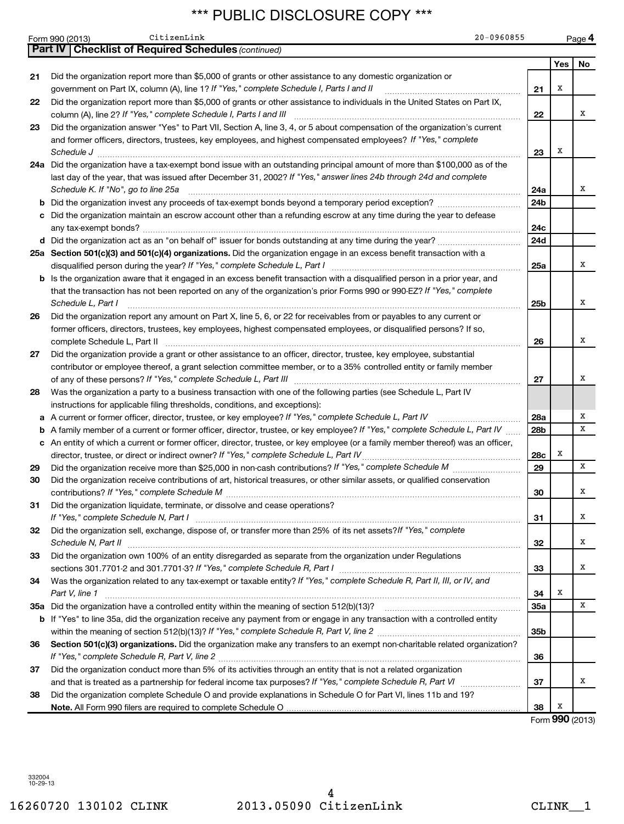|     | 20-0960855<br>CitizenLink<br>Form 990 (2013)                                                                                                                                                      |                 |     | Page 4 |
|-----|---------------------------------------------------------------------------------------------------------------------------------------------------------------------------------------------------|-----------------|-----|--------|
|     | <b>Part IV   Checklist of Required Schedules (continued)</b>                                                                                                                                      |                 |     |        |
|     |                                                                                                                                                                                                   |                 | Yes | No     |
| 21  | Did the organization report more than \$5,000 of grants or other assistance to any domestic organization or                                                                                       |                 |     |        |
|     | government on Part IX, column (A), line 1? If "Yes," complete Schedule I, Parts I and II                                                                                                          | 21              | х   |        |
| 22  | Did the organization report more than \$5,000 of grants or other assistance to individuals in the United States on Part IX,<br>column (A), line 2? If "Yes," complete Schedule I, Parts I and III | 22              |     | x      |
| 23  | Did the organization answer "Yes" to Part VII, Section A, line 3, 4, or 5 about compensation of the organization's current                                                                        |                 |     |        |
|     | and former officers, directors, trustees, key employees, and highest compensated employees? If "Yes," complete                                                                                    |                 |     |        |
|     | Schedule J                                                                                                                                                                                        | 23              | х   |        |
|     | 24a Did the organization have a tax-exempt bond issue with an outstanding principal amount of more than \$100,000 as of the                                                                       |                 |     |        |
|     | last day of the year, that was issued after December 31, 2002? If "Yes," answer lines 24b through 24d and complete<br>Schedule K. If "No", go to line 25a                                         | 24a             |     | x      |
| b   |                                                                                                                                                                                                   | 24b             |     |        |
| c   | Did the organization maintain an escrow account other than a refunding escrow at any time during the year to defease                                                                              |                 |     |        |
|     |                                                                                                                                                                                                   | 24с             |     |        |
|     |                                                                                                                                                                                                   | 24d             |     |        |
|     | 25a Section 501(c)(3) and 501(c)(4) organizations. Did the organization engage in an excess benefit transaction with a                                                                            |                 |     |        |
|     | disqualified person during the year? If "Yes," complete Schedule L, Part I                                                                                                                        | 25a             |     | x      |
| b   | Is the organization aware that it engaged in an excess benefit transaction with a disqualified person in a prior year, and                                                                        |                 |     |        |
|     | that the transaction has not been reported on any of the organization's prior Forms 990 or 990-EZ? If "Yes," complete                                                                             |                 |     |        |
|     | Schedule L, Part I                                                                                                                                                                                | 25b             |     | х      |
| 26  | Did the organization report any amount on Part X, line 5, 6, or 22 for receivables from or payables to any current or                                                                             |                 |     |        |
|     | former officers, directors, trustees, key employees, highest compensated employees, or disqualified persons? If so,                                                                               |                 |     | X      |
| 27  | complete Schedule L, Part II<br>Did the organization provide a grant or other assistance to an officer, director, trustee, key employee, substantial                                              | 26              |     |        |
|     | contributor or employee thereof, a grant selection committee member, or to a 35% controlled entity or family member                                                                               |                 |     |        |
|     | of any of these persons? If "Yes," complete Schedule L, Part III                                                                                                                                  | 27              |     | х      |
| 28  | Was the organization a party to a business transaction with one of the following parties (see Schedule L, Part IV                                                                                 |                 |     |        |
|     | instructions for applicable filing thresholds, conditions, and exceptions):                                                                                                                       |                 |     |        |
| a   | A current or former officer, director, trustee, or key employee? If "Yes," complete Schedule L, Part IV                                                                                           | 28a             |     | х      |
| b   | A family member of a current or former officer, director, trustee, or key employee? If "Yes," complete Schedule L, Part IV                                                                        | 28b             |     | x      |
|     | c An entity of which a current or former officer, director, trustee, or key employee (or a family member thereof) was an officer,                                                                 |                 |     |        |
|     | director, trustee, or direct or indirect owner? If "Yes," complete Schedule L, Part IV                                                                                                            | 28c             | х   |        |
| 29  |                                                                                                                                                                                                   | 29              |     | x      |
| 30  | Did the organization receive contributions of art, historical treasures, or other similar assets, or qualified conservation                                                                       |                 |     | х      |
|     |                                                                                                                                                                                                   | 30              |     |        |
| 31  | Did the organization liquidate, terminate, or dissolve and cease operations?<br>If "Yes," complete Schedule N, Part I                                                                             | 31              |     | х      |
| 32  | Did the organization sell, exchange, dispose of, or transfer more than 25% of its net assets? If "Yes," complete                                                                                  |                 |     |        |
|     | Schedule N, Part II                                                                                                                                                                               | 32              |     | х      |
| 33  | Did the organization own 100% of an entity disregarded as separate from the organization under Regulations                                                                                        |                 |     |        |
|     |                                                                                                                                                                                                   | 33              |     | х      |
| 34  | Was the organization related to any tax-exempt or taxable entity? If "Yes," complete Schedule R, Part II, III, or IV, and<br>Part V, line 1                                                       | 34              | х   |        |
| 35a |                                                                                                                                                                                                   | 35a             |     | x      |
| b   | If "Yes" to line 35a, did the organization receive any payment from or engage in any transaction with a controlled entity                                                                         |                 |     |        |
|     |                                                                                                                                                                                                   | 35 <sub>b</sub> |     |        |
| 36  | Section 501(c)(3) organizations. Did the organization make any transfers to an exempt non-charitable related organization?                                                                        |                 |     |        |
|     | If "Yes," complete Schedule R, Part V, line 2                                                                                                                                                     | 36              |     |        |
| 37  | Did the organization conduct more than 5% of its activities through an entity that is not a related organization                                                                                  |                 |     |        |
|     |                                                                                                                                                                                                   | 37              |     | х      |
| 38  | Did the organization complete Schedule O and provide explanations in Schedule O for Part VI, lines 11b and 19?                                                                                    |                 |     |        |
|     |                                                                                                                                                                                                   | 38              | х   |        |

Form (2013) **990**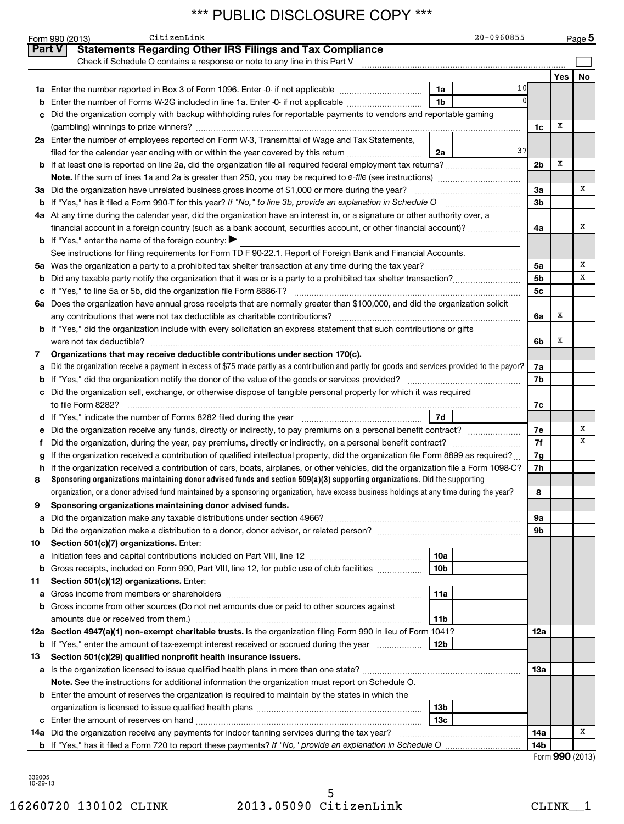|               | CitizenLink<br>Form 990 (2013)                                                                                                                                                                                                                                             |                 | 20-0960855 |                |     | Page 5 |  |  |  |
|---------------|----------------------------------------------------------------------------------------------------------------------------------------------------------------------------------------------------------------------------------------------------------------------------|-----------------|------------|----------------|-----|--------|--|--|--|
| <b>Part V</b> | <b>Statements Regarding Other IRS Filings and Tax Compliance</b>                                                                                                                                                                                                           |                 |            |                |     |        |  |  |  |
|               | Check if Schedule O contains a response or note to any line in this Part V                                                                                                                                                                                                 |                 |            |                |     |        |  |  |  |
|               |                                                                                                                                                                                                                                                                            |                 |            |                | Yes | No     |  |  |  |
|               | 1a Enter the number reported in Box 3 of Form 1096. Enter -0- if not applicable                                                                                                                                                                                            | 1a              | 10         |                |     |        |  |  |  |
| b             | Enter the number of Forms W-2G included in line 1a. Enter -0- if not applicable                                                                                                                                                                                            | 1b              |            |                |     |        |  |  |  |
|               | Did the organization comply with backup withholding rules for reportable payments to vendors and reportable gaming                                                                                                                                                         |                 |            |                |     |        |  |  |  |
|               |                                                                                                                                                                                                                                                                            |                 |            | 1c             | X   |        |  |  |  |
|               | 2a Enter the number of employees reported on Form W-3, Transmittal of Wage and Tax Statements,                                                                                                                                                                             |                 |            |                |     |        |  |  |  |
|               | filed for the calendar year ending with or within the year covered by this return <i>manumumumum</i>                                                                                                                                                                       | 2a              | 37         |                |     |        |  |  |  |
|               | 2 <sub>b</sub>                                                                                                                                                                                                                                                             |                 |            |                |     |        |  |  |  |
|               | Note. If the sum of lines 1a and 2a is greater than 250, you may be required to e-file (see instructions) <i>managererigion</i> ,                                                                                                                                          |                 |            |                |     |        |  |  |  |
|               | 3a Did the organization have unrelated business gross income of \$1,000 or more during the year?                                                                                                                                                                           |                 |            | За             |     | х      |  |  |  |
|               | b If "Yes," has it filed a Form 990-T for this year? If "No," to line 3b, provide an explanation in Schedule O                                                                                                                                                             |                 |            | 3 <sub>b</sub> |     |        |  |  |  |
|               | 4a At any time during the calendar year, did the organization have an interest in, or a signature or other authority over, a                                                                                                                                               |                 |            |                |     |        |  |  |  |
|               | financial account in a foreign country (such as a bank account, securities account, or other financial account)?                                                                                                                                                           |                 |            | 4a             |     | х      |  |  |  |
|               | <b>b</b> If "Yes," enter the name of the foreign country: $\blacktriangleright$                                                                                                                                                                                            |                 |            |                |     |        |  |  |  |
|               | See instructions for filing requirements for Form TD F 90-22.1, Report of Foreign Bank and Financial Accounts.                                                                                                                                                             |                 |            |                |     |        |  |  |  |
| 5a            |                                                                                                                                                                                                                                                                            |                 |            | 5a             |     | х      |  |  |  |
| b             |                                                                                                                                                                                                                                                                            |                 |            | 5 <sub>b</sub> |     | х      |  |  |  |
| с             | If "Yes," to line 5a or 5b, did the organization file Form 8886-T?                                                                                                                                                                                                         |                 |            | 5c             |     |        |  |  |  |
|               | 6a Does the organization have annual gross receipts that are normally greater than \$100,000, and did the organization solicit                                                                                                                                             |                 |            |                |     |        |  |  |  |
|               |                                                                                                                                                                                                                                                                            |                 |            | 6a             | X   |        |  |  |  |
|               | <b>b</b> If "Yes," did the organization include with every solicitation an express statement that such contributions or gifts                                                                                                                                              |                 |            |                |     |        |  |  |  |
|               | were not tax deductible?                                                                                                                                                                                                                                                   |                 |            | 6b             | x   |        |  |  |  |
| 7             | Organizations that may receive deductible contributions under section 170(c).                                                                                                                                                                                              |                 |            |                |     |        |  |  |  |
| а             | Did the organization receive a payment in excess of \$75 made partly as a contribution and partly for goods and services provided to the payor?<br>7a                                                                                                                      |                 |            |                |     |        |  |  |  |
| b             |                                                                                                                                                                                                                                                                            |                 |            | 7b             |     |        |  |  |  |
|               | c Did the organization sell, exchange, or otherwise dispose of tangible personal property for which it was required                                                                                                                                                        |                 |            |                |     |        |  |  |  |
|               | to file Form 8282?                                                                                                                                                                                                                                                         |                 |            | 7c             |     |        |  |  |  |
|               | 7d                                                                                                                                                                                                                                                                         |                 |            |                |     |        |  |  |  |
| е             |                                                                                                                                                                                                                                                                            |                 |            | 7е             |     | х<br>х |  |  |  |
| f             |                                                                                                                                                                                                                                                                            |                 |            | 7f             |     |        |  |  |  |
| g             | If the organization received a contribution of qualified intellectual property, did the organization file Form 8899 as required?                                                                                                                                           |                 |            | 7g             |     |        |  |  |  |
| h             | If the organization received a contribution of cars, boats, airplanes, or other vehicles, did the organization file a Form 1098-C?                                                                                                                                         |                 |            | 7h             |     |        |  |  |  |
| 8             | Sponsoring organizations maintaining donor advised funds and section $509(a)(3)$ supporting organizations. Did the supporting<br>organization, or a donor advised fund maintained by a sponsoring organization, have excess business holdings at any time during the year? |                 |            | 8              |     |        |  |  |  |
| 9             | Sponsoring organizations maintaining donor advised funds.                                                                                                                                                                                                                  |                 |            |                |     |        |  |  |  |
|               |                                                                                                                                                                                                                                                                            |                 |            | 9а             |     |        |  |  |  |
| а<br>b        | Did the organization make a distribution to a donor, donor advisor, or related person?                                                                                                                                                                                     |                 |            | 9b             |     |        |  |  |  |
| 10            | Section 501(c)(7) organizations. Enter:                                                                                                                                                                                                                                    |                 |            |                |     |        |  |  |  |
| а             |                                                                                                                                                                                                                                                                            | 10a             |            |                |     |        |  |  |  |
| b             | Gross receipts, included on Form 990, Part VIII, line 12, for public use of club facilities                                                                                                                                                                                | 10 <sub>b</sub> |            |                |     |        |  |  |  |
| 11            | Section 501(c)(12) organizations. Enter:                                                                                                                                                                                                                                   |                 |            |                |     |        |  |  |  |
| а             |                                                                                                                                                                                                                                                                            | 11a             |            |                |     |        |  |  |  |
| b             | Gross income from other sources (Do not net amounts due or paid to other sources against                                                                                                                                                                                   |                 |            |                |     |        |  |  |  |
|               |                                                                                                                                                                                                                                                                            | 11 <sub>b</sub> |            |                |     |        |  |  |  |
|               | 12a Section 4947(a)(1) non-exempt charitable trusts. Is the organization filing Form 990 in lieu of Form 1041?                                                                                                                                                             |                 |            | 12a            |     |        |  |  |  |
|               | <b>b</b> If "Yes," enter the amount of tax-exempt interest received or accrued during the year                                                                                                                                                                             | 12 <sub>b</sub> |            |                |     |        |  |  |  |
| 13            | Section 501(c)(29) qualified nonprofit health insurance issuers.                                                                                                                                                                                                           |                 |            |                |     |        |  |  |  |
| а             | Is the organization licensed to issue qualified health plans in more than one state?                                                                                                                                                                                       |                 |            | 13a            |     |        |  |  |  |
|               | Note. See the instructions for additional information the organization must report on Schedule O.                                                                                                                                                                          |                 |            |                |     |        |  |  |  |
|               | <b>b</b> Enter the amount of reserves the organization is required to maintain by the states in which the                                                                                                                                                                  |                 |            |                |     |        |  |  |  |
|               |                                                                                                                                                                                                                                                                            | 13 <sub>b</sub> |            |                |     |        |  |  |  |
|               |                                                                                                                                                                                                                                                                            | 13 <sub>c</sub> |            |                |     |        |  |  |  |
|               | 14a Did the organization receive any payments for indoor tanning services during the tax year?                                                                                                                                                                             |                 |            | 14a            |     | х      |  |  |  |
|               | <b>b</b> If "Yes," has it filed a Form 720 to report these payments? If "No," provide an explanation in Schedule O                                                                                                                                                         |                 |            | 14b            |     |        |  |  |  |

332005 10-29-13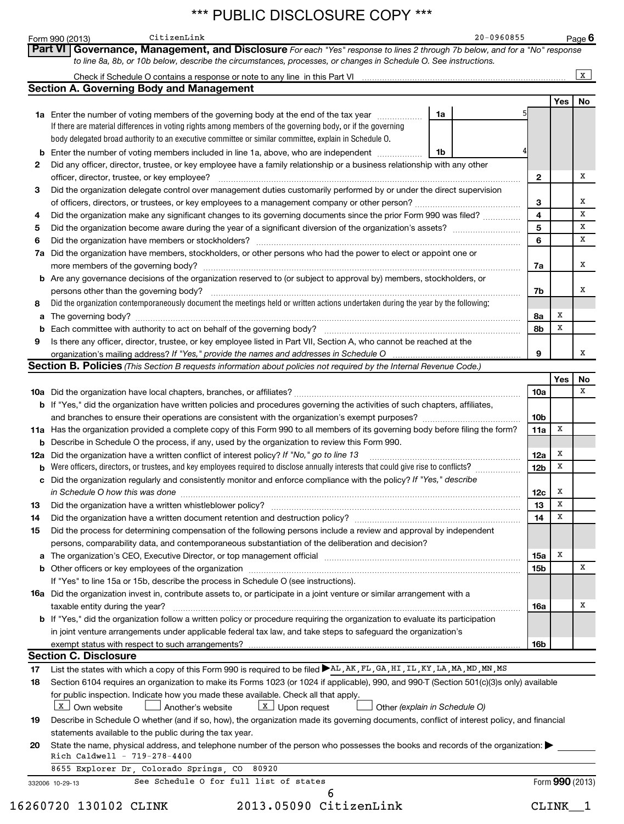|        | CitizenLink<br>Form 990 (2013)                                                                                                                                                                                                |    | 20-0960855 |                 |     | Page $6$        |  |  |
|--------|-------------------------------------------------------------------------------------------------------------------------------------------------------------------------------------------------------------------------------|----|------------|-----------------|-----|-----------------|--|--|
|        | Part VI Governance, Management, and Disclosure For each "Yes" response to lines 2 through 7b below, and for a "No" response                                                                                                   |    |            |                 |     |                 |  |  |
|        | to line 8a, 8b, or 10b below, describe the circumstances, processes, or changes in Schedule O. See instructions.                                                                                                              |    |            |                 |     |                 |  |  |
|        | <b>Section A. Governing Body and Management</b>                                                                                                                                                                               |    |            |                 |     | $\mathbf{x}$    |  |  |
|        |                                                                                                                                                                                                                               |    |            |                 | Yes | No              |  |  |
|        | 1a Enter the number of voting members of the governing body at the end of the tax year                                                                                                                                        | 1a |            |                 |     |                 |  |  |
|        | If there are material differences in voting rights among members of the governing body, or if the governing                                                                                                                   |    |            |                 |     |                 |  |  |
|        | body delegated broad authority to an executive committee or similar committee, explain in Schedule O.                                                                                                                         |    |            |                 |     |                 |  |  |
| b      | Enter the number of voting members included in line 1a, above, who are independent                                                                                                                                            | 1b |            |                 |     |                 |  |  |
| 2      | Did any officer, director, trustee, or key employee have a family relationship or a business relationship with any other                                                                                                      |    |            |                 |     |                 |  |  |
|        | officer, director, trustee, or key employee?                                                                                                                                                                                  |    |            | 2               |     | х               |  |  |
| 3      | Did the organization delegate control over management duties customarily performed by or under the direct supervision                                                                                                         |    |            |                 |     |                 |  |  |
|        |                                                                                                                                                                                                                               |    |            | 3               |     | х<br>х          |  |  |
| 4      | Did the organization make any significant changes to its governing documents since the prior Form 990 was filed?                                                                                                              |    |            | 4<br>5          |     | х               |  |  |
| 5<br>6 | Did the organization have members or stockholders?                                                                                                                                                                            |    |            | 6               |     | х               |  |  |
| 7а     | Did the organization have members, stockholders, or other persons who had the power to elect or appoint one or                                                                                                                |    |            |                 |     |                 |  |  |
|        | more members of the governing body?                                                                                                                                                                                           |    |            | 7a              |     | х               |  |  |
|        | <b>b</b> Are any governance decisions of the organization reserved to (or subject to approval by) members, stockholders, or                                                                                                   |    |            |                 |     |                 |  |  |
|        | persons other than the governing body?                                                                                                                                                                                        |    |            | 7b              |     | х               |  |  |
| 8      | Did the organization contemporaneously document the meetings held or written actions undertaken during the year by the following:                                                                                             |    |            |                 |     |                 |  |  |
| а      | The governing body?                                                                                                                                                                                                           |    |            | 8а              | х   |                 |  |  |
|        | Each committee with authority to act on behalf of the governing body?                                                                                                                                                         |    |            | 8b              | X   |                 |  |  |
| 9      | Is there any officer, director, trustee, or key employee listed in Part VII, Section A, who cannot be reached at the                                                                                                          |    |            |                 |     |                 |  |  |
|        |                                                                                                                                                                                                                               |    |            | 9               |     | x               |  |  |
|        | <b>Section B. Policies</b> (This Section B requests information about policies not required by the Internal Revenue Code.)                                                                                                    |    |            |                 |     |                 |  |  |
|        |                                                                                                                                                                                                                               |    |            | 10a             | Yes | No<br>х         |  |  |
|        | <b>b</b> If "Yes," did the organization have written policies and procedures governing the activities of such chapters, affiliates,                                                                                           |    |            |                 |     |                 |  |  |
|        |                                                                                                                                                                                                                               |    |            | 10 <sub>b</sub> |     |                 |  |  |
|        | 11a Has the organization provided a complete copy of this Form 990 to all members of its governing body before filing the form?                                                                                               |    |            | 11a             | x   |                 |  |  |
|        | <b>b</b> Describe in Schedule O the process, if any, used by the organization to review this Form 990.                                                                                                                        |    |            |                 |     |                 |  |  |
|        | 12a Did the organization have a written conflict of interest policy? If "No," go to line 13                                                                                                                                   |    |            |                 |     |                 |  |  |
| b      | Were officers, directors, or trustees, and key employees required to disclose annually interests that could give rise to conflicts?                                                                                           |    |            | <b>12b</b>      | x   |                 |  |  |
|        | c Did the organization regularly and consistently monitor and enforce compliance with the policy? If "Yes," describe                                                                                                          |    |            |                 |     |                 |  |  |
|        | in Schedule O how this was done                                                                                                                                                                                               |    |            | 12c             | х   |                 |  |  |
| 13     |                                                                                                                                                                                                                               |    |            | 13              | X   |                 |  |  |
| 14     |                                                                                                                                                                                                                               |    |            | 14              | x   |                 |  |  |
| 15     | Did the process for determining compensation of the following persons include a review and approval by independent                                                                                                            |    |            |                 |     |                 |  |  |
|        | persons, comparability data, and contemporaneous substantiation of the deliberation and decision?                                                                                                                             |    |            |                 | X   |                 |  |  |
| a      | The organization's CEO, Executive Director, or top management official manufactured content content of the organization's CEO, Executive Director, or top management official manufactured content of the original content of |    |            | 15a             |     | X               |  |  |
|        | If "Yes" to line 15a or 15b, describe the process in Schedule O (see instructions).                                                                                                                                           |    |            | 15b             |     |                 |  |  |
|        | <b>16a</b> Did the organization invest in, contribute assets to, or participate in a joint venture or similar arrangement with a                                                                                              |    |            |                 |     |                 |  |  |
|        | taxable entity during the year?                                                                                                                                                                                               |    |            | 16a             |     | х               |  |  |
|        | <b>b</b> If "Yes," did the organization follow a written policy or procedure requiring the organization to evaluate its participation                                                                                         |    |            |                 |     |                 |  |  |
|        | in joint venture arrangements under applicable federal tax law, and take steps to safeguard the organization's                                                                                                                |    |            |                 |     |                 |  |  |
|        | exempt status with respect to such arrangements?                                                                                                                                                                              |    |            | 16b             |     |                 |  |  |
|        | <b>Section C. Disclosure</b>                                                                                                                                                                                                  |    |            |                 |     |                 |  |  |
| 17     | List the states with which a copy of this Form 990 is required to be filed ▶AL, AK, FL, GA, HI, IL, KY, LA, MA, MD, MN, MS                                                                                                    |    |            |                 |     |                 |  |  |
| 18     | Section 6104 requires an organization to make its Forms 1023 (or 1024 if applicable), 990, and 990-T (Section 501(c)(3)s only) available                                                                                      |    |            |                 |     |                 |  |  |
|        | for public inspection. Indicate how you made these available. Check all that apply.                                                                                                                                           |    |            |                 |     |                 |  |  |
|        | X Own website<br>$\boxed{\text{X}}$ Upon request<br>Another's website<br>Other (explain in Schedule O)                                                                                                                        |    |            |                 |     |                 |  |  |
| 19     | Describe in Schedule O whether (and if so, how), the organization made its governing documents, conflict of interest policy, and financial<br>statements available to the public during the tax year.                         |    |            |                 |     |                 |  |  |
| 20     | State the name, physical address, and telephone number of the person who possesses the books and records of the organization:                                                                                                 |    |            |                 |     |                 |  |  |
|        | Rich Caldwell - 719-278-4400                                                                                                                                                                                                  |    |            |                 |     |                 |  |  |
|        | 8655 Explorer Dr. Colorado Springs. CO 80920                                                                                                                                                                                  |    |            |                 |     |                 |  |  |
|        | See Schedule O for full list of states<br>332006 10-29-13                                                                                                                                                                     |    |            |                 |     | Form 990 (2013) |  |  |
|        | 6                                                                                                                                                                                                                             |    |            |                 |     |                 |  |  |

16260720 130102 CLINK 2013.05090 CitizenLink CLINK\_\_1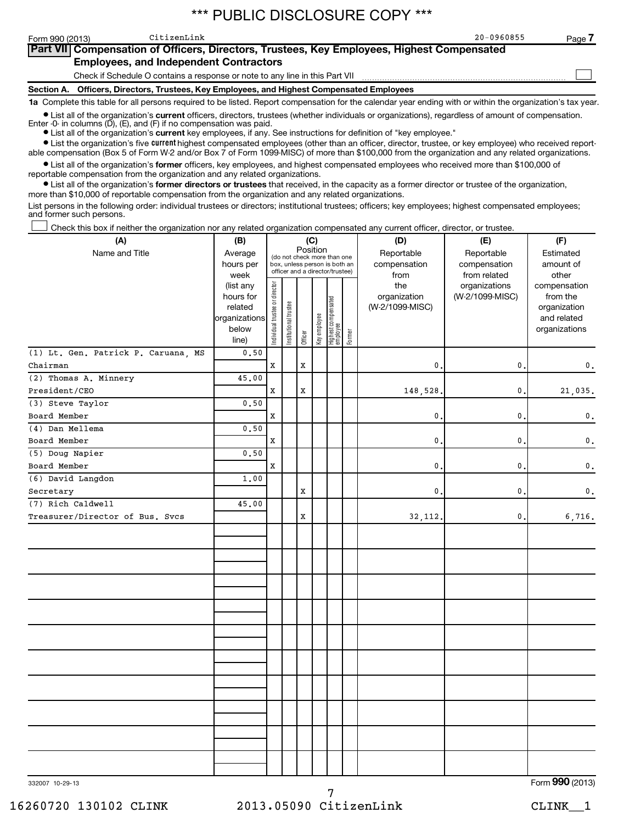CitizenLink 20-0960855

**7**

 $\sim$ 

| Part VII Compensation of Officers, Directors, Trustees, Key Employees, Highest Compensated |  |  |
|--------------------------------------------------------------------------------------------|--|--|
| <b>Employees, and Independent Contractors</b>                                              |  |  |

Check if Schedule O contains a response or note to any line in this Part VII

**Section A. Officers, Directors, Trustees, Key Employees, and Highest Compensated Employees 1a**  Complete this table for all persons required to be listed. Report compensation for the calendar year ending with or within the organization's tax year.

**•** List all of the organization's current officers, directors, trustees (whether individuals or organizations), regardless of amount of compensation.

Enter -0- in columns  $(D)$ ,  $(E)$ , and  $(F)$  if no compensation was paid.

**•** List all of the organization's **current** key employees, if any. See instructions for definition of "key employee."

**•** List the organization's five *current* highest compensated employees (other than an officer, director, trustee, or key employee) who received reportable compensation (Box 5 of Form W-2 and/or Box 7 of Form 1099-MISC) of more than \$100,000 from the organization and any related organizations.

 $\bullet$  List all of the organization's former officers, key employees, and highest compensated employees who received more than \$100,000 of reportable compensation from the organization and any related organizations.

**•** List all of the organization's former directors or trustees that received, in the capacity as a former director or trustee of the organization, more than \$10,000 of reportable compensation from the organization and any related organizations.

List persons in the following order: individual trustees or directors; institutional trustees; officers; key employees; highest compensated employees; and former such persons.

Check this box if neither the organization nor any related organization compensated any current officer, director, or trustee.  $\left\vert \cdot\right\vert$ 

| (A)                                 | (B)                                                                  |                                |                       |             | (C)          |                                                                                                 |        | (D)                                    | (E)                                        | (F)                                                                      |
|-------------------------------------|----------------------------------------------------------------------|--------------------------------|-----------------------|-------------|--------------|-------------------------------------------------------------------------------------------------|--------|----------------------------------------|--------------------------------------------|--------------------------------------------------------------------------|
| Name and Title                      | Average<br>hours per<br>week                                         |                                |                       |             | Position     | (do not check more than one<br>box, unless person is both an<br>officer and a director/trustee) |        | Reportable<br>compensation<br>from     | Reportable<br>compensation<br>from related | Estimated<br>amount of<br>other                                          |
|                                     | (list any<br>hours for<br>related<br>organizations<br>below<br>line) | Individual trustee or director | Institutional trustee | Officer     | Key employee | Highest compensated<br>  employee                                                               | Former | the<br>organization<br>(W-2/1099-MISC) | organizations<br>(W-2/1099-MISC)           | compensation<br>from the<br>organization<br>and related<br>organizations |
| (1) Lt. Gen. Patrick P. Caruana, MS | 0.50                                                                 |                                |                       |             |              |                                                                                                 |        |                                        |                                            |                                                                          |
| Chairman                            |                                                                      | $\mathbf x$                    |                       | $\mathbf x$ |              |                                                                                                 |        | $\mathbf{0}$                           | 0.                                         | 0.                                                                       |
| (2) Thomas A. Minnery               | 45.00                                                                |                                |                       |             |              |                                                                                                 |        |                                        |                                            |                                                                          |
| President/CEO                       |                                                                      | $\mathbf x$                    |                       | $\mathbf x$ |              |                                                                                                 |        | 148,528                                | $\mathbf{0}$                               | 21,035.                                                                  |
| (3) Steve Taylor                    | 0.50                                                                 |                                |                       |             |              |                                                                                                 |        |                                        |                                            |                                                                          |
| Board Member                        |                                                                      | X                              |                       |             |              |                                                                                                 |        | 0                                      | 0                                          | $\mathbf{0}$ .                                                           |
| (4) Dan Mellema                     | 0.50                                                                 |                                |                       |             |              |                                                                                                 |        |                                        |                                            |                                                                          |
| Board Member                        |                                                                      | X                              |                       |             |              |                                                                                                 |        | $\mathbf{0}$ .                         | 0                                          | 0.                                                                       |
| (5) Doug Napier                     | 0.50                                                                 |                                |                       |             |              |                                                                                                 |        |                                        |                                            |                                                                          |
| Board Member                        |                                                                      | $\mathbf x$                    |                       |             |              |                                                                                                 |        | $\mathbf{0}$                           | $\mathbf{0}$                               | 0.                                                                       |
| (6) David Langdon                   | 1.00                                                                 |                                |                       |             |              |                                                                                                 |        |                                        |                                            |                                                                          |
| Secretary                           |                                                                      |                                |                       | X           |              |                                                                                                 |        | $\mathbf{0}$                           | 0                                          | $\mathbf{0}$ .                                                           |
| (7) Rich Caldwell                   | 45.00                                                                |                                |                       |             |              |                                                                                                 |        |                                        |                                            |                                                                          |
| Treasurer/Director of Bus. Svcs     |                                                                      |                                |                       | X           |              |                                                                                                 |        | 32, 112.                               | 0.                                         | 6,716.                                                                   |
|                                     |                                                                      |                                |                       |             |              |                                                                                                 |        |                                        |                                            |                                                                          |
|                                     |                                                                      |                                |                       |             |              |                                                                                                 |        |                                        |                                            |                                                                          |
|                                     |                                                                      |                                |                       |             |              |                                                                                                 |        |                                        |                                            |                                                                          |
|                                     |                                                                      |                                |                       |             |              |                                                                                                 |        |                                        |                                            |                                                                          |
|                                     |                                                                      |                                |                       |             |              |                                                                                                 |        |                                        |                                            |                                                                          |
| 332007 10-29-13                     |                                                                      |                                |                       |             |              |                                                                                                 |        |                                        |                                            | Form 990 (2013)                                                          |

332007 10-29-13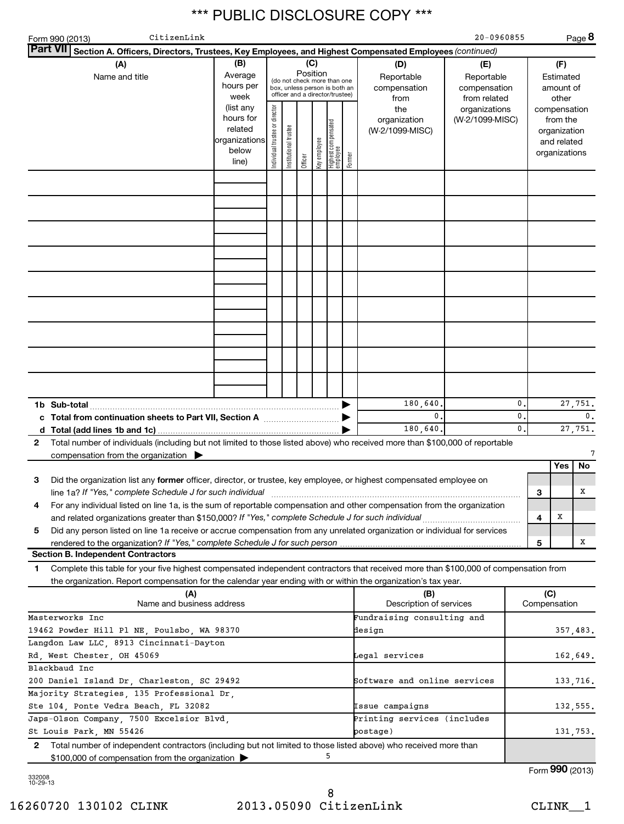|                                                         | CitizenLink<br>Form 990 (2013)                                                                                                                                                                                                                         |                                                                      |                                                                                                                    |                       |         |              |                                  |        |                                           | 20-0960855                                        |                    |                     |                                                                          | Page 8          |
|---------------------------------------------------------|--------------------------------------------------------------------------------------------------------------------------------------------------------------------------------------------------------------------------------------------------------|----------------------------------------------------------------------|--------------------------------------------------------------------------------------------------------------------|-----------------------|---------|--------------|----------------------------------|--------|-------------------------------------------|---------------------------------------------------|--------------------|---------------------|--------------------------------------------------------------------------|-----------------|
|                                                         | <b>Part VII</b><br>Section A. Officers, Directors, Trustees, Key Employees, and Highest Compensated Employees (continued)                                                                                                                              |                                                                      |                                                                                                                    |                       |         |              |                                  |        |                                           |                                                   |                    |                     |                                                                          |                 |
|                                                         | (A)<br>Name and title                                                                                                                                                                                                                                  | (B)<br>Average<br>hours per<br>week                                  | (C)<br>Position<br>(do not check more than one<br>box, unless person is both an<br>officer and a director/trustee) |                       |         |              |                                  |        | (D)<br>Reportable<br>compensation<br>from | (E)<br>Reportable<br>compensation<br>from related |                    |                     | (F)<br>Estimated<br>amount of<br>other                                   |                 |
|                                                         |                                                                                                                                                                                                                                                        | (list any<br>hours for<br>related<br>organizations<br>below<br>line) | Individual trustee or director                                                                                     | Institutional trustee | Officer | Key employee | Highest compensated<br> employee | Former | the<br>organization<br>(W-2/1099-MISC)    | organizations<br>(W-2/1099-MISC)                  |                    |                     | compensation<br>from the<br>organization<br>and related<br>organizations |                 |
|                                                         |                                                                                                                                                                                                                                                        |                                                                      |                                                                                                                    |                       |         |              |                                  |        |                                           |                                                   |                    |                     |                                                                          |                 |
|                                                         |                                                                                                                                                                                                                                                        |                                                                      |                                                                                                                    |                       |         |              |                                  |        |                                           |                                                   |                    |                     |                                                                          |                 |
|                                                         |                                                                                                                                                                                                                                                        |                                                                      |                                                                                                                    |                       |         |              |                                  |        |                                           |                                                   |                    |                     |                                                                          |                 |
|                                                         |                                                                                                                                                                                                                                                        |                                                                      |                                                                                                                    |                       |         |              |                                  |        |                                           |                                                   |                    |                     |                                                                          |                 |
|                                                         |                                                                                                                                                                                                                                                        |                                                                      |                                                                                                                    |                       |         |              |                                  |        |                                           |                                                   |                    |                     |                                                                          |                 |
|                                                         |                                                                                                                                                                                                                                                        |                                                                      |                                                                                                                    |                       |         |              |                                  |        |                                           |                                                   |                    |                     |                                                                          |                 |
|                                                         |                                                                                                                                                                                                                                                        |                                                                      |                                                                                                                    |                       |         |              |                                  |        |                                           |                                                   |                    |                     |                                                                          |                 |
|                                                         |                                                                                                                                                                                                                                                        |                                                                      |                                                                                                                    |                       |         |              |                                  |        |                                           |                                                   |                    |                     |                                                                          |                 |
|                                                         |                                                                                                                                                                                                                                                        |                                                                      |                                                                                                                    |                       |         |              |                                  |        |                                           |                                                   |                    |                     |                                                                          |                 |
|                                                         | 1b Sub-total                                                                                                                                                                                                                                           |                                                                      |                                                                                                                    |                       |         |              |                                  |        | 180,640<br>$\mathbf{0}$ .                 |                                                   | $\mathbf{0}$<br>0. |                     |                                                                          | 27,751.<br>0.   |
|                                                         | c Total from continuation sheets to Part VII, Section A manufactured by                                                                                                                                                                                |                                                                      |                                                                                                                    |                       |         |              |                                  |        | 180, 640                                  |                                                   | $\mathbf{0}$ .     |                     |                                                                          | 27,751.         |
| 2                                                       | Total number of individuals (including but not limited to those listed above) who received more than \$100,000 of reportable                                                                                                                           |                                                                      |                                                                                                                    |                       |         |              |                                  |        |                                           |                                                   |                    |                     |                                                                          |                 |
|                                                         | compensation from the organization $\blacktriangleright$                                                                                                                                                                                               |                                                                      |                                                                                                                    |                       |         |              |                                  |        |                                           |                                                   |                    |                     |                                                                          | 7               |
|                                                         |                                                                                                                                                                                                                                                        |                                                                      |                                                                                                                    |                       |         |              |                                  |        |                                           |                                                   |                    |                     | Yes                                                                      | No              |
| з                                                       | Did the organization list any former officer, director, or trustee, key employee, or highest compensated employee on<br>line 1a? If "Yes," complete Schedule J for such individual                                                                     |                                                                      |                                                                                                                    |                       |         |              |                                  |        |                                           |                                                   |                    | 3                   |                                                                          | x               |
| 4                                                       | For any individual listed on line 1a, is the sum of reportable compensation and other compensation from the organization                                                                                                                               |                                                                      |                                                                                                                    |                       |         |              |                                  |        |                                           |                                                   |                    |                     |                                                                          |                 |
| 5                                                       | and related organizations greater than \$150,000? If "Yes," complete Schedule J for such individual<br>Did any person listed on line 1a receive or accrue compensation from any unrelated organization or individual for services                      |                                                                      |                                                                                                                    |                       |         |              |                                  |        |                                           |                                                   |                    | 4                   | х                                                                        |                 |
|                                                         | rendered to the organization? If "Yes," complete Schedule J for such person                                                                                                                                                                            |                                                                      |                                                                                                                    |                       |         |              |                                  |        |                                           |                                                   |                    | 5                   |                                                                          | x               |
|                                                         | <b>Section B. Independent Contractors</b>                                                                                                                                                                                                              |                                                                      |                                                                                                                    |                       |         |              |                                  |        |                                           |                                                   |                    |                     |                                                                          |                 |
| 1                                                       | Complete this table for your five highest compensated independent contractors that received more than \$100,000 of compensation from<br>the organization. Report compensation for the calendar year ending with or within the organization's tax year. |                                                                      |                                                                                                                    |                       |         |              |                                  |        |                                           |                                                   |                    |                     |                                                                          |                 |
|                                                         | (A)<br>Name and business address                                                                                                                                                                                                                       |                                                                      |                                                                                                                    |                       |         |              |                                  |        | (B)<br>Description of services            |                                                   |                    | (C)<br>Compensation |                                                                          |                 |
|                                                         | Masterworks Inc                                                                                                                                                                                                                                        |                                                                      |                                                                                                                    |                       |         |              |                                  |        | Fundraising consulting and                |                                                   |                    |                     |                                                                          |                 |
|                                                         | 19462 Powder Hill Pl NE, Poulsbo, WA 98370                                                                                                                                                                                                             |                                                                      |                                                                                                                    |                       |         |              |                                  |        | design                                    |                                                   |                    |                     |                                                                          | 357,483.        |
|                                                         | Langdon Law LLC, 8913 Cincinnati-Dayton                                                                                                                                                                                                                |                                                                      |                                                                                                                    |                       |         |              |                                  |        |                                           |                                                   |                    |                     |                                                                          |                 |
|                                                         | Rd, West Chester, OH 45069                                                                                                                                                                                                                             |                                                                      |                                                                                                                    |                       |         |              |                                  |        | Legal services                            |                                                   |                    |                     |                                                                          | 162,649.        |
|                                                         | Blackbaud Inc                                                                                                                                                                                                                                          |                                                                      |                                                                                                                    |                       |         |              |                                  |        | Software and online services              |                                                   |                    |                     |                                                                          |                 |
|                                                         | 200 Daniel Island Dr, Charleston, SC 29492<br>Majority Strategies, 135 Professional Dr,                                                                                                                                                                |                                                                      |                                                                                                                    |                       |         |              |                                  |        |                                           |                                                   |                    |                     |                                                                          | 133,716.        |
| Ste 104, Ponte Vedra Beach, FL 32082<br>Issue campaigns |                                                                                                                                                                                                                                                        |                                                                      |                                                                                                                    |                       |         |              |                                  |        |                                           |                                                   | 132,555.           |                     |                                                                          |                 |
|                                                         | Japs-Olson Company, 7500 Excelsior Blvd,                                                                                                                                                                                                               |                                                                      |                                                                                                                    |                       |         |              |                                  |        | Printing services (includes               |                                                   |                    |                     |                                                                          |                 |
|                                                         | St Louis Park, MN 55426                                                                                                                                                                                                                                |                                                                      |                                                                                                                    |                       |         |              |                                  |        | postage)                                  |                                                   |                    |                     |                                                                          | 131,753.        |
| 2                                                       | Total number of independent contractors (including but not limited to those listed above) who received more than<br>\$100,000 of compensation from the organization                                                                                    |                                                                      |                                                                                                                    |                       |         |              | 5                                |        |                                           |                                                   |                    |                     |                                                                          |                 |
|                                                         |                                                                                                                                                                                                                                                        |                                                                      |                                                                                                                    |                       |         |              |                                  |        |                                           |                                                   |                    |                     |                                                                          | Form 990 (2013) |

332008 10-29-13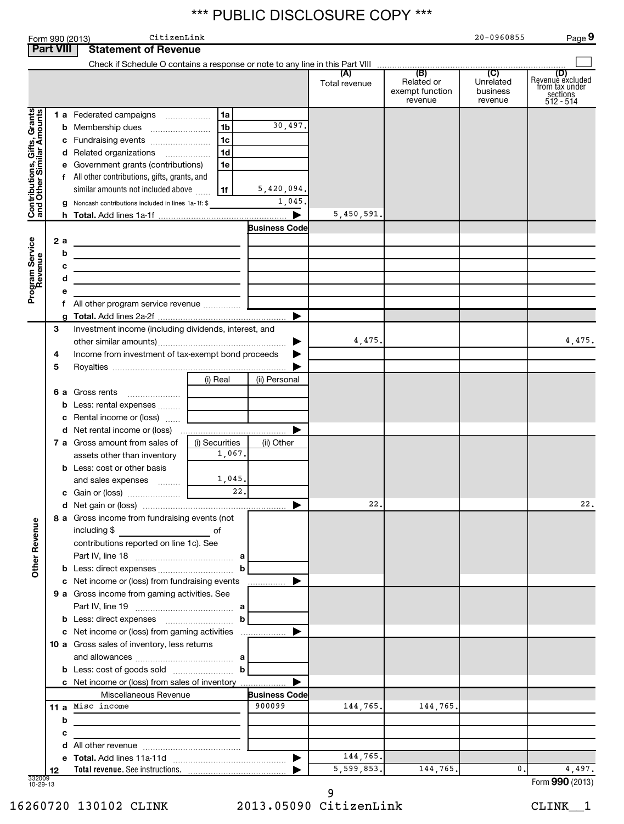|                                                           |                        | CitizenLink<br>Form 990 (2013)                                                                                                                                                                                                                                |                                                                      |                                                          |                        |                                          | 20-0960855                       | Page 9                                                      |
|-----------------------------------------------------------|------------------------|---------------------------------------------------------------------------------------------------------------------------------------------------------------------------------------------------------------------------------------------------------------|----------------------------------------------------------------------|----------------------------------------------------------|------------------------|------------------------------------------|----------------------------------|-------------------------------------------------------------|
|                                                           | <b>Part VIII</b>       | <b>Statement of Revenue</b>                                                                                                                                                                                                                                   |                                                                      |                                                          |                        |                                          |                                  |                                                             |
|                                                           |                        |                                                                                                                                                                                                                                                               |                                                                      |                                                          | Total revenue          | Related or<br>exempt function<br>revenue | Unrelated<br>business<br>revenue | Revenue excluded<br>from tax under<br>sections<br>512 - 514 |
| Contributions, Gifts, Grants<br>and Other Similar Amounts | g                      | 1 a Federated campaigns<br>c Fundraising events<br>d Related organizations<br>e Government grants (contributions)<br>f All other contributions, gifts, grants, and<br>similar amounts not included above<br>Noncash contributions included in lines 1a-1f: \$ | 1a<br>1 <sub>b</sub><br>1 <sub>c</sub><br>1 <sub>d</sub><br>1e<br>1f | 30,497.<br>5,420,094.<br>1,045.<br>$\blacktriangleright$ | 5,450,591.             |                                          |                                  |                                                             |
| Program Service<br>Revenue                                | 2a<br>b<br>с<br>d<br>е | <u> 1989 - Johann Barn, mars ann an t-Amhain ann an t-Amhain an t-Amhain an t-Amhain an t-Amhain an t-Amhain an t-</u><br><u> 1989 - Johann Barbara, martxa alemaniar a</u>                                                                                   |                                                                      | <b>Business Code</b><br>▶                                |                        |                                          |                                  |                                                             |
|                                                           | 3<br>4<br>5            | Investment income (including dividends, interest, and<br>Income from investment of tax-exempt bond proceeds                                                                                                                                                   | (i) Real                                                             | ▶<br>(ii) Personal                                       | 4,475.                 |                                          |                                  | 4,475.                                                      |
|                                                           |                        | 6 a Gross rents<br><b>b</b> Less: rental expenses<br>c Rental income or (loss)<br>7 a Gross amount from sales of<br>assets other than inventory<br><b>b</b> Less: cost or other basis<br>and sales expenses                                                   | (i) Securities<br>1,067.<br>1,045.                                   | ▶<br>(ii) Other                                          |                        |                                          |                                  |                                                             |
|                                                           |                        | c Gain or (loss)<br>8 a Gross income from fundraising events (not<br>contributions reported on line 1c). See                                                                                                                                                  | 22.                                                                  |                                                          | 22.                    |                                          |                                  | 22.                                                         |
| <b>Other Revenue</b>                                      |                        | c Net income or (loss) from fundraising events<br>9 a Gross income from gaming activities. See                                                                                                                                                                | b                                                                    | ▶<br>.                                                   |                        |                                          |                                  |                                                             |
|                                                           |                        | c Net income or (loss) from gaming activities<br>10 a Gross sales of inventory, less returns                                                                                                                                                                  | ▶<br>▶                                                               |                                                          |                        |                                          |                                  |                                                             |
|                                                           | b<br>с<br>d            | c Net income or (loss) from sales of inventory<br>Miscellaneous Revenue<br>11 a Misc income                                                                                                                                                                   |                                                                      | <b>Business Code</b><br>900099                           | 144,765.               | 144,765.                                 |                                  |                                                             |
| 332009<br>10-29-13                                        | е<br>12                |                                                                                                                                                                                                                                                               |                                                                      | $\blacktriangleright$                                    | 144,765.<br>5,599,853. | 144,765.                                 | 0.                               | 4,497.<br>Form 990 (2013)                                   |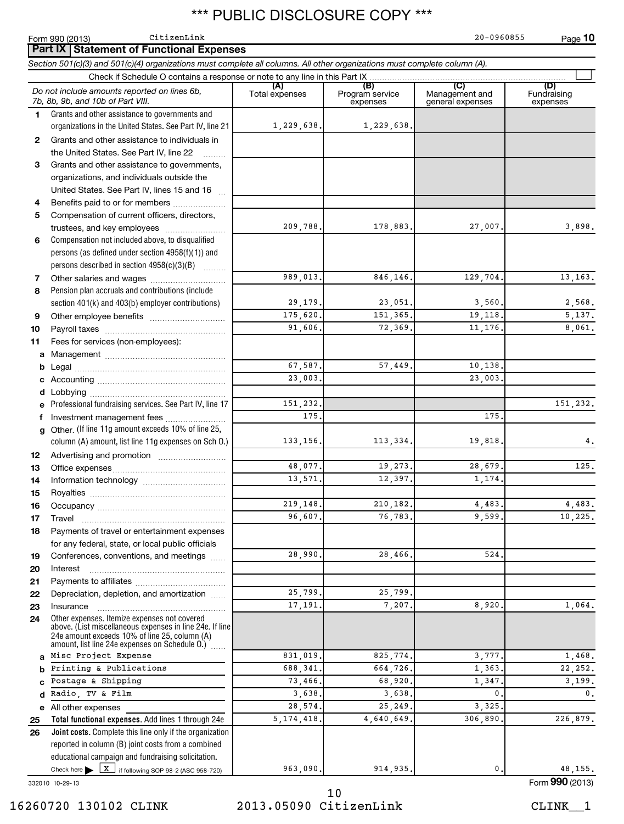|              | CitizenLink<br>Form 990 (2013)                                                                                                                                                                              |                         |                                    | 20-0960855                                | Page 10                        |
|--------------|-------------------------------------------------------------------------------------------------------------------------------------------------------------------------------------------------------------|-------------------------|------------------------------------|-------------------------------------------|--------------------------------|
|              | <b>Part IX Statement of Functional Expenses</b>                                                                                                                                                             |                         |                                    |                                           |                                |
|              | Section 501(c)(3) and 501(c)(4) organizations must complete all columns. All other organizations must complete column (A).                                                                                  |                         |                                    |                                           |                                |
|              |                                                                                                                                                                                                             |                         |                                    |                                           |                                |
|              | Do not include amounts reported on lines 6b,<br>7b, 8b, 9b, and 10b of Part VIII.                                                                                                                           | (A)<br>Total expenses   | (B)<br>Program service<br>expenses | (C)<br>Management and<br>general expenses | (D)<br>Fundraising<br>expenses |
| 1.           | Grants and other assistance to governments and<br>organizations in the United States. See Part IV, line 21                                                                                                  | 1,229,638.              | 1,229,638.                         |                                           |                                |
| $\mathbf{2}$ | Grants and other assistance to individuals in<br>the United States. See Part IV, line 22                                                                                                                    |                         |                                    |                                           |                                |
| 3            | Grants and other assistance to governments,                                                                                                                                                                 |                         |                                    |                                           |                                |
|              | organizations, and individuals outside the                                                                                                                                                                  |                         |                                    |                                           |                                |
|              | United States. See Part IV, lines 15 and 16                                                                                                                                                                 |                         |                                    |                                           |                                |
| 4            | Benefits paid to or for members                                                                                                                                                                             |                         |                                    |                                           |                                |
| 5            | Compensation of current officers, directors,                                                                                                                                                                |                         |                                    |                                           |                                |
|              | trustees, and key employees                                                                                                                                                                                 | 209,788.                | 178,883.                           | 27,007.                                   | 3,898.                         |
| 6            | Compensation not included above, to disqualified                                                                                                                                                            |                         |                                    |                                           |                                |
|              | persons (as defined under section 4958(f)(1)) and                                                                                                                                                           |                         |                                    |                                           |                                |
|              | persons described in section 4958(c)(3)(B)                                                                                                                                                                  |                         |                                    |                                           |                                |
| 7            | Other salaries and wages                                                                                                                                                                                    | $\overline{989}$ , 013. | 846,146.                           | 129,704.                                  | 13,163.                        |
| 8            | Pension plan accruals and contributions (include                                                                                                                                                            |                         |                                    |                                           |                                |
|              | section 401(k) and 403(b) employer contributions)                                                                                                                                                           | 29,179.                 | 23,051.                            | 3,560.                                    | 2,568.                         |
| 9            |                                                                                                                                                                                                             | 175,620.                | 151,365.                           | 19,118.                                   | 5,137.                         |
| 10           |                                                                                                                                                                                                             | 91,606,                 | 72,369.                            | 11, 176.                                  | 8,061.                         |
| 11           | Fees for services (non-employees):                                                                                                                                                                          |                         |                                    |                                           |                                |
|              |                                                                                                                                                                                                             |                         |                                    |                                           |                                |
| b            |                                                                                                                                                                                                             | 67,587.                 | 57,449.                            | 10,138.                                   |                                |
|              |                                                                                                                                                                                                             | 23,003.                 |                                    | 23,003.                                   |                                |
|              | <b>d</b> Lobbying<br>Professional fundraising services. See Part IV, line 17                                                                                                                                | 151,232.                |                                    |                                           | 151,232.                       |
|              |                                                                                                                                                                                                             | 175                     |                                    | 175                                       |                                |
| f            | Investment management fees<br>g Other. (If line 11g amount exceeds 10% of line 25,                                                                                                                          |                         |                                    |                                           |                                |
|              | column (A) amount, list line 11g expenses on Sch O.)                                                                                                                                                        | 133, 156.               | 113,334.                           | 19,818.                                   | 4.                             |
| 12           |                                                                                                                                                                                                             |                         |                                    |                                           |                                |
| 13           |                                                                                                                                                                                                             | 48,077.                 | 19,273.                            | 28,679.                                   | 125.                           |
| 14           |                                                                                                                                                                                                             | 13,571                  | 12,397.                            | 1,174.                                    |                                |
| 15           |                                                                                                                                                                                                             |                         |                                    |                                           |                                |
| 16           |                                                                                                                                                                                                             | 219, 148.               | 210, 182.                          | 4,483.                                    | 4, 483.                        |
| 17           | Travel                                                                                                                                                                                                      | 96,607                  | 76,783.                            | 9,599                                     | 10,225.                        |
| 18           | Payments of travel or entertainment expenses                                                                                                                                                                |                         |                                    |                                           |                                |
|              | for any federal, state, or local public officials                                                                                                                                                           |                         |                                    |                                           |                                |
| 19           | Conferences, conventions, and meetings                                                                                                                                                                      | 28,990                  | 28,466.                            | 524                                       |                                |
| 20           | Interest                                                                                                                                                                                                    |                         |                                    |                                           |                                |
| 21           |                                                                                                                                                                                                             |                         |                                    |                                           |                                |
| 22           | Depreciation, depletion, and amortization                                                                                                                                                                   | 25,799                  | 25,799                             |                                           |                                |
| 23           | Insurance                                                                                                                                                                                                   | 17,191                  | 7,207.                             | 8,920,                                    | 1,064.                         |
| 24           | Other expenses. Itemize expenses not covered<br>above. (List miscellaneous expenses in line 24e. If line<br>24e amount exceeds 10% of line 25, column (A)<br>amount, list line 24e expenses on Schedule O.) |                         |                                    |                                           |                                |
|              | Misc Project Expense                                                                                                                                                                                        | 831,019.                | 825,774.                           | 3,777.                                    | 1,468.                         |
|              | Printing & Publications                                                                                                                                                                                     | 688,341                 | 664,726.                           | 1,363.                                    | 22, 252.                       |
|              | Postage & Shipping                                                                                                                                                                                          | 73,466.                 | 68,920.                            | 1,347                                     | 3,199.                         |
| d            | Radio, TV & Film                                                                                                                                                                                            | 3,638                   | 3,638.                             | $\mathbf{0}$                              | $\mathbf{0}$ .                 |
|              | e All other expenses                                                                                                                                                                                        | 28,574                  | 25,249                             | 3,325                                     |                                |
| 25           | Total functional expenses. Add lines 1 through 24e                                                                                                                                                          | 5, 174, 418.            | 4,640,649                          | 306,890                                   | 226,879.                       |
| 26           | Joint costs. Complete this line only if the organization<br>reported in column (B) joint costs from a combined<br>educational campaign and fundraising solicitation.                                        |                         |                                    |                                           |                                |
|              | Check here $\blacktriangleright$ $\boxed{X}$<br>if following SOP 98-2 (ASC 958-720)                                                                                                                         | 963,090.                | 914, 935.                          | 0.                                        | 48,155.<br>$000 \, \text{GeV}$ |

332010 10-29-13

### 16260720 130102 CLINK 2013.05090 CitizenLink CLINK\_\_1 10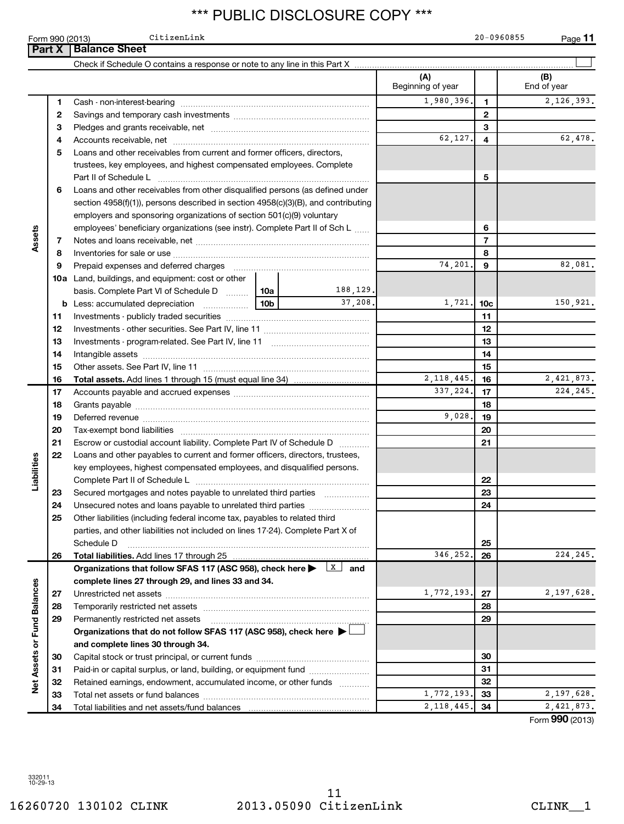**Part X** | Balance Sheet

Form 990 (2013) Page CitizenLink 20-0960855

**11**

|                             |    |                                                                                                                                                                                                                                |  |                         | (A)<br>Beginning of year |                                                               | (B)<br>End of year          |
|-----------------------------|----|--------------------------------------------------------------------------------------------------------------------------------------------------------------------------------------------------------------------------------|--|-------------------------|--------------------------|---------------------------------------------------------------|-----------------------------|
|                             | 1. |                                                                                                                                                                                                                                |  |                         | 1,980,396.               | $\mathbf{1}$                                                  | 2,126,393.                  |
|                             | 2  |                                                                                                                                                                                                                                |  |                         |                          | $\mathbf{2}$                                                  |                             |
|                             | 3  |                                                                                                                                                                                                                                |  |                         | 3                        |                                                               |                             |
|                             | 4  |                                                                                                                                                                                                                                |  |                         | 62,127.                  | 62,478.<br>4<br>5<br>6<br>$\overline{7}$<br>8<br>82,081.<br>9 |                             |
|                             | 5  | Loans and other receivables from current and former officers, directors,                                                                                                                                                       |  |                         |                          |                                                               |                             |
|                             |    | trustees, key employees, and highest compensated employees. Complete                                                                                                                                                           |  |                         |                          |                                                               |                             |
|                             |    | Part II of Schedule Later and Communications and Contract II of Schedule Later and Communications and Den                                                                                                                      |  |                         |                          |                                                               |                             |
| Assets                      | 6  | Loans and other receivables from other disqualified persons (as defined under                                                                                                                                                  |  |                         |                          |                                                               |                             |
|                             |    | section $4958(f)(1)$ , persons described in section $4958(c)(3)(B)$ , and contributing                                                                                                                                         |  |                         |                          |                                                               |                             |
|                             |    | employers and sponsoring organizations of section 501(c)(9) voluntary                                                                                                                                                          |  |                         |                          |                                                               |                             |
|                             |    | employees' beneficiary organizations (see instr). Complete Part II of Sch L                                                                                                                                                    |  |                         |                          |                                                               |                             |
|                             | 7  |                                                                                                                                                                                                                                |  |                         |                          |                                                               |                             |
|                             | 8  |                                                                                                                                                                                                                                |  |                         |                          |                                                               |                             |
|                             | 9  | Prepaid expenses and deferred charges [11] [11] prepaid expenses and deferred charges [11] [11] minimum and the Prepaid expenses and deferred charges [11] minimum and the Prepaid experiment of Prepaid experiment and the Pr |  |                         | 74,201.                  |                                                               |                             |
|                             |    | <b>10a</b> Land, buildings, and equipment: cost or other                                                                                                                                                                       |  |                         |                          |                                                               |                             |
|                             |    | basis. Complete Part VI of Schedule D    10a                                                                                                                                                                                   |  | 188,129.                |                          |                                                               |                             |
|                             |    |                                                                                                                                                                                                                                |  | 37,208.                 | 1,721.                   | 10 <sub>c</sub>                                               | 150,921.                    |
|                             | 11 |                                                                                                                                                                                                                                |  |                         |                          | 11                                                            |                             |
|                             | 12 |                                                                                                                                                                                                                                |  |                         |                          | 12                                                            |                             |
|                             | 13 |                                                                                                                                                                                                                                |  | 13                      |                          |                                                               |                             |
|                             | 14 |                                                                                                                                                                                                                                |  |                         |                          | 14                                                            |                             |
|                             | 15 |                                                                                                                                                                                                                                |  | 15                      |                          |                                                               |                             |
|                             | 16 | <b>Total assets.</b> Add lines 1 through 15 (must equal line 34) <i></i>                                                                                                                                                       |  |                         | 2, 118, 445.             | 16                                                            | 2,421,873.                  |
|                             | 17 |                                                                                                                                                                                                                                |  |                         | 337,224.                 | 17                                                            | 224, 245.                   |
|                             | 18 |                                                                                                                                                                                                                                |  |                         |                          | 18                                                            |                             |
|                             | 19 |                                                                                                                                                                                                                                |  |                         |                          | 19                                                            |                             |
|                             | 20 |                                                                                                                                                                                                                                |  |                         | 9,028.<br>20<br>21       |                                                               |                             |
|                             | 21 | Escrow or custodial account liability. Complete Part IV of Schedule D                                                                                                                                                          |  |                         |                          |                                                               |                             |
|                             | 22 | Loans and other payables to current and former officers, directors, trustees,                                                                                                                                                  |  |                         |                          |                                                               |                             |
|                             |    | key employees, highest compensated employees, and disqualified persons.                                                                                                                                                        |  |                         |                          |                                                               |                             |
| Liabilities                 |    |                                                                                                                                                                                                                                |  |                         |                          | 22                                                            |                             |
|                             | 23 | Secured mortgages and notes payable to unrelated third parties                                                                                                                                                                 |  |                         |                          | 23                                                            |                             |
|                             | 24 |                                                                                                                                                                                                                                |  |                         |                          | 24                                                            |                             |
|                             | 25 | Other liabilities (including federal income tax, payables to related third                                                                                                                                                     |  |                         |                          |                                                               |                             |
|                             |    | parties, and other liabilities not included on lines 17-24). Complete Part X of                                                                                                                                                |  |                         |                          |                                                               |                             |
|                             |    | Schedule D                                                                                                                                                                                                                     |  |                         |                          | 25                                                            |                             |
|                             | 26 | Total liabilities. Add lines 17 through 25                                                                                                                                                                                     |  |                         | 346,252.                 | 26                                                            | 224, 245.                   |
|                             |    | Organizations that follow SFAS 117 (ASC 958), check here >                                                                                                                                                                     |  | $\lfloor x \rfloor$ and |                          |                                                               |                             |
|                             |    | complete lines 27 through 29, and lines 33 and 34.                                                                                                                                                                             |  |                         |                          |                                                               |                             |
|                             | 27 |                                                                                                                                                                                                                                |  |                         | 1,772,193.               | 27                                                            | 2,197,628.                  |
|                             | 28 |                                                                                                                                                                                                                                |  |                         |                          | 28                                                            |                             |
|                             | 29 | Permanently restricted net assets                                                                                                                                                                                              |  |                         |                          | 29                                                            |                             |
|                             |    | Organizations that do not follow SFAS 117 (ASC 958), check here ▶ L                                                                                                                                                            |  |                         |                          |                                                               |                             |
|                             |    | and complete lines 30 through 34.                                                                                                                                                                                              |  |                         |                          |                                                               |                             |
| Net Assets or Fund Balances | 30 |                                                                                                                                                                                                                                |  |                         |                          | 30                                                            |                             |
|                             | 31 | Paid-in or capital surplus, or land, building, or equipment fund                                                                                                                                                               |  |                         |                          | 31                                                            |                             |
|                             | 32 | Retained earnings, endowment, accumulated income, or other funds                                                                                                                                                               |  |                         | 1,772,193.               | 32                                                            | 2,197,628.                  |
|                             | 33 |                                                                                                                                                                                                                                |  |                         | 2, 118, 445.             | 33                                                            | 2,421,873.                  |
|                             | 34 | Total liabilities and net assets/fund balances                                                                                                                                                                                 |  |                         |                          | 34                                                            | $T_{\text{arm}}$ 000 (2012) |

Form (2013) **990**

332011 10-29-13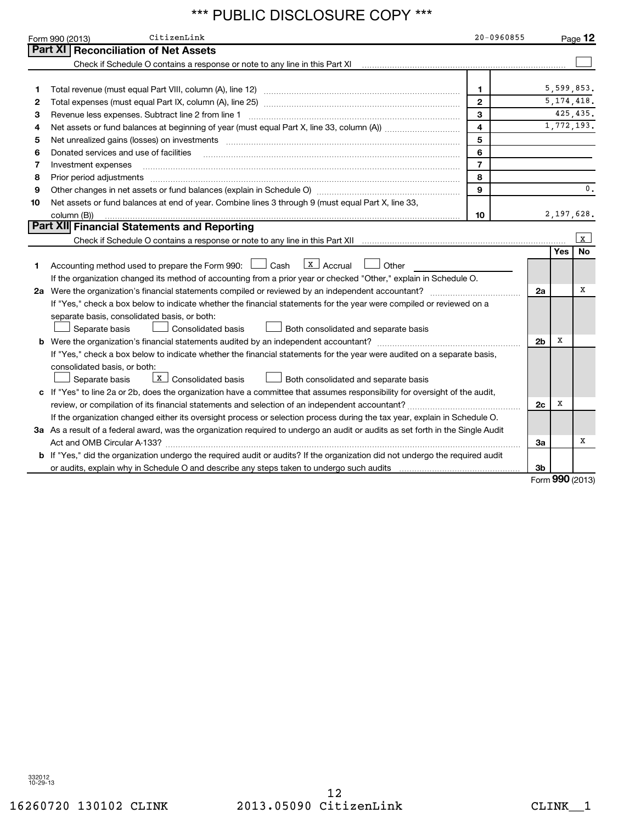|    | CitizenLink<br>Form 990 (2013)                                                                                                                                    | $20 - 0960855$ |                |     | Page 12      |
|----|-------------------------------------------------------------------------------------------------------------------------------------------------------------------|----------------|----------------|-----|--------------|
|    | <b>Part XI Reconciliation of Net Assets</b>                                                                                                                       |                |                |     |              |
|    | Check if Schedule O contains a response or note to any line in this Part XI [11] [12] Check if Schedule O contains a response or note to any line in this Part XI |                |                |     |              |
|    |                                                                                                                                                                   |                |                |     |              |
| 1  |                                                                                                                                                                   | $\mathbf{1}$   |                |     | 5,599,853.   |
| 2  |                                                                                                                                                                   | $\overline{2}$ |                |     | 5, 174, 418. |
| 3  | Revenue less expenses. Subtract line 2 from line 1                                                                                                                | 3              |                |     | 425, 435.    |
| 4  |                                                                                                                                                                   | $\overline{4}$ |                |     | 1,772,193.   |
| 5  |                                                                                                                                                                   | 5              |                |     |              |
| 6  | Donated services and use of facilities                                                                                                                            | 6              |                |     |              |
| 7  | Investment expenses                                                                                                                                               | $\overline{7}$ |                |     |              |
| 8  | Prior period adjustments                                                                                                                                          | 8              |                |     |              |
| 9  |                                                                                                                                                                   | $\mathbf{9}$   |                |     | 0.           |
| 10 | Net assets or fund balances at end of year. Combine lines 3 through 9 (must equal Part X, line 33,                                                                |                |                |     |              |
|    | column (B))                                                                                                                                                       | 10             |                |     | 2,197,628.   |
|    | <b>Part XII Financial Statements and Reporting</b>                                                                                                                |                |                |     |              |
|    | Check if Schedule O contains a response or note to any line in this Part XII                                                                                      |                |                |     | $\mathbf{x}$ |
|    |                                                                                                                                                                   |                |                | Yes | No           |
| 1  | $\lfloor x \rfloor$ Accrual<br>Accounting method used to prepare the Form 990: $\Box$ Cash<br>Other                                                               |                |                |     |              |
|    | If the organization changed its method of accounting from a prior year or checked "Other," explain in Schedule O.                                                 |                |                |     |              |
|    | 2a Were the organization's financial statements compiled or reviewed by an independent accountant?                                                                |                | 2a             |     | х            |
|    | If "Yes," check a box below to indicate whether the financial statements for the year were compiled or reviewed on a                                              |                |                |     |              |
|    | separate basis, consolidated basis, or both:                                                                                                                      |                |                |     |              |
|    | Separate basis<br><b>Consolidated basis</b><br>Both consolidated and separate basis                                                                               |                |                |     |              |
|    |                                                                                                                                                                   |                | 2 <sub>b</sub> | X   |              |
|    | If "Yes," check a box below to indicate whether the financial statements for the year were audited on a separate basis,                                           |                |                |     |              |
|    | consolidated basis, or both:                                                                                                                                      |                |                |     |              |
|    | $\boxed{\text{x}}$ Consolidated basis<br>Both consolidated and separate basis<br>Separate basis                                                                   |                |                |     |              |
|    | c If "Yes" to line 2a or 2b, does the organization have a committee that assumes responsibility for oversight of the audit,                                       |                |                |     |              |
|    | review, or compilation of its financial statements and selection of an independent accountant?                                                                    |                | 2c             | X   |              |
|    | If the organization changed either its oversight process or selection process during the tax year, explain in Schedule O.                                         |                |                |     |              |
|    | 3a As a result of a federal award, was the organization required to undergo an audit or audits as set forth in the Single Audit                                   |                |                |     |              |
|    |                                                                                                                                                                   |                | За             |     | х            |
|    | b If "Yes," did the organization undergo the required audit or audits? If the organization did not undergo the required audit                                     |                |                |     |              |
|    |                                                                                                                                                                   |                | 3b             |     |              |

Form **990** (2013)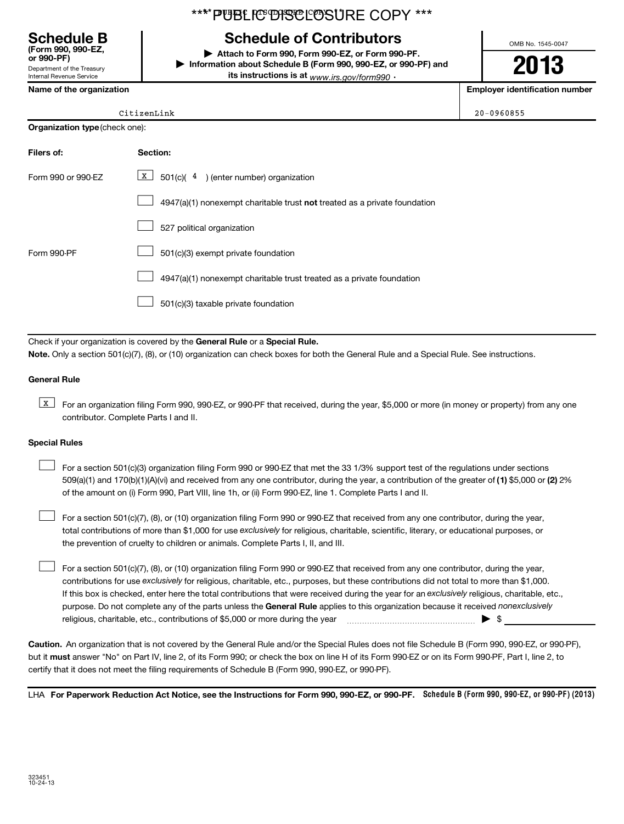### Department of the Treasury **(Form 990, 990-EZ,**

Internal Revenue Service

### \*\*\*\*PUBLIC DISCLOSURE COPY \*\*\*

### **Schedule B Schedule of Contributors**

**or 990-PF) | Attach to Form 990, Form 990-EZ, or Form 990-PF. | Information about Schedule B (Form 990, 990-EZ, or 990-PF) and its instructions is at** <sub>www.irs.gov/form990  $\cdot$ </sub>

OMB No. 1545-0047

**2013**

**Name of the organization Employer identification number**

| iame or the organization |  |  |  |
|--------------------------|--|--|--|
|                          |  |  |  |

| CitizenLink | 20-0960855 |
|-------------|------------|

| Citize |
|--------|
|        |

| <b>Organization type (check one):</b> |                                                                                    |  |  |  |  |  |
|---------------------------------------|------------------------------------------------------------------------------------|--|--|--|--|--|
| Filers of:                            | <b>Section:</b>                                                                    |  |  |  |  |  |
| Form 990 or 990-EZ                    | $X$ 501(c)(4) (enter number) organization                                          |  |  |  |  |  |
|                                       | $4947(a)(1)$ nonexempt charitable trust <b>not</b> treated as a private foundation |  |  |  |  |  |
|                                       | 527 political organization                                                         |  |  |  |  |  |
| Form 990-PF                           | 501(c)(3) exempt private foundation                                                |  |  |  |  |  |
|                                       | 4947(a)(1) nonexempt charitable trust treated as a private foundation              |  |  |  |  |  |
|                                       | 501(c)(3) taxable private foundation                                               |  |  |  |  |  |

Check if your organization is covered by the General Rule or a Special Rule. **Note.**  Only a section 501(c)(7), (8), or (10) organization can check boxes for both the General Rule and a Special Rule. See instructions.

### **General Rule**

**K** For an organization filing Form 990, 990-EZ, or 990-PF that received, during the year, \$5,000 or more (in money or property) from any one contributor. Complete Parts I and II.

### **Special Rules**

509(a)(1) and 170(b)(1)(A)(vi) and received from any one contributor, during the year, a contribution of the greater of (1**)** \$5,000 or (**2**) 2% For a section 501(c)(3) organization filing Form 990 or 990-EZ that met the 33 1/3% support test of the regulations under sections of the amount on (i) Form 990, Part VIII, line 1h, or (ii) Form 990-EZ, line 1. Complete Parts I and II.  $\left\vert \cdot\right\vert$ 

total contributions of more than \$1,000 for use exclusively for religious, charitable, scientific, literary, or educational purposes, or For a section 501(c)(7), (8), or (10) organization filing Form 990 or 990-EZ that received from any one contributor, during the year, the prevention of cruelty to children or animals. Complete Parts I, II, and III.  $\left\vert \cdot\right\vert$ 

purpose. Do not complete any of the parts unless the General Rule applies to this organization because it received nonexclusively contributions for use exclusively for religious, charitable, etc., purposes, but these contributions did not total to more than \$1,000. If this box is checked, enter here the total contributions that were received during the year for an exclusively religious, charitable, etc., For a section 501(c)(7), (8), or (10) organization filing Form 990 or 990-EZ that received from any one contributor, during the year, religious, charitable, etc., contributions of \$5,000 or more during the year  $\Box$   $\Box$   $\Box$   $\Box$  $\left\vert \cdot\right\vert$ 

**Caution.** An organization that is not covered by the General Rule and/or the Special Rules does not file Schedule B (Form 990, 990-EZ, or 990-PF),  **must** but it answer "No" on Part IV, line 2, of its Form 990; or check the box on line H of its Form 990-EZ or on its Form 990-PF, Part I, line 2, to certify that it does not meet the filing requirements of Schedule B (Form 990, 990-EZ, or 990-PF).

LHA For Paperwork Reduction Act Notice, see the Instructions for Form 990, 990-EZ, or 990-PF. Schedule B (Form 990, 990-EZ, or 990-PF) (2013)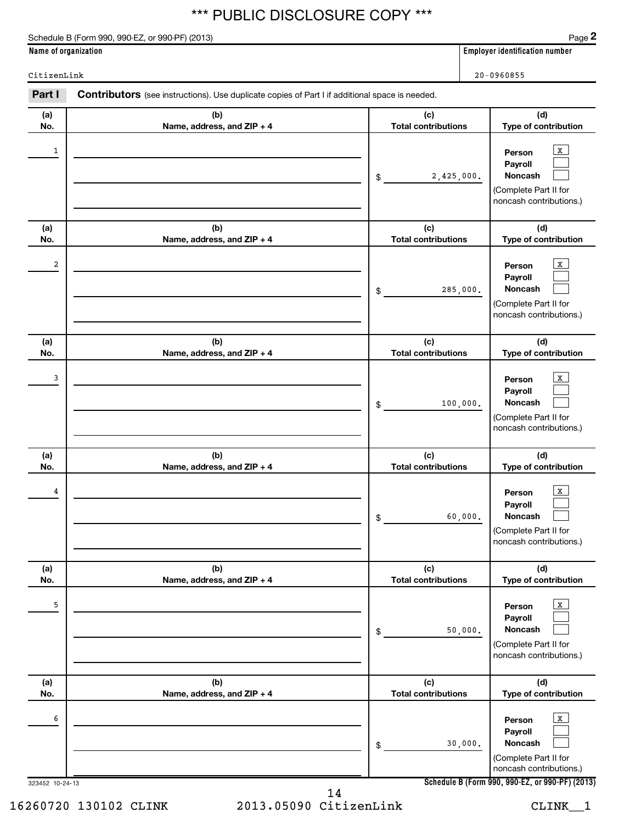Schedule B (Form 990, 990-EZ, or 990-PF) (2013)

**2**

**Name of organization Employer identification number**

CitizenLink 20-0960855

| Part I               | <b>Contributors</b> (see instructions). Use duplicate copies of Part I if additional space is needed. |                                   |                                                                                                                                                     |
|----------------------|-------------------------------------------------------------------------------------------------------|-----------------------------------|-----------------------------------------------------------------------------------------------------------------------------------------------------|
| (a)<br>No.           | (b)<br>Name, address, and ZIP + 4                                                                     | (c)<br><b>Total contributions</b> | (d)<br>Type of contribution                                                                                                                         |
| 1                    |                                                                                                       | 2,425,000.<br>\$                  | $\mathbf{X}$<br>Person<br>Payroll<br>Noncash<br>(Complete Part II for<br>noncash contributions.)                                                    |
| (a)<br>No.           | (b)<br>Name, address, and ZIP + 4                                                                     | (c)<br><b>Total contributions</b> | (d)<br>Type of contribution                                                                                                                         |
| 2                    |                                                                                                       | 285,000.<br>\$                    | $\mathbf{X}$<br>Person<br>Payroll<br>Noncash<br>(Complete Part II for<br>noncash contributions.)                                                    |
| (a)<br>No.           | (b)<br>Name, address, and ZIP + 4                                                                     | (c)<br><b>Total contributions</b> | (d)<br>Type of contribution                                                                                                                         |
| 3                    |                                                                                                       | 100,000.<br>\$                    | $\mathbf{X}$<br>Person<br>Payroll<br>Noncash<br>(Complete Part II for<br>noncash contributions.)                                                    |
| (a)<br>No.           | (b)<br>Name, address, and ZIP + 4                                                                     | (c)<br><b>Total contributions</b> | (d)<br>Type of contribution                                                                                                                         |
| 4                    |                                                                                                       | 60,000.<br>\$                     | $\mathbf{X}$<br>Person<br>Payroll<br>Noncash<br>(Complete Part II for<br>noncash contributions.)                                                    |
| (a)<br>No.           | (b)<br>Name, address, and ZIP + 4                                                                     | (c)<br><b>Total contributions</b> | (d)<br>Type of contribution                                                                                                                         |
| 5                    |                                                                                                       | 50,000.<br>\$                     | $\mathbf{X}$<br>Person<br>Payroll<br>Noncash<br>(Complete Part II for<br>noncash contributions.)                                                    |
| (a)<br>No.           | (b)<br>Name, address, and ZIP + 4                                                                     | (c)<br><b>Total contributions</b> | (d)<br>Type of contribution                                                                                                                         |
| 6<br>323452 10-24-13 |                                                                                                       | 30,000.<br>\$                     | $\mathbf{X}$<br>Person<br>Payroll<br>Noncash<br>(Complete Part II for<br>noncash contributions.)<br>Schedule B (Form 990, 990-EZ, or 990-PF) (2013) |

16260720 130102 CLINK 2013.05090 CitizenLink CLINK\_\_1 14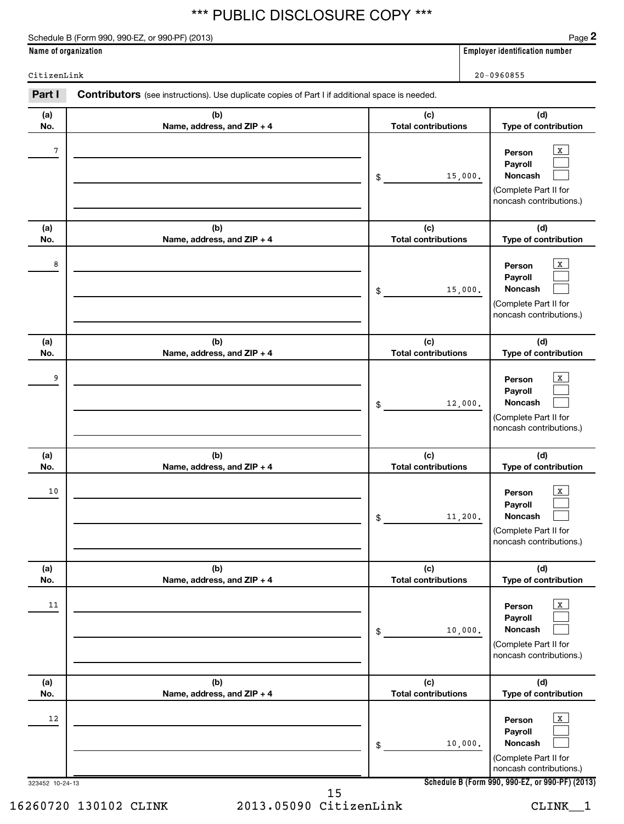Schedule B (Form 990, 990-EZ, or 990-PF) (2013)

**2**

**Name of organization Employer identification number**

CitizenLink 20-0960855

323452 10-24-13 **(a) No. (b) Name, address, and ZIP + 4 (c) Total contributions (d) Type of contribution Person Payroll Noncash (a) No. (b) Name, address, and ZIP + 4 (c) Total contributions (d) Type of contribution Person Payroll Noncash (a) No. (b) Name, address, and ZIP + 4 (c) Total contributions (d) Type of contribution Person Payroll Noncash (a) No. (b) Name, address, and ZIP + 4 (c) Total contributions (d) Type of contribution Person Payroll Noncash (a) No. (b) Name, address, and ZIP + 4 (c) Total contributions (d) Type of contribution Person Payroll Noncash (a) No. (b) Name, address, and ZIP + 4 (c) Total contributions (d) Type of contribution Person Payroll Noncash** Part I Contributors (see instructions). Use duplicate copies of Part I if additional space is needed. \$ (Complete Part II for noncash contributions.) \$ (Complete Part II for noncash contributions.) \$ (Complete Part II for noncash contributions.) \$ (Complete Part II for noncash contributions.) \$ (Complete Part II for noncash contributions.) \$ (Complete Part II for noncash contributions.)  $\vert x \vert$  $\Box$  $\Box$  $\vert x \vert$  $\Box$  $\Box$  $\mathbf{x}$  $\Box$  $\Box$  $\overline{X}$  $\Box$  $\Box$  $\lfloor x \rfloor$  $\Box$  $\Box$  $\vert$  X  $\Box$  $\Box$ 7 X 15,000. 8 X 15,000. 9 | Person  $\overline{\textbf{X}}$ 12,000.  $10$  Person  $\overline{\text{X}}$ 11,200.  $11$  Person  $\overline{\text{X}}$ 10,000.  $12$  Person  $\overline{\text{X}}$ 10,000.

**Schedule B (Form 990, 990-EZ, or 990-PF) (2013)**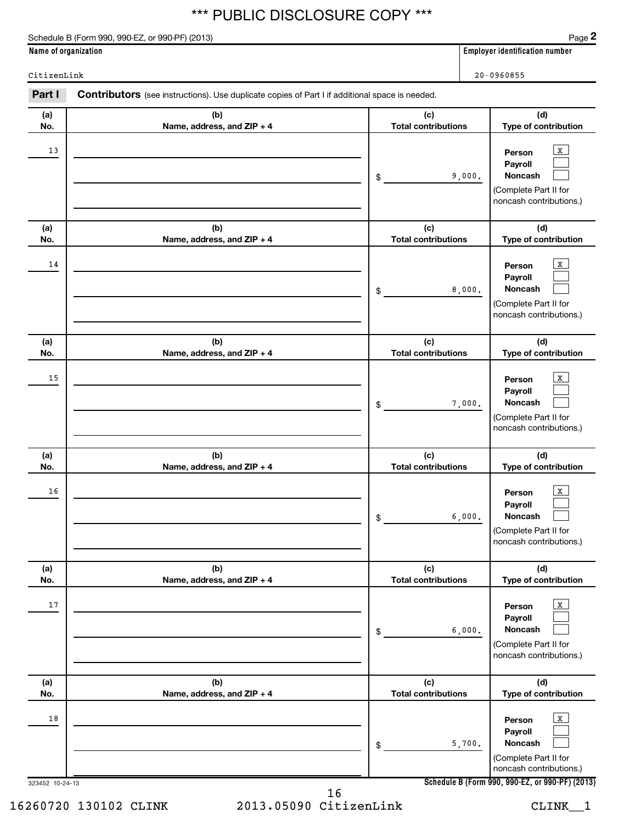Schedule B (Form 990, 990-EZ, or 990-PF) (2013)

**2**

**Name of organization Employer identification number**

CitizenLink 20-0960855

| Part I          | Contributors (see instructions). Use duplicate copies of Part I if additional space is needed. |                                   |                                                                                                         |
|-----------------|------------------------------------------------------------------------------------------------|-----------------------------------|---------------------------------------------------------------------------------------------------------|
| (a)<br>No.      | (b)<br>Name, address, and ZIP + 4                                                              | (c)<br><b>Total contributions</b> | (d)<br>Type of contribution                                                                             |
| 13              |                                                                                                | 9,000.<br>\$                      | $\mathbf{X}$<br>Person<br>Payroll<br>Noncash<br>(Complete Part II for<br>noncash contributions.)        |
| (a)<br>No.      | (b)<br>Name, address, and ZIP + 4                                                              | (c)<br><b>Total contributions</b> | (d)<br>Type of contribution                                                                             |
| 14              |                                                                                                | 8,000.<br>\$                      | $\mathbf X$<br>Person<br>Payroll<br>Noncash<br>(Complete Part II for<br>noncash contributions.)         |
| (a)<br>No.      | (b)<br>Name, address, and ZIP + 4                                                              | (c)<br><b>Total contributions</b> | (d)<br>Type of contribution                                                                             |
| 15              |                                                                                                | 7,000.<br>\$                      | $\mathbf X$<br>Person<br>Payroll<br>Noncash<br>(Complete Part II for<br>noncash contributions.)         |
| (a)<br>No.      | (b)<br>Name, address, and ZIP + 4                                                              | (c)<br><b>Total contributions</b> | (d)<br>Type of contribution                                                                             |
| 16              |                                                                                                | 6,000.<br>\$                      | X<br>Person<br>Payroll<br>Noncash<br>(Complete Part II for<br>noncash contributions.)                   |
| (a)<br>No.      | (b)<br>Name, address, and ZIP + 4                                                              | (c)<br><b>Total contributions</b> | (d)<br>Type of contribution                                                                             |
| 17              |                                                                                                | 6,000.<br>\$                      | $\mathbf{X}$<br>Person<br>Payroll<br><b>Noncash</b><br>(Complete Part II for<br>noncash contributions.) |
| (a)<br>No.      | (b)<br>Name, address, and ZIP + 4                                                              | (c)<br><b>Total contributions</b> | (d)<br>Type of contribution                                                                             |
| 18              |                                                                                                | 5,700.<br>\$                      | $\mathbf X$<br>Person<br>Payroll<br>Noncash<br>(Complete Part II for<br>noncash contributions.)         |
| 323452 10-24-13 |                                                                                                |                                   | Schedule B (Form 990, 990-EZ, or 990-PF) (2013)                                                         |

16260720 130102 CLINK 2013.05090 CitizenLink CLINK\_\_1 16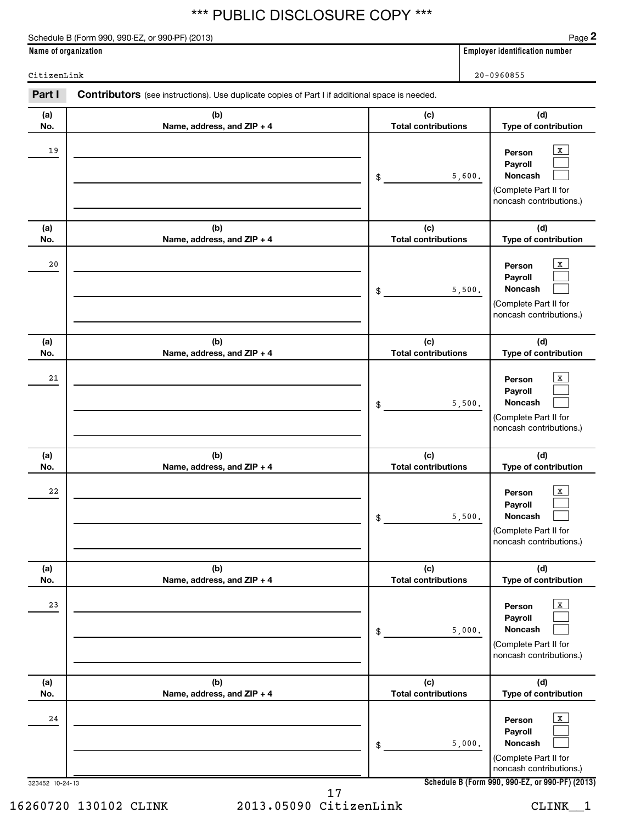Schedule B (Form 990, 990-EZ, or 990-PF) (2013)

**2**

**Name of organization Employer identification number**

CitizenLink 20-0960855

| Part I          | <b>Contributors</b> (see instructions). Use duplicate copies of Part I if additional space is needed. |                                   |                                                                                                  |
|-----------------|-------------------------------------------------------------------------------------------------------|-----------------------------------|--------------------------------------------------------------------------------------------------|
| (a)<br>No.      | (b)<br>Name, address, and ZIP + 4                                                                     | (c)<br><b>Total contributions</b> | (d)<br>Type of contribution                                                                      |
| 19              |                                                                                                       | 5,600.<br>\$                      | $\,$ X $\,$<br>Person<br>Payroll<br>Noncash<br>(Complete Part II for<br>noncash contributions.)  |
| (a)<br>No.      | (b)<br>Name, address, and ZIP + 4                                                                     | (c)<br><b>Total contributions</b> | (d)<br>Type of contribution                                                                      |
| 20              |                                                                                                       | 5,500.<br>\$                      | $\mathbf{X}$<br>Person<br>Payroll<br>Noncash<br>(Complete Part II for<br>noncash contributions.) |
| (a)<br>No.      | (b)<br>Name, address, and ZIP + 4                                                                     | (c)<br><b>Total contributions</b> | (d)<br>Type of contribution                                                                      |
| 21              |                                                                                                       | 5,500.<br>$\frac{1}{2}$           | $\mathbf{X}$<br>Person<br>Payroll<br>Noncash<br>(Complete Part II for<br>noncash contributions.) |
| (a)<br>No.      | (b)<br>Name, address, and ZIP + 4                                                                     | (c)<br><b>Total contributions</b> | (d)<br>Type of contribution                                                                      |
| 22              |                                                                                                       | 5,500.<br>\$                      | $\mathbf{X}$<br>Person<br>Payroll<br>Noncash<br>(Complete Part II for<br>noncash contributions.) |
| (a)<br>No.      | (b)<br>Name, address, and ZIP + 4                                                                     | (c)<br><b>Total contributions</b> | (d)<br>Type of contribution                                                                      |
| 23              |                                                                                                       | 5,000.<br>\$                      | $\mathbf{X}$<br>Person<br>Payroll<br>Noncash<br>(Complete Part II for<br>noncash contributions.) |
| (a)<br>No.      | (b)<br>Name, address, and ZIP + 4                                                                     | (c)<br><b>Total contributions</b> | (d)<br>Type of contribution                                                                      |
| 24              |                                                                                                       | 5,000.<br>\$                      | $\,$ X $\,$<br>Person<br>Payroll<br>Noncash<br>(Complete Part II for<br>noncash contributions.)  |
| 323452 10-24-13 |                                                                                                       |                                   | Schedule B (Form 990, 990-EZ, or 990-PF) (2013)                                                  |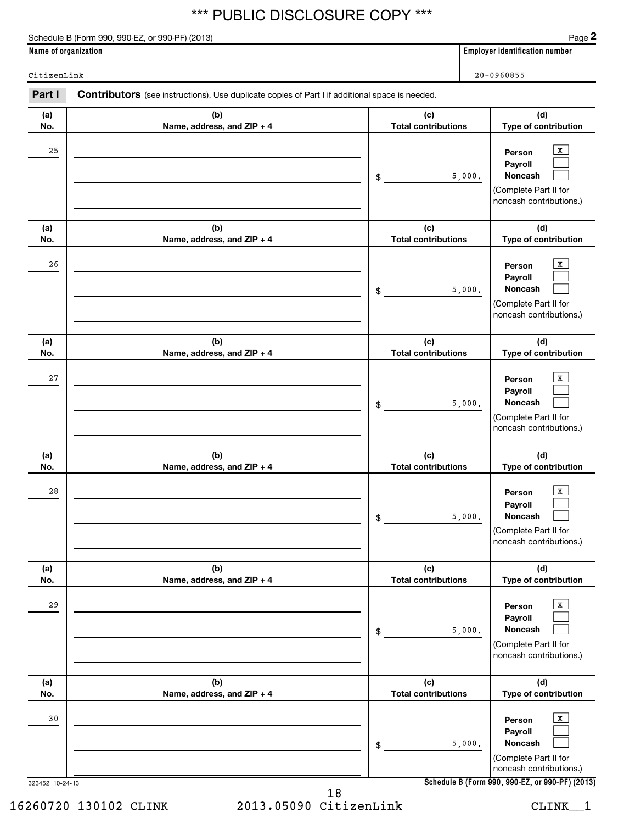Schedule B (Form 990, 990-EZ, or 990-PF) (2013)

**2**

**Name of organization Employer identification number**

CitizenLink 20-0960855

| Part I                | <b>Contributors</b> (see instructions). Use duplicate copies of Part I if additional space is needed. |                                   |                                                                                                                                                    |
|-----------------------|-------------------------------------------------------------------------------------------------------|-----------------------------------|----------------------------------------------------------------------------------------------------------------------------------------------------|
| (a)<br>No.            | (b)<br>Name, address, and ZIP + 4                                                                     | (c)<br><b>Total contributions</b> | (d)<br>Type of contribution                                                                                                                        |
| 25                    |                                                                                                       | 5,000.<br>\$                      | $\,$ X $\,$<br>Person<br>Payroll<br>Noncash<br>(Complete Part II for<br>noncash contributions.)                                                    |
| (a)<br>No.            | (b)<br>Name, address, and ZIP + 4                                                                     | (c)<br><b>Total contributions</b> | (d)<br>Type of contribution                                                                                                                        |
| 26                    |                                                                                                       | 5,000.<br>\$                      | $\,$ X $\,$<br>Person<br>Payroll<br>Noncash<br>(Complete Part II for<br>noncash contributions.)                                                    |
| (a)<br>No.            | (b)<br>Name, address, and ZIP + 4                                                                     | (c)<br><b>Total contributions</b> | (d)<br>Type of contribution                                                                                                                        |
| 27                    |                                                                                                       | 5,000.<br>\$                      | $\,$ X $\,$<br>Person<br>Payroll<br>Noncash<br>(Complete Part II for<br>noncash contributions.)                                                    |
| (a)<br>No.            | (b)<br>Name, address, and ZIP + 4                                                                     | (c)<br><b>Total contributions</b> | (d)<br>Type of contribution                                                                                                                        |
| 28                    |                                                                                                       | 5,000.<br>\$                      | $\mathbf{X}$<br>Person<br>Payroll<br>Noncash<br>(Complete Part II for<br>noncash contributions.)                                                   |
| (a)<br>No.            | (b)<br>Name, address, and ZIP + 4                                                                     | (c)<br><b>Total contributions</b> | (d)<br>Type of contribution                                                                                                                        |
| 29                    |                                                                                                       | 5,000.<br>\$                      | $\,$ X $\,$<br>Person<br>Payroll<br>Noncash<br>(Complete Part II for<br>noncash contributions.)                                                    |
| (a)<br>No.            | (b)<br>Name, address, and ZIP + 4                                                                     | (c)<br><b>Total contributions</b> | (d)<br>Type of contribution                                                                                                                        |
| 30<br>323452 10-24-13 |                                                                                                       | 5,000.<br>\$                      | $\,$ X $\,$<br>Person<br>Payroll<br>Noncash<br>(Complete Part II for<br>noncash contributions.)<br>Schedule B (Form 990, 990-EZ, or 990-PF) (2013) |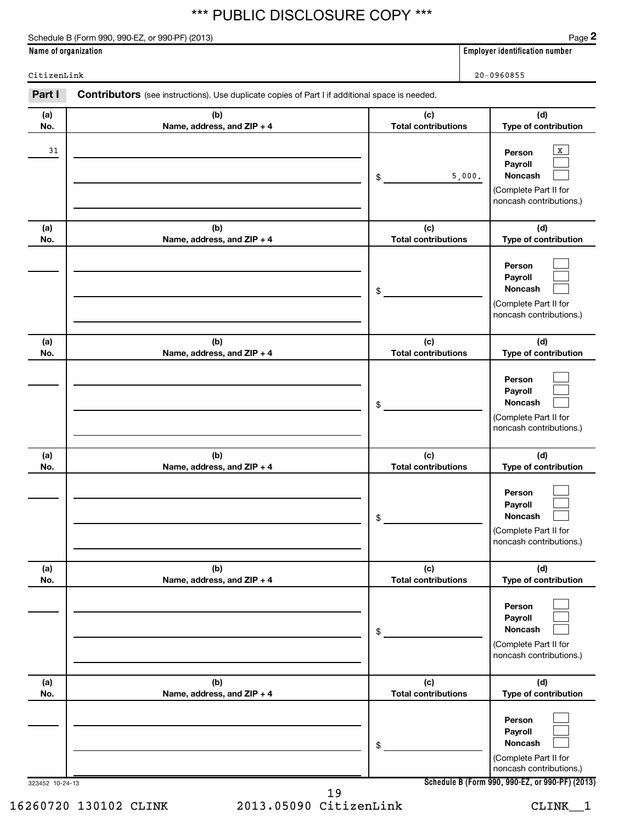Schedule B (Form 990, 990-EZ, or 990-PF) (2013)

**2**

**Name of organization Employer identification number**

CitizenLink 20-0960855

| Part I          | <b>Contributors</b> (see instructions). Use duplicate copies of Part I if additional space is needed. |                                   |                                                                                                  |
|-----------------|-------------------------------------------------------------------------------------------------------|-----------------------------------|--------------------------------------------------------------------------------------------------|
| (a)<br>No.      | (b)<br>Name, address, and ZIP + 4                                                                     | (c)<br><b>Total contributions</b> | (d)<br>Type of contribution                                                                      |
| 31              |                                                                                                       | 5,000.<br>\$                      | $\mathbf{x}$<br>Person<br>Payroll<br>Noncash<br>(Complete Part II for<br>noncash contributions.) |
| (a)<br>No.      | (b)<br>Name, address, and ZIP + 4                                                                     | (c)<br><b>Total contributions</b> | (d)<br>Type of contribution                                                                      |
|                 |                                                                                                       | \$                                | Person<br>Payroll<br>Noncash<br>(Complete Part II for<br>noncash contributions.)                 |
| (a)<br>No.      | (b)<br>Name, address, and ZIP + 4                                                                     | (c)<br><b>Total contributions</b> | (d)<br>Type of contribution                                                                      |
|                 |                                                                                                       | \$                                | Person<br>Payroll<br>Noncash<br>(Complete Part II for<br>noncash contributions.)                 |
| (a)<br>No.      | (b)<br>Name, address, and ZIP + 4                                                                     | (c)<br><b>Total contributions</b> | (d)<br>Type of contribution                                                                      |
|                 |                                                                                                       | \$                                | Person<br>Payroll<br><b>Noncash</b><br>(Complete Part II for<br>noncash contributions.)          |
| (a)<br>No.      | (b)<br>Name, address, and ZIP + 4                                                                     | (c)<br><b>Total contributions</b> | (d)<br>Type of contribution                                                                      |
|                 |                                                                                                       | $\,$                              | Person<br>Payroll<br><b>Noncash</b><br>(Complete Part II for<br>noncash contributions.)          |
| (a)<br>No.      | (b)<br>Name, address, and ZIP + 4                                                                     | (c)<br><b>Total contributions</b> | (d)<br>Type of contribution                                                                      |
|                 |                                                                                                       | \$                                | Person<br>Payroll<br><b>Noncash</b><br>(Complete Part II for<br>noncash contributions.)          |
| 323452 10-24-13 |                                                                                                       |                                   | Schedule B (Form 990, 990-EZ, or 990-PF) (2013)                                                  |

16260720 130102 CLINK 2013.05090 CitizenLink CLINK\_\_1 19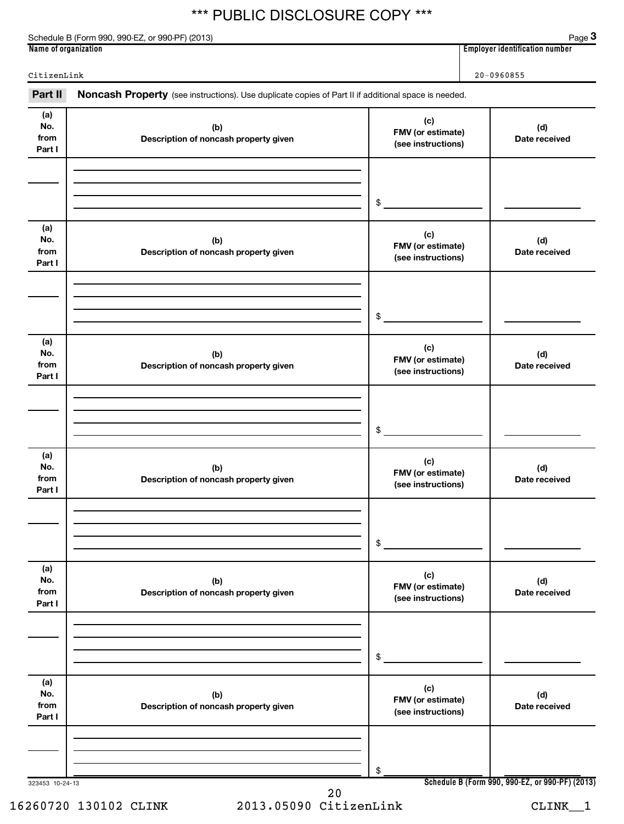Part II Noncash Property (see instructions). Use duplicate copies of Part II if additional space is needed.

CitizenLink 20-0960855

Schedule B (Form 990, 990-EZ, or 990-PF) (2013)

**Name of organization Employer identification number**

**3**

323453 10-24-13 **Schedule B (Form 990, 990-EZ, or 990-PF) (2013) (a) No. from Part I (c) FMV (or estimate) (see instructions) (b) Description of noncash property given (d) Date received (a) No. from Part I (c) FMV (or estimate) (see instructions) (b) Description of noncash property given (d) Date received (a) No. from Part I (c) FMV (or estimate) (see instructions) (b) Description of noncash property given (d) Date received (a) No. from Part I (c) FMV (or estimate) (see instructions) (b) Description of noncash property given (d) Date received (a) No. from Part I (c) FMV (or estimate) (see instructions) (b) Description of noncash property given (d) Date received (a) No. from Part I (c) FMV (or estimate) (see instructions) (b) Description of noncash property given (d) Date received** \$  $$$ \$ \$ \$ \$ 20

16260720 130102 CLINK 2013.05090 CitizenLink CLINK\_\_1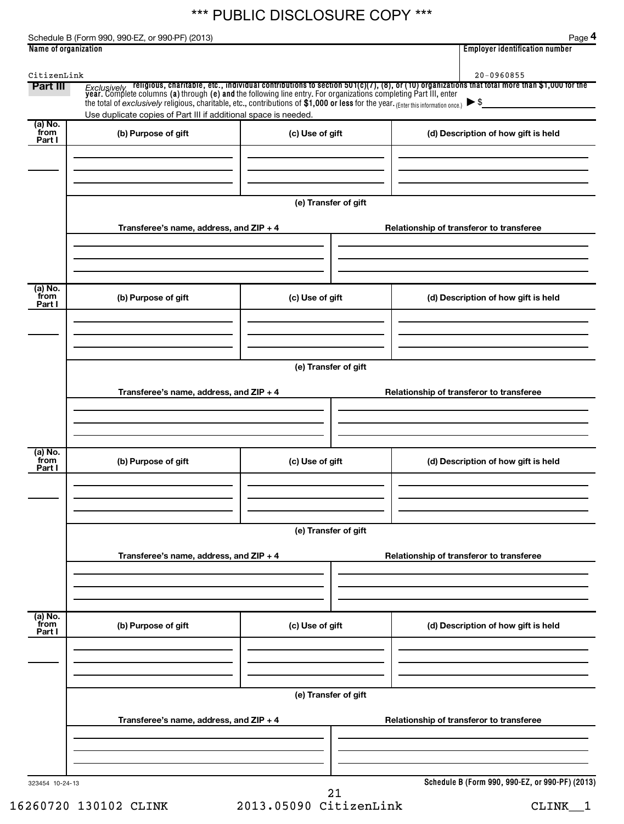Schedule B (Form 990, 990-EZ, or 990-PF) (2013)

**4**

| CitizenLink                            |                                                                                                                                                                                                                                                                                                    |                      |  | $20 - 0960855$                                  |
|----------------------------------------|----------------------------------------------------------------------------------------------------------------------------------------------------------------------------------------------------------------------------------------------------------------------------------------------------|----------------------|--|-------------------------------------------------|
| Part III                               | Exclusively religious, charitable, etc., individual contributions to section 501(c)(7), (8), or (10) organizations that total more than \$1,000 for the year. Complete columns (a) through (e) and the following line entry. Fo<br>Use duplicate copies of Part III if additional space is needed. |                      |  |                                                 |
| (a) No.<br>from<br>Part I              | (b) Purpose of gift                                                                                                                                                                                                                                                                                | (c) Use of gift      |  | (d) Description of how gift is held             |
|                                        |                                                                                                                                                                                                                                                                                                    |                      |  |                                                 |
|                                        |                                                                                                                                                                                                                                                                                                    | (e) Transfer of gift |  |                                                 |
|                                        | Transferee's name, address, and $ZIP + 4$                                                                                                                                                                                                                                                          |                      |  | Relationship of transferor to transferee        |
| (a) No.<br>from                        | (b) Purpose of gift                                                                                                                                                                                                                                                                                | (c) Use of gift      |  | (d) Description of how gift is held             |
| Part I                                 |                                                                                                                                                                                                                                                                                                    |                      |  |                                                 |
|                                        |                                                                                                                                                                                                                                                                                                    |                      |  |                                                 |
|                                        |                                                                                                                                                                                                                                                                                                    | (e) Transfer of gift |  |                                                 |
|                                        | Transferee's name, address, and ZIP + 4                                                                                                                                                                                                                                                            |                      |  | Relationship of transferor to transferee        |
|                                        |                                                                                                                                                                                                                                                                                                    |                      |  |                                                 |
| $\overline{a}$ ) No.<br>from<br>Part I | (b) Purpose of gift                                                                                                                                                                                                                                                                                | (c) Use of gift      |  | (d) Description of how gift is held             |
|                                        |                                                                                                                                                                                                                                                                                                    |                      |  |                                                 |
|                                        |                                                                                                                                                                                                                                                                                                    | (e) Transfer of gift |  |                                                 |
|                                        | Transferee's name, address, and ZIP + 4                                                                                                                                                                                                                                                            |                      |  | Relationship of transferor to transferee        |
|                                        |                                                                                                                                                                                                                                                                                                    |                      |  |                                                 |
| (a) No.<br>from<br>Part I              | (b) Purpose of gift                                                                                                                                                                                                                                                                                | (c) Use of gift      |  | (d) Description of how gift is held             |
|                                        |                                                                                                                                                                                                                                                                                                    |                      |  |                                                 |
|                                        | Transferee's name, address, and ZIP + 4                                                                                                                                                                                                                                                            | (e) Transfer of gift |  | Relationship of transferor to transferee        |
|                                        |                                                                                                                                                                                                                                                                                                    |                      |  |                                                 |
| 323454 10-24-13                        |                                                                                                                                                                                                                                                                                                    |                      |  | Schedule B (Form 990, 990-EZ, or 990-PF) (2013) |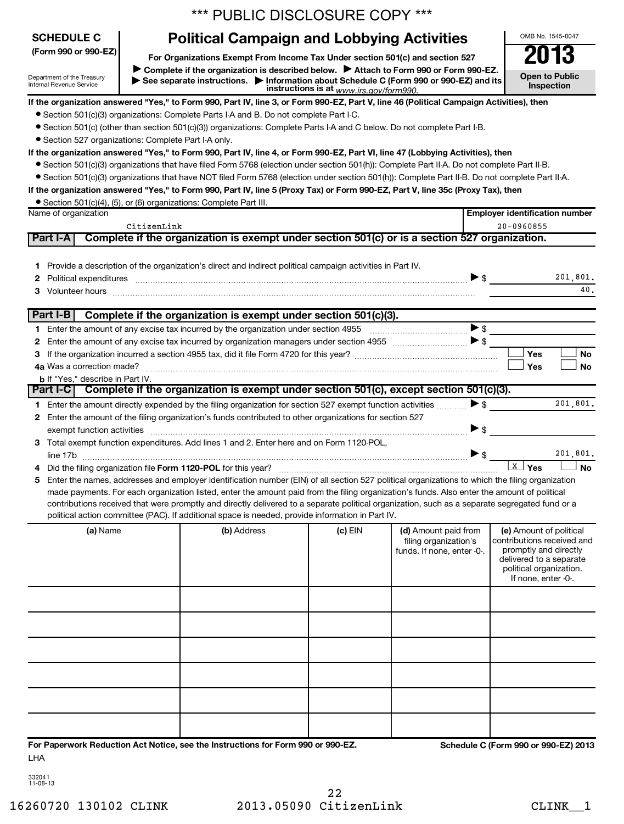|                                                                                                                                                                                                                                                                                                                                                                                             |             | *** PUBLIC DISCLOSURE COPY ***                                                                                                                                                                                                                                                                |         |                            |                          |                                                  |  |
|---------------------------------------------------------------------------------------------------------------------------------------------------------------------------------------------------------------------------------------------------------------------------------------------------------------------------------------------------------------------------------------------|-------------|-----------------------------------------------------------------------------------------------------------------------------------------------------------------------------------------------------------------------------------------------------------------------------------------------|---------|----------------------------|--------------------------|--------------------------------------------------|--|
| <b>SCHEDULE C</b>                                                                                                                                                                                                                                                                                                                                                                           |             | <b>Political Campaign and Lobbying Activities</b>                                                                                                                                                                                                                                             |         |                            |                          | OMB No. 1545-0047                                |  |
| (Form 990 or 990-EZ)<br>For Organizations Exempt From Income Tax Under section 501(c) and section 527<br>Complete if the organization is described below. ▶ Attach to Form 990 or Form 990-EZ.<br>Department of the Treasury<br>See separate instructions. Information about Schedule C (Form 990 or 990-EZ) and its<br>Internal Revenue Service<br>instructions is at www.irs.gov/form990. |             |                                                                                                                                                                                                                                                                                               |         |                            |                          |                                                  |  |
|                                                                                                                                                                                                                                                                                                                                                                                             |             |                                                                                                                                                                                                                                                                                               |         |                            |                          |                                                  |  |
|                                                                                                                                                                                                                                                                                                                                                                                             |             | • Section 501(c)(3) organizations: Complete Parts I-A and B. Do not complete Part I-C.                                                                                                                                                                                                        |         |                            |                          |                                                  |  |
|                                                                                                                                                                                                                                                                                                                                                                                             |             | • Section 501(c) (other than section 501(c)(3)) organizations: Complete Parts I-A and C below. Do not complete Part I-B.                                                                                                                                                                      |         |                            |                          |                                                  |  |
| • Section 527 organizations: Complete Part I-A only.                                                                                                                                                                                                                                                                                                                                        |             |                                                                                                                                                                                                                                                                                               |         |                            |                          |                                                  |  |
|                                                                                                                                                                                                                                                                                                                                                                                             |             | If the organization answered "Yes," to Form 990, Part IV, line 4, or Form 990-EZ, Part VI, line 47 (Lobbying Activities), then<br>• Section 501(c)(3) organizations that have filed Form 5768 (election under section 501(h)): Complete Part II-A. Do not complete Part II-B.                 |         |                            |                          |                                                  |  |
|                                                                                                                                                                                                                                                                                                                                                                                             |             | • Section 501(c)(3) organizations that have NOT filed Form 5768 (election under section 501(h)): Complete Part II-B. Do not complete Part II-A.                                                                                                                                               |         |                            |                          |                                                  |  |
|                                                                                                                                                                                                                                                                                                                                                                                             |             | If the organization answered "Yes," to Form 990, Part IV, line 5 (Proxy Tax) or Form 990-EZ, Part V, line 35c (Proxy Tax), then                                                                                                                                                               |         |                            |                          |                                                  |  |
|                                                                                                                                                                                                                                                                                                                                                                                             |             | • Section 501(c)(4), (5), or (6) organizations: Complete Part III.                                                                                                                                                                                                                            |         |                            |                          |                                                  |  |
| Name of organization                                                                                                                                                                                                                                                                                                                                                                        |             |                                                                                                                                                                                                                                                                                               |         |                            |                          | <b>Employer identification number</b>            |  |
|                                                                                                                                                                                                                                                                                                                                                                                             | CitizenLink |                                                                                                                                                                                                                                                                                               |         |                            |                          | 20-0960855                                       |  |
| Part I-A                                                                                                                                                                                                                                                                                                                                                                                    |             | Complete if the organization is exempt under section 501(c) or is a section 527 organization.                                                                                                                                                                                                 |         |                            |                          |                                                  |  |
|                                                                                                                                                                                                                                                                                                                                                                                             |             |                                                                                                                                                                                                                                                                                               |         |                            |                          |                                                  |  |
|                                                                                                                                                                                                                                                                                                                                                                                             |             | 1 Provide a description of the organization's direct and indirect political campaign activities in Part IV.                                                                                                                                                                                   |         |                            |                          | 201,801.                                         |  |
|                                                                                                                                                                                                                                                                                                                                                                                             |             | Political expenditures information and continuum and contract the contract of the contract of the contract of                                                                                                                                                                                 |         |                            | $\blacktriangleright$ \$ | 40.                                              |  |
|                                                                                                                                                                                                                                                                                                                                                                                             |             | 3 Volunteer hours <b>contract and the contract of the contract of the contract of the contract of the contract of the contract of the contract of the contract of the contract of the contract of the contract of the contract o</b>                                                          |         |                            |                          |                                                  |  |
| Part I-B                                                                                                                                                                                                                                                                                                                                                                                    |             | Complete if the organization is exempt under section 501(c)(3).                                                                                                                                                                                                                               |         |                            |                          |                                                  |  |
|                                                                                                                                                                                                                                                                                                                                                                                             |             |                                                                                                                                                                                                                                                                                               |         |                            | $\blacktriangleright$ \$ |                                                  |  |
|                                                                                                                                                                                                                                                                                                                                                                                             |             |                                                                                                                                                                                                                                                                                               |         |                            |                          |                                                  |  |
|                                                                                                                                                                                                                                                                                                                                                                                             |             |                                                                                                                                                                                                                                                                                               |         |                            |                          | Yes<br>No                                        |  |
| 4a Was a correction made?                                                                                                                                                                                                                                                                                                                                                                   |             |                                                                                                                                                                                                                                                                                               |         |                            |                          | <b>No</b><br>Yes                                 |  |
| <b>b</b> If "Yes," describe in Part IV.                                                                                                                                                                                                                                                                                                                                                     |             |                                                                                                                                                                                                                                                                                               |         |                            |                          |                                                  |  |
| Part I-C1                                                                                                                                                                                                                                                                                                                                                                                   |             | Complete if the organization is exempt under section 501(c), except section 501(c)(3).                                                                                                                                                                                                        |         |                            |                          |                                                  |  |
|                                                                                                                                                                                                                                                                                                                                                                                             |             | 1 Enter the amount directly expended by the filing organization for section 527 exempt function activities                                                                                                                                                                                    |         |                            | $\blacktriangleright$ \$ | 201,801.                                         |  |
|                                                                                                                                                                                                                                                                                                                                                                                             |             | 2 Enter the amount of the filing organization's funds contributed to other organizations for section 527                                                                                                                                                                                      |         |                            |                          |                                                  |  |
|                                                                                                                                                                                                                                                                                                                                                                                             |             |                                                                                                                                                                                                                                                                                               |         |                            | $\blacktriangleright$ \$ |                                                  |  |
|                                                                                                                                                                                                                                                                                                                                                                                             |             | 3 Total exempt function expenditures. Add lines 1 and 2. Enter here and on Form 1120-POL,                                                                                                                                                                                                     |         |                            |                          |                                                  |  |
|                                                                                                                                                                                                                                                                                                                                                                                             |             |                                                                                                                                                                                                                                                                                               |         |                            | $\blacktriangleright$ \$ | 201.801.                                         |  |
|                                                                                                                                                                                                                                                                                                                                                                                             |             |                                                                                                                                                                                                                                                                                               |         |                            |                          | <b>X</b> Yes<br><b>No</b>                        |  |
| 5                                                                                                                                                                                                                                                                                                                                                                                           |             | Enter the names, addresses and employer identification number (EIN) of all section 527 political organizations to which the filing organization                                                                                                                                               |         |                            |                          |                                                  |  |
|                                                                                                                                                                                                                                                                                                                                                                                             |             | made payments. For each organization listed, enter the amount paid from the filing organization's funds. Also enter the amount of political<br>contributions received that were promptly and directly delivered to a separate political organization, such as a separate segregated fund or a |         |                            |                          |                                                  |  |
|                                                                                                                                                                                                                                                                                                                                                                                             |             | political action committee (PAC). If additional space is needed, provide information in Part IV.                                                                                                                                                                                              |         |                            |                          |                                                  |  |
| (a) Name                                                                                                                                                                                                                                                                                                                                                                                    |             | (b) Address                                                                                                                                                                                                                                                                                   | (c) EIN | (d) Amount paid from       |                          | (e) Amount of political                          |  |
|                                                                                                                                                                                                                                                                                                                                                                                             |             |                                                                                                                                                                                                                                                                                               |         | filing organization's      |                          | contributions received and                       |  |
|                                                                                                                                                                                                                                                                                                                                                                                             |             |                                                                                                                                                                                                                                                                                               |         | funds. If none, enter -0-. |                          | promptly and directly<br>delivered to a separate |  |
|                                                                                                                                                                                                                                                                                                                                                                                             |             |                                                                                                                                                                                                                                                                                               |         |                            |                          | political organization.                          |  |
|                                                                                                                                                                                                                                                                                                                                                                                             |             |                                                                                                                                                                                                                                                                                               |         |                            |                          | If none, enter -0-.                              |  |
|                                                                                                                                                                                                                                                                                                                                                                                             |             |                                                                                                                                                                                                                                                                                               |         |                            |                          |                                                  |  |
|                                                                                                                                                                                                                                                                                                                                                                                             |             |                                                                                                                                                                                                                                                                                               |         |                            |                          |                                                  |  |
|                                                                                                                                                                                                                                                                                                                                                                                             |             |                                                                                                                                                                                                                                                                                               |         |                            |                          |                                                  |  |
|                                                                                                                                                                                                                                                                                                                                                                                             |             |                                                                                                                                                                                                                                                                                               |         |                            |                          |                                                  |  |
|                                                                                                                                                                                                                                                                                                                                                                                             |             |                                                                                                                                                                                                                                                                                               |         |                            |                          |                                                  |  |
|                                                                                                                                                                                                                                                                                                                                                                                             |             |                                                                                                                                                                                                                                                                                               |         |                            |                          |                                                  |  |
|                                                                                                                                                                                                                                                                                                                                                                                             |             |                                                                                                                                                                                                                                                                                               |         |                            |                          |                                                  |  |
|                                                                                                                                                                                                                                                                                                                                                                                             |             |                                                                                                                                                                                                                                                                                               |         |                            |                          |                                                  |  |
|                                                                                                                                                                                                                                                                                                                                                                                             |             |                                                                                                                                                                                                                                                                                               |         |                            |                          |                                                  |  |
|                                                                                                                                                                                                                                                                                                                                                                                             |             |                                                                                                                                                                                                                                                                                               |         |                            |                          |                                                  |  |
|                                                                                                                                                                                                                                                                                                                                                                                             |             |                                                                                                                                                                                                                                                                                               |         |                            |                          |                                                  |  |
|                                                                                                                                                                                                                                                                                                                                                                                             |             | For Paperwork Reduction Act Notice, see the Instructions for Form 990 or 990-EZ.                                                                                                                                                                                                              |         |                            |                          | Schedule C (Form 990 or 990-EZ) 2013             |  |
|                                                                                                                                                                                                                                                                                                                                                                                             |             |                                                                                                                                                                                                                                                                                               |         |                            |                          |                                                  |  |

| 332041  |
|---------|
| 1-08-13 |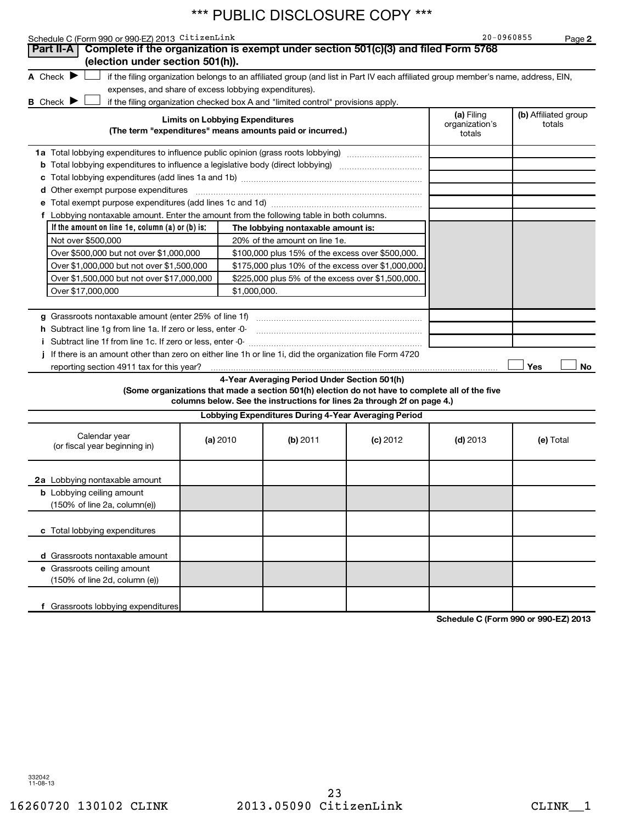| Schedule C (Form 990 or 990-EZ) 2013 CitizenLink                                                          |                                        |                                                                                  |                                                                                                                                                                            | 20-0960855                             |                                | Page 2 |
|-----------------------------------------------------------------------------------------------------------|----------------------------------------|----------------------------------------------------------------------------------|----------------------------------------------------------------------------------------------------------------------------------------------------------------------------|----------------------------------------|--------------------------------|--------|
| Complete if the organization is exempt under section 501(c)(3) and filed Form 5768<br>Part II-A           |                                        |                                                                                  |                                                                                                                                                                            |                                        |                                |        |
| (election under section 501(h)).                                                                          |                                        |                                                                                  |                                                                                                                                                                            |                                        |                                |        |
| A Check $\blacktriangleright$                                                                             |                                        |                                                                                  | if the filing organization belongs to an affiliated group (and list in Part IV each affiliated group member's name, address, EIN,                                          |                                        |                                |        |
| expenses, and share of excess lobbying expenditures).                                                     |                                        |                                                                                  |                                                                                                                                                                            |                                        |                                |        |
| <b>B</b> Check                                                                                            |                                        | if the filing organization checked box A and "limited control" provisions apply. |                                                                                                                                                                            |                                        |                                |        |
|                                                                                                           | <b>Limits on Lobbying Expenditures</b> | (The term "expenditures" means amounts paid or incurred.)                        |                                                                                                                                                                            | (a) Filing<br>organization's<br>totals | (b) Affiliated group<br>totals |        |
| 1a Total lobbying expenditures to influence public opinion (grass roots lobbying)                         |                                        |                                                                                  |                                                                                                                                                                            |                                        |                                |        |
|                                                                                                           |                                        |                                                                                  |                                                                                                                                                                            |                                        |                                |        |
| С                                                                                                         |                                        |                                                                                  |                                                                                                                                                                            |                                        |                                |        |
| d Other exempt purpose expenditures                                                                       |                                        |                                                                                  |                                                                                                                                                                            |                                        |                                |        |
|                                                                                                           |                                        |                                                                                  |                                                                                                                                                                            |                                        |                                |        |
| f Lobbying nontaxable amount. Enter the amount from the following table in both columns.                  |                                        |                                                                                  |                                                                                                                                                                            |                                        |                                |        |
| If the amount on line 1e, column $(a)$ or $(b)$ is:                                                       |                                        | The lobbying nontaxable amount is:                                               |                                                                                                                                                                            |                                        |                                |        |
| Not over \$500,000                                                                                        |                                        | 20% of the amount on line 1e.                                                    |                                                                                                                                                                            |                                        |                                |        |
| Over \$500,000 but not over \$1,000,000                                                                   |                                        | \$100,000 plus 15% of the excess over \$500,000.                                 |                                                                                                                                                                            |                                        |                                |        |
| Over \$1,000,000 but not over \$1,500,000                                                                 |                                        | \$175,000 plus 10% of the excess over \$1,000,000                                |                                                                                                                                                                            |                                        |                                |        |
| Over \$1,500,000 but not over \$17,000,000                                                                |                                        | \$225,000 plus 5% of the excess over \$1,500,000.                                |                                                                                                                                                                            |                                        |                                |        |
| Over \$17,000,000                                                                                         | \$1,000,000.                           |                                                                                  |                                                                                                                                                                            |                                        |                                |        |
|                                                                                                           |                                        |                                                                                  |                                                                                                                                                                            |                                        |                                |        |
| g Grassroots nontaxable amount (enter 25% of line 1f)                                                     |                                        |                                                                                  |                                                                                                                                                                            |                                        |                                |        |
| h Subtract line 1g from line 1a. If zero or less, enter -0-                                               |                                        |                                                                                  |                                                                                                                                                                            |                                        |                                |        |
|                                                                                                           |                                        |                                                                                  |                                                                                                                                                                            |                                        |                                |        |
| i If there is an amount other than zero on either line 1h or line 1i, did the organization file Form 4720 |                                        |                                                                                  |                                                                                                                                                                            |                                        |                                |        |
| reporting section 4911 tax for this year?                                                                 |                                        |                                                                                  |                                                                                                                                                                            |                                        | Yes                            | No     |
|                                                                                                           |                                        | 4-Year Averaging Period Under Section 501(h)                                     | (Some organizations that made a section 501(h) election do not have to complete all of the five<br>columns below. See the instructions for lines 2a through 2f on page 4.) |                                        |                                |        |
|                                                                                                           |                                        | Lobbying Expenditures During 4-Year Averaging Period                             |                                                                                                                                                                            |                                        |                                |        |
| Calendar year<br>(or fiscal year beginning in)                                                            | (a) 2010                               | (b) 2011                                                                         | $(c)$ 2012                                                                                                                                                                 | $(d)$ 2013                             | (e) Total                      |        |
| 2a Lobbying nontaxable amount                                                                             |                                        |                                                                                  |                                                                                                                                                                            |                                        |                                |        |
| <b>b</b> Lobbying ceiling amount                                                                          |                                        |                                                                                  |                                                                                                                                                                            |                                        |                                |        |
| (150% of line 2a, column(e))                                                                              |                                        |                                                                                  |                                                                                                                                                                            |                                        |                                |        |
| c Total lobbying expenditures                                                                             |                                        |                                                                                  |                                                                                                                                                                            |                                        |                                |        |
|                                                                                                           |                                        |                                                                                  |                                                                                                                                                                            |                                        |                                |        |
| d Grassroots nontaxable amount                                                                            |                                        |                                                                                  |                                                                                                                                                                            |                                        |                                |        |
| e Grassroots ceiling amount                                                                               |                                        |                                                                                  |                                                                                                                                                                            |                                        |                                |        |
| (150% of line 2d, column (e))                                                                             |                                        |                                                                                  |                                                                                                                                                                            |                                        |                                |        |
| f Grassroots lobbying expenditures                                                                        |                                        |                                                                                  |                                                                                                                                                                            |                                        |                                |        |

**Schedule C (Form 990 or 990-EZ) 2013**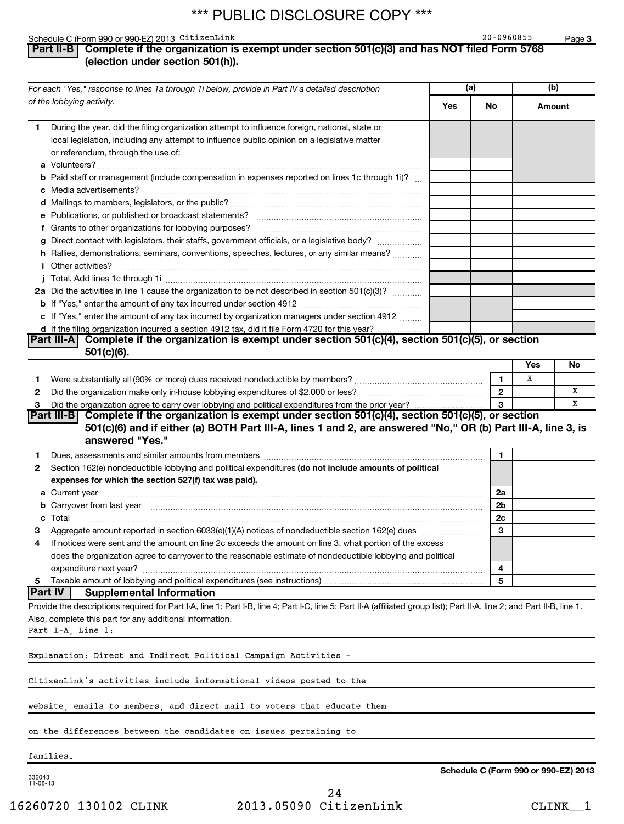### Schedule C (Form 990 or 990-EZ) 2013 CitizenLink and the control of the control of the control of the control o

**3**

### **Part II-B Complete if the organization is exempt under section 501(c)(3) and has NOT filed Form 5768 (election under section 501(h)).**

| For each "Yes," response to lines 1a through 1i below, provide in Part IV a detailed description |                                                                                                                                                                                                                                | (a) |                | (b)    |    |
|--------------------------------------------------------------------------------------------------|--------------------------------------------------------------------------------------------------------------------------------------------------------------------------------------------------------------------------------|-----|----------------|--------|----|
|                                                                                                  | of the lobbying activity.                                                                                                                                                                                                      | Yes | No             | Amount |    |
| 1.                                                                                               | During the year, did the filing organization attempt to influence foreign, national, state or                                                                                                                                  |     |                |        |    |
|                                                                                                  | local legislation, including any attempt to influence public opinion on a legislative matter                                                                                                                                   |     |                |        |    |
|                                                                                                  | or referendum, through the use of:                                                                                                                                                                                             |     |                |        |    |
|                                                                                                  |                                                                                                                                                                                                                                |     |                |        |    |
|                                                                                                  | <b>b</b> Paid staff or management (include compensation in expenses reported on lines 1c through 1i)?                                                                                                                          |     |                |        |    |
|                                                                                                  |                                                                                                                                                                                                                                |     |                |        |    |
|                                                                                                  |                                                                                                                                                                                                                                |     |                |        |    |
|                                                                                                  |                                                                                                                                                                                                                                |     |                |        |    |
|                                                                                                  |                                                                                                                                                                                                                                |     |                |        |    |
|                                                                                                  | g Direct contact with legislators, their staffs, government officials, or a legislative body?                                                                                                                                  |     |                |        |    |
|                                                                                                  | h Rallies, demonstrations, seminars, conventions, speeches, lectures, or any similar means?                                                                                                                                    |     |                |        |    |
|                                                                                                  | <b>i</b> Other activities?                                                                                                                                                                                                     |     |                |        |    |
|                                                                                                  |                                                                                                                                                                                                                                |     |                |        |    |
|                                                                                                  | 2a Did the activities in line 1 cause the organization to be not described in section 501(c)(3)?                                                                                                                               |     |                |        |    |
|                                                                                                  |                                                                                                                                                                                                                                |     |                |        |    |
|                                                                                                  | c If "Yes," enter the amount of any tax incurred by organization managers under section 4912                                                                                                                                   |     |                |        |    |
|                                                                                                  | d If the filing organization incurred a section 4912 tax, did it file Form 4720 for this year?                                                                                                                                 |     |                |        |    |
|                                                                                                  | Part III-A Complete if the organization is exempt under section 501(c)(4), section 501(c)(5), or section                                                                                                                       |     |                |        |    |
|                                                                                                  | 501(c)(6).                                                                                                                                                                                                                     |     |                |        |    |
|                                                                                                  |                                                                                                                                                                                                                                |     |                | Yes    | No |
| 1.                                                                                               |                                                                                                                                                                                                                                |     | 1              | х      |    |
| 2                                                                                                |                                                                                                                                                                                                                                |     | $\overline{2}$ |        | x  |
| 3                                                                                                |                                                                                                                                                                                                                                |     | 3              |        | x  |
|                                                                                                  | Part III-B Complete if the organization is exempt under section 501(c)(4), section 501(c)(5), or section<br>501(c)(6) and if either (a) BOTH Part III-A, lines 1 and 2, are answered "No," OR (b) Part III-A, line 3, is       |     |                |        |    |
|                                                                                                  | answered "Yes."                                                                                                                                                                                                                |     |                |        |    |
| 1.                                                                                               | Dues, assessments and similar amounts from members [111] Dues, assessments and similar and similar amounts from members [111] Dues, assessments and similar amounts from members [11] Dues and Superior and Superior and Super |     | 1              |        |    |
| 2                                                                                                | Section 162(e) nondeductible lobbying and political expenditures (do not include amounts of political                                                                                                                          |     |                |        |    |
|                                                                                                  | expenses for which the section 527(f) tax was paid).                                                                                                                                                                           |     |                |        |    |
|                                                                                                  |                                                                                                                                                                                                                                |     | 2a             |        |    |
|                                                                                                  | <b>b</b> Carryover from last year <b>contract to the contract of the contract of Carryover from last year contract to the contract of Carryover from last year</b>                                                             |     | 2b             |        |    |
|                                                                                                  |                                                                                                                                                                                                                                |     | 2c             |        |    |
|                                                                                                  |                                                                                                                                                                                                                                |     | 3              |        |    |
| 4                                                                                                | If notices were sent and the amount on line 2c exceeds the amount on line 3, what portion of the excess                                                                                                                        |     |                |        |    |
|                                                                                                  | does the organization agree to carryover to the reasonable estimate of nondeductible lobbying and political                                                                                                                    |     |                |        |    |
|                                                                                                  | expenditure next year?                                                                                                                                                                                                         |     | 4              |        |    |
| 5                                                                                                | Taxable amount of lobbying and political expenditures (see instructions)                                                                                                                                                       |     | 5              |        |    |
|                                                                                                  | Part IV <br><b>Supplemental Information</b>                                                                                                                                                                                    |     |                |        |    |
|                                                                                                  | Provide the descriptions required for Part I-A, line 1; Part I-B, line 4; Part I-C, line 5; Part II-A (affiliated group list); Part II-A, line 2; and Part II-B, line 1.                                                       |     |                |        |    |
|                                                                                                  | Also, complete this part for any additional information.                                                                                                                                                                       |     |                |        |    |
|                                                                                                  | Part I-A, Line 1:                                                                                                                                                                                                              |     |                |        |    |
|                                                                                                  | Explanation: Direct and Indirect Political Campaign Activities -                                                                                                                                                               |     |                |        |    |
|                                                                                                  | CitizenLink's activities include informational videos posted to the                                                                                                                                                            |     |                |        |    |
|                                                                                                  |                                                                                                                                                                                                                                |     |                |        |    |
|                                                                                                  | website, emails to members, and direct mail to voters that educate them                                                                                                                                                        |     |                |        |    |
|                                                                                                  | on the differences between the candidates on issues pertaining to                                                                                                                                                              |     |                |        |    |
|                                                                                                  | families.                                                                                                                                                                                                                      |     |                |        |    |

332043 11-08-13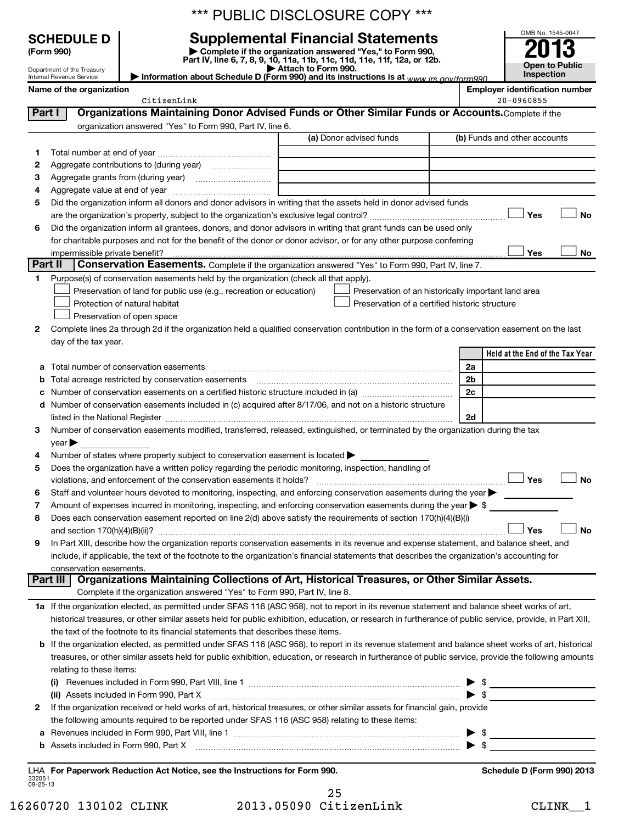| *** PUBLIC DISCLOSURE COPY ***           |  |  |  |
|------------------------------------------|--|--|--|
| <b>Cupplemental Eineneigl Statements</b> |  |  |  |

**(Form 990) | Complete if the organization answered "Yes," to Form 990, Part IV, line 6, 7, 8, 9, 10, 11a, 11b, 11c, 11d, 11e, 11f, 12a, or 12b. | Attach to Form 990. | Information about Schedule D (Form 990) and its instructions is at**  *www.irs.gov/form990.* **SCHEDULE D Supplemental Financial Statements**<br> **Form 990 2013**<br>
Part IV line 6.7.8.9.10, 11a, 11b, 11d, 11d, 11d, 11d, 11d, 12a, 0r, 12b

| OMB No. 1545-0047     |  |
|-----------------------|--|
| 201                   |  |
| IJ                    |  |
| <b>Open to Public</b> |  |
| Inspection            |  |

Department of the Treasury Internal Revenue Service

# **Name of the organization**<br> **Employer identification number**<br>
20-0960855 - 20-0960855

|         | CitizenLink                                                                                                                                                                                                                   |                                                | $20 - 0960855$                                                                                                                                                                                                                                                                                                      |
|---------|-------------------------------------------------------------------------------------------------------------------------------------------------------------------------------------------------------------------------------|------------------------------------------------|---------------------------------------------------------------------------------------------------------------------------------------------------------------------------------------------------------------------------------------------------------------------------------------------------------------------|
| Part I  | Organizations Maintaining Donor Advised Funds or Other Similar Funds or Accounts. Complete if the                                                                                                                             |                                                |                                                                                                                                                                                                                                                                                                                     |
|         | organization answered "Yes" to Form 990, Part IV, line 6.                                                                                                                                                                     |                                                |                                                                                                                                                                                                                                                                                                                     |
|         |                                                                                                                                                                                                                               | (a) Donor advised funds                        | (b) Funds and other accounts                                                                                                                                                                                                                                                                                        |
|         |                                                                                                                                                                                                                               |                                                |                                                                                                                                                                                                                                                                                                                     |
| 1.      |                                                                                                                                                                                                                               |                                                |                                                                                                                                                                                                                                                                                                                     |
| 2       |                                                                                                                                                                                                                               |                                                |                                                                                                                                                                                                                                                                                                                     |
| з       |                                                                                                                                                                                                                               |                                                |                                                                                                                                                                                                                                                                                                                     |
| 4       |                                                                                                                                                                                                                               |                                                |                                                                                                                                                                                                                                                                                                                     |
| 5       | Did the organization inform all donors and donor advisors in writing that the assets held in donor advised funds                                                                                                              |                                                |                                                                                                                                                                                                                                                                                                                     |
|         |                                                                                                                                                                                                                               |                                                | Yes<br>No                                                                                                                                                                                                                                                                                                           |
| 6       | Did the organization inform all grantees, donors, and donor advisors in writing that grant funds can be used only                                                                                                             |                                                |                                                                                                                                                                                                                                                                                                                     |
|         | for charitable purposes and not for the benefit of the donor or donor advisor, or for any other purpose conferring                                                                                                            |                                                |                                                                                                                                                                                                                                                                                                                     |
|         |                                                                                                                                                                                                                               |                                                | Yes<br>No                                                                                                                                                                                                                                                                                                           |
| Part II | Conservation Easements. Complete if the organization answered "Yes" to Form 990, Part IV, line 7.                                                                                                                             |                                                |                                                                                                                                                                                                                                                                                                                     |
| 1       | Purpose(s) of conservation easements held by the organization (check all that apply).                                                                                                                                         |                                                |                                                                                                                                                                                                                                                                                                                     |
|         |                                                                                                                                                                                                                               |                                                |                                                                                                                                                                                                                                                                                                                     |
|         | Preservation of land for public use (e.g., recreation or education)                                                                                                                                                           |                                                | Preservation of an historically important land area                                                                                                                                                                                                                                                                 |
|         | Protection of natural habitat                                                                                                                                                                                                 | Preservation of a certified historic structure |                                                                                                                                                                                                                                                                                                                     |
|         | Preservation of open space                                                                                                                                                                                                    |                                                |                                                                                                                                                                                                                                                                                                                     |
| 2       | Complete lines 2a through 2d if the organization held a qualified conservation contribution in the form of a conservation easement on the last                                                                                |                                                |                                                                                                                                                                                                                                                                                                                     |
|         | day of the tax year.                                                                                                                                                                                                          |                                                |                                                                                                                                                                                                                                                                                                                     |
|         |                                                                                                                                                                                                                               |                                                | Held at the End of the Tax Year                                                                                                                                                                                                                                                                                     |
| а       |                                                                                                                                                                                                                               |                                                | 2a                                                                                                                                                                                                                                                                                                                  |
| b       |                                                                                                                                                                                                                               |                                                | 2 <sub>b</sub>                                                                                                                                                                                                                                                                                                      |
|         |                                                                                                                                                                                                                               |                                                | 2c                                                                                                                                                                                                                                                                                                                  |
| d       | Number of conservation easements included in (c) acquired after 8/17/06, and not on a historic structure                                                                                                                      |                                                |                                                                                                                                                                                                                                                                                                                     |
|         |                                                                                                                                                                                                                               |                                                | 2d                                                                                                                                                                                                                                                                                                                  |
|         | listed in the National Register [111] Marshall Register [11] Marshall Register [11] Marshall Register [11] Marshall Register [11] Marshall Register [11] Marshall Register [11] Marshall Register [11] Marshall Register [11] |                                                |                                                                                                                                                                                                                                                                                                                     |
| 3       | Number of conservation easements modified, transferred, released, extinguished, or terminated by the organization during the tax                                                                                              |                                                |                                                                                                                                                                                                                                                                                                                     |
|         | $\vee$ ear $\blacktriangleright$                                                                                                                                                                                              |                                                |                                                                                                                                                                                                                                                                                                                     |
| 4       | Number of states where property subject to conservation easement is located >                                                                                                                                                 |                                                |                                                                                                                                                                                                                                                                                                                     |
| 5       | Does the organization have a written policy regarding the periodic monitoring, inspection, handling of                                                                                                                        |                                                |                                                                                                                                                                                                                                                                                                                     |
|         | violations, and enforcement of the conservation easements it holds?                                                                                                                                                           |                                                | Yes<br><b>No</b>                                                                                                                                                                                                                                                                                                    |
| 6       | Staff and volunteer hours devoted to monitoring, inspecting, and enforcing conservation easements during the year                                                                                                             |                                                |                                                                                                                                                                                                                                                                                                                     |
| 7       | Amount of expenses incurred in monitoring, inspecting, and enforcing conservation easements during the year $\triangleright$ \$                                                                                               |                                                |                                                                                                                                                                                                                                                                                                                     |
| 8       | Does each conservation easement reported on line 2(d) above satisfy the requirements of section 170(h)(4)(B)(i)                                                                                                               |                                                |                                                                                                                                                                                                                                                                                                                     |
|         |                                                                                                                                                                                                                               |                                                | <b>No</b><br>Yes                                                                                                                                                                                                                                                                                                    |
| 9       | In Part XIII, describe how the organization reports conservation easements in its revenue and expense statement, and balance sheet, and                                                                                       |                                                |                                                                                                                                                                                                                                                                                                                     |
|         | include, if applicable, the text of the footnote to the organization's financial statements that describes the organization's accounting for                                                                                  |                                                |                                                                                                                                                                                                                                                                                                                     |
|         | conservation easements.                                                                                                                                                                                                       |                                                |                                                                                                                                                                                                                                                                                                                     |
|         | Organizations Maintaining Collections of Art, Historical Treasures, or Other Similar Assets.<br>Part III                                                                                                                      |                                                |                                                                                                                                                                                                                                                                                                                     |
|         | Complete if the organization answered "Yes" to Form 990, Part IV, line 8.                                                                                                                                                     |                                                |                                                                                                                                                                                                                                                                                                                     |
|         | 1a If the organization elected, as permitted under SFAS 116 (ASC 958), not to report in its revenue statement and balance sheet works of art,                                                                                 |                                                |                                                                                                                                                                                                                                                                                                                     |
|         |                                                                                                                                                                                                                               |                                                |                                                                                                                                                                                                                                                                                                                     |
|         | historical treasures, or other similar assets held for public exhibition, education, or research in furtherance of public service, provide, in Part XIII,                                                                     |                                                |                                                                                                                                                                                                                                                                                                                     |
|         | the text of the footnote to its financial statements that describes these items.                                                                                                                                              |                                                |                                                                                                                                                                                                                                                                                                                     |
|         | b If the organization elected, as permitted under SFAS 116 (ASC 958), to report in its revenue statement and balance sheet works of art, historical                                                                           |                                                |                                                                                                                                                                                                                                                                                                                     |
|         | treasures, or other similar assets held for public exhibition, education, or research in furtherance of public service, provide the following amounts                                                                         |                                                |                                                                                                                                                                                                                                                                                                                     |
|         | relating to these items:                                                                                                                                                                                                      |                                                |                                                                                                                                                                                                                                                                                                                     |
|         |                                                                                                                                                                                                                               |                                                | $\triangleright$ \$                                                                                                                                                                                                                                                                                                 |
|         | (ii) Assets included in Form 990, Part X                                                                                                                                                                                      |                                                | $\triangleright$ \$                                                                                                                                                                                                                                                                                                 |
| 2       | If the organization received or held works of art, historical treasures, or other similar assets for financial gain, provide                                                                                                  |                                                |                                                                                                                                                                                                                                                                                                                     |
|         | the following amounts required to be reported under SFAS 116 (ASC 958) relating to these items:                                                                                                                               |                                                |                                                                                                                                                                                                                                                                                                                     |
| а       |                                                                                                                                                                                                                               |                                                | ▶                                                                                                                                                                                                                                                                                                                   |
| b       |                                                                                                                                                                                                                               |                                                | $\frac{1}{2}$ $\frac{1}{2}$ $\frac{1}{2}$ $\frac{1}{2}$ $\frac{1}{2}$ $\frac{1}{2}$ $\frac{1}{2}$ $\frac{1}{2}$ $\frac{1}{2}$ $\frac{1}{2}$ $\frac{1}{2}$ $\frac{1}{2}$ $\frac{1}{2}$ $\frac{1}{2}$ $\frac{1}{2}$ $\frac{1}{2}$ $\frac{1}{2}$ $\frac{1}{2}$ $\frac{1}{2}$ $\frac{1}{2}$ $\frac{1}{2}$ $\frac{1}{2}$ |
|         | Assets included in Form 990, Part X [11] matter and the contract of the State of Table 1.1 and the State of Table 1.1 and the State of Table 1.1 and the State of Table 1.1 and the State of Table 1.1 and the State of Table |                                                |                                                                                                                                                                                                                                                                                                                     |
|         |                                                                                                                                                                                                                               |                                                |                                                                                                                                                                                                                                                                                                                     |
|         | LHA For Paperwork Reduction Act Notice, see the Instructions for Form 990.                                                                                                                                                    |                                                | Schedule D (Form 990) 2013                                                                                                                                                                                                                                                                                          |

332051 09-25-13

| 16260720 130102 CLINK |  | 2013.05090 CitizenLink | <b>CLINK</b> |  |
|-----------------------|--|------------------------|--------------|--|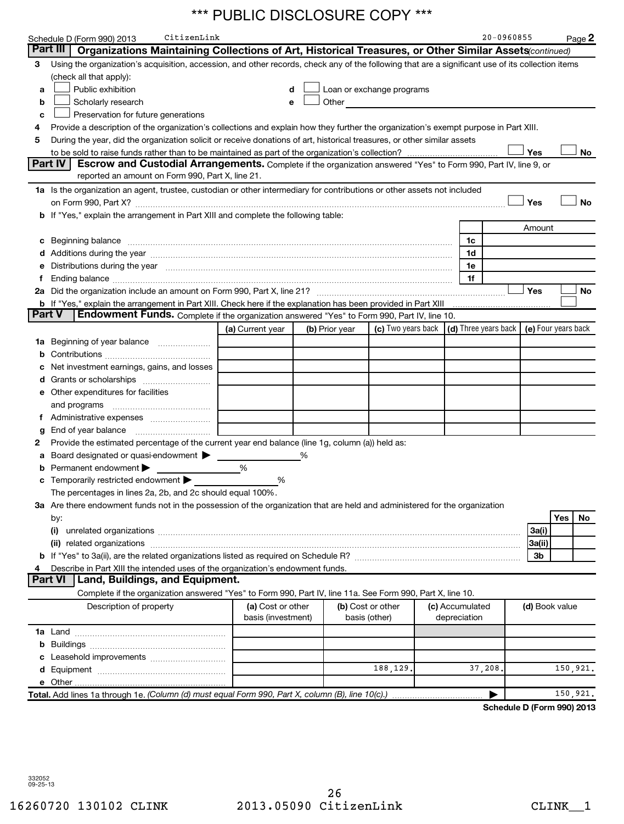|    | CitizenLink<br>Schedule D (Form 990) 2013                                                                                                                                                                                      |                    |   |                |                                                                                                                      |                 | 20-0960855                                 |                |     | Page 2    |
|----|--------------------------------------------------------------------------------------------------------------------------------------------------------------------------------------------------------------------------------|--------------------|---|----------------|----------------------------------------------------------------------------------------------------------------------|-----------------|--------------------------------------------|----------------|-----|-----------|
|    | Part III<br>Organizations Maintaining Collections of Art, Historical Treasures, or Other Similar Assets(continued)                                                                                                             |                    |   |                |                                                                                                                      |                 |                                            |                |     |           |
|    | 3 Using the organization's acquisition, accession, and other records, check any of the following that are a significant use of its collection items                                                                            |                    |   |                |                                                                                                                      |                 |                                            |                |     |           |
|    | (check all that apply):                                                                                                                                                                                                        |                    |   |                |                                                                                                                      |                 |                                            |                |     |           |
| a  | Public exhibition                                                                                                                                                                                                              | d                  |   |                | Loan or exchange programs                                                                                            |                 |                                            |                |     |           |
| b  | Scholarly research                                                                                                                                                                                                             | e                  |   | Other          | <u> 1989 - Jan Barbara Barbara, prima prima prima prima prima prima prima prima prima prima prima prima prima pr</u> |                 |                                            |                |     |           |
| c  | Preservation for future generations                                                                                                                                                                                            |                    |   |                |                                                                                                                      |                 |                                            |                |     |           |
| 4  | Provide a description of the organization's collections and explain how they further the organization's exempt purpose in Part XIII.                                                                                           |                    |   |                |                                                                                                                      |                 |                                            |                |     |           |
| 5  | During the year, did the organization solicit or receive donations of art, historical treasures, or other similar assets                                                                                                       |                    |   |                |                                                                                                                      |                 |                                            |                |     |           |
|    |                                                                                                                                                                                                                                |                    |   |                |                                                                                                                      |                 |                                            | Yes            |     | No        |
|    | Part IV<br>Escrow and Custodial Arrangements. Complete if the organization answered "Yes" to Form 990, Part IV, line 9, or                                                                                                     |                    |   |                |                                                                                                                      |                 |                                            |                |     |           |
|    | reported an amount on Form 990, Part X, line 21.                                                                                                                                                                               |                    |   |                |                                                                                                                      |                 |                                            |                |     |           |
|    | 1a Is the organization an agent, trustee, custodian or other intermediary for contributions or other assets not included                                                                                                       |                    |   |                |                                                                                                                      |                 |                                            |                |     |           |
|    |                                                                                                                                                                                                                                |                    |   |                |                                                                                                                      |                 |                                            | Yes            |     | <b>No</b> |
|    | b If "Yes," explain the arrangement in Part XIII and complete the following table:                                                                                                                                             |                    |   |                |                                                                                                                      |                 |                                            |                |     |           |
|    |                                                                                                                                                                                                                                |                    |   |                |                                                                                                                      |                 |                                            | Amount         |     |           |
|    |                                                                                                                                                                                                                                |                    |   |                |                                                                                                                      | 1c              |                                            |                |     |           |
|    |                                                                                                                                                                                                                                |                    |   |                |                                                                                                                      | 1d              |                                            |                |     |           |
| е  | Distributions during the year manufactured and continuum control of the year manufactured and the year manufactured and the year manufactured and the year manufactured and the year manufactured and the year manufactured an |                    |   |                |                                                                                                                      | 1e              |                                            |                |     |           |
| f  |                                                                                                                                                                                                                                |                    |   |                |                                                                                                                      | 1f              |                                            |                |     |           |
|    |                                                                                                                                                                                                                                |                    |   |                |                                                                                                                      |                 |                                            | Yes            |     | No        |
|    | b If "Yes," explain the arrangement in Part XIII. Check here if the explanation has been provided in Part XIII                                                                                                                 |                    |   |                |                                                                                                                      |                 |                                            |                |     |           |
|    | <b>Part V</b><br>Endowment Funds. Complete if the organization answered "Yes" to Form 990, Part IV, line 10.                                                                                                                   |                    |   |                |                                                                                                                      |                 |                                            |                |     |           |
|    |                                                                                                                                                                                                                                | (a) Current year   |   | (b) Prior year | (c) Two years back                                                                                                   |                 | (d) Three years back   (e) Four years back |                |     |           |
|    | 1a Beginning of year balance                                                                                                                                                                                                   |                    |   |                |                                                                                                                      |                 |                                            |                |     |           |
| b  |                                                                                                                                                                                                                                |                    |   |                |                                                                                                                      |                 |                                            |                |     |           |
| с  | Net investment earnings, gains, and losses                                                                                                                                                                                     |                    |   |                |                                                                                                                      |                 |                                            |                |     |           |
| d  |                                                                                                                                                                                                                                |                    |   |                |                                                                                                                      |                 |                                            |                |     |           |
|    | e Other expenditures for facilities                                                                                                                                                                                            |                    |   |                |                                                                                                                      |                 |                                            |                |     |           |
|    | and programs                                                                                                                                                                                                                   |                    |   |                |                                                                                                                      |                 |                                            |                |     |           |
| f. |                                                                                                                                                                                                                                |                    |   |                |                                                                                                                      |                 |                                            |                |     |           |
| g  |                                                                                                                                                                                                                                |                    |   |                |                                                                                                                      |                 |                                            |                |     |           |
| 2  | Provide the estimated percentage of the current year end balance (line 1g, column (a)) held as:                                                                                                                                |                    |   |                |                                                                                                                      |                 |                                            |                |     |           |
| а  | Board designated or quasi-endowment >                                                                                                                                                                                          |                    | % |                |                                                                                                                      |                 |                                            |                |     |           |
| b  | Permanent endowment >                                                                                                                                                                                                          | %                  |   |                |                                                                                                                      |                 |                                            |                |     |           |
| c  | Temporarily restricted endowment                                                                                                                                                                                               | %                  |   |                |                                                                                                                      |                 |                                            |                |     |           |
|    | The percentages in lines 2a, 2b, and 2c should equal 100%.                                                                                                                                                                     |                    |   |                |                                                                                                                      |                 |                                            |                |     |           |
|    | 3a Are there endowment funds not in the possession of the organization that are held and administered for the organization                                                                                                     |                    |   |                |                                                                                                                      |                 |                                            |                |     |           |
|    | by:                                                                                                                                                                                                                            |                    |   |                |                                                                                                                      |                 |                                            |                | Yes | No        |
|    |                                                                                                                                                                                                                                |                    |   |                |                                                                                                                      |                 |                                            | 3a(i)          |     |           |
|    |                                                                                                                                                                                                                                |                    |   |                |                                                                                                                      |                 |                                            | 3a(ii)         |     |           |
|    |                                                                                                                                                                                                                                |                    |   |                |                                                                                                                      |                 |                                            | 3 <sub>b</sub> |     |           |
| 4  | Describe in Part XIII the intended uses of the organization's endowment funds.                                                                                                                                                 |                    |   |                |                                                                                                                      |                 |                                            |                |     |           |
|    | Part VI   Land, Buildings, and Equipment.                                                                                                                                                                                      |                    |   |                |                                                                                                                      |                 |                                            |                |     |           |
|    | Complete if the organization answered "Yes" to Form 990, Part IV, line 11a. See Form 990, Part X, line 10.                                                                                                                     |                    |   |                |                                                                                                                      |                 |                                            |                |     |           |
|    | Description of property                                                                                                                                                                                                        | (a) Cost or other  |   |                | (b) Cost or other                                                                                                    | (c) Accumulated |                                            | (d) Book value |     |           |
|    |                                                                                                                                                                                                                                | basis (investment) |   |                | basis (other)                                                                                                        | depreciation    |                                            |                |     |           |
|    |                                                                                                                                                                                                                                |                    |   |                |                                                                                                                      |                 |                                            |                |     |           |
| b  |                                                                                                                                                                                                                                |                    |   |                |                                                                                                                      |                 |                                            |                |     |           |
| с  |                                                                                                                                                                                                                                |                    |   |                |                                                                                                                      |                 |                                            |                |     |           |
| d  |                                                                                                                                                                                                                                |                    |   |                | 188,129.                                                                                                             |                 | 37,208                                     |                |     | 150,921.  |
|    |                                                                                                                                                                                                                                |                    |   |                |                                                                                                                      |                 |                                            |                |     |           |
|    | Total. Add lines 1a through 1e. (Column (d) must equal Form 990, Part X, column (B), line 10(c).)                                                                                                                              |                    |   |                |                                                                                                                      |                 |                                            |                |     | 150,921.  |
|    |                                                                                                                                                                                                                                |                    |   |                |                                                                                                                      |                 |                                            |                |     |           |
|    |                                                                                                                                                                                                                                |                    |   |                |                                                                                                                      |                 | Schedule D (Form 990) 2013                 |                |     |           |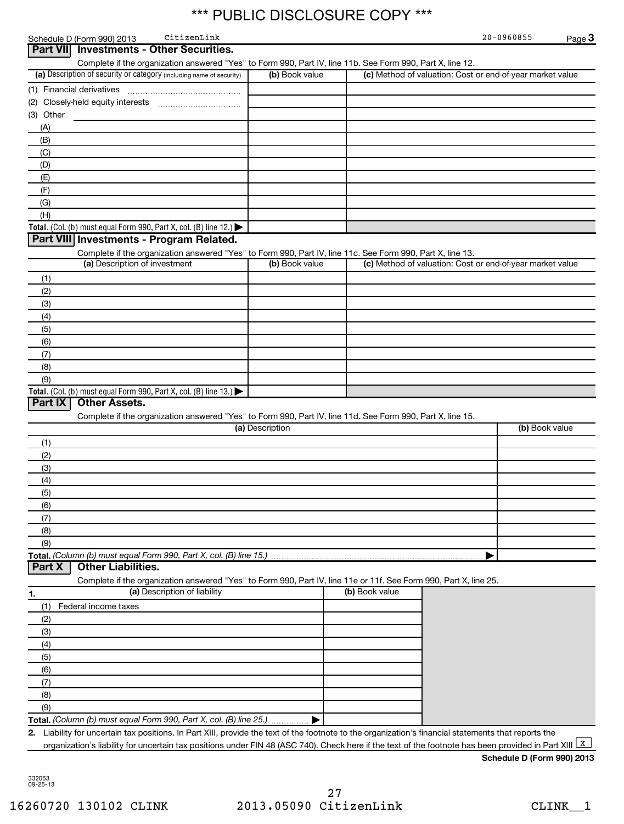|                 | Schedule D (Form 990) 2013    | CitizenLink                                                                                                                                            |                 |                |                                                           | 20-0960855                 | Page 3 |
|-----------------|-------------------------------|--------------------------------------------------------------------------------------------------------------------------------------------------------|-----------------|----------------|-----------------------------------------------------------|----------------------------|--------|
| <b>Part VII</b> |                               | <b>Investments - Other Securities.</b>                                                                                                                 |                 |                |                                                           |                            |        |
|                 |                               | Complete if the organization answered "Yes" to Form 990, Part IV, line 11b. See Form 990, Part X, line 12.                                             |                 |                |                                                           |                            |        |
|                 |                               | (a) Description of security or category (including name of security)                                                                                   | (b) Book value  |                | (c) Method of valuation: Cost or end-of-year market value |                            |        |
|                 | (1) Financial derivatives     |                                                                                                                                                        |                 |                |                                                           |                            |        |
|                 |                               |                                                                                                                                                        |                 |                |                                                           |                            |        |
| (3) Other       |                               |                                                                                                                                                        |                 |                |                                                           |                            |        |
| (A)             |                               |                                                                                                                                                        |                 |                |                                                           |                            |        |
| (B)             |                               |                                                                                                                                                        |                 |                |                                                           |                            |        |
| (C)             |                               |                                                                                                                                                        |                 |                |                                                           |                            |        |
| (D)             |                               |                                                                                                                                                        |                 |                |                                                           |                            |        |
| (E)             |                               |                                                                                                                                                        |                 |                |                                                           |                            |        |
| (F)             |                               |                                                                                                                                                        |                 |                |                                                           |                            |        |
| (G)             |                               |                                                                                                                                                        |                 |                |                                                           |                            |        |
| (H)             |                               |                                                                                                                                                        |                 |                |                                                           |                            |        |
|                 |                               | Total. (Col. (b) must equal Form 990, Part X, col. (B) line 12.) $\blacktriangleright$                                                                 |                 |                |                                                           |                            |        |
|                 |                               | Part VIII Investments - Program Related.                                                                                                               |                 |                |                                                           |                            |        |
|                 |                               | Complete if the organization answered "Yes" to Form 990, Part IV, line 11c. See Form 990, Part X, line 13.                                             |                 |                |                                                           |                            |        |
|                 | (a) Description of investment |                                                                                                                                                        | (b) Book value  |                | (c) Method of valuation: Cost or end-of-year market value |                            |        |
| (1)             |                               |                                                                                                                                                        |                 |                |                                                           |                            |        |
| (2)             |                               |                                                                                                                                                        |                 |                |                                                           |                            |        |
| (3)             |                               |                                                                                                                                                        |                 |                |                                                           |                            |        |
| (4)             |                               |                                                                                                                                                        |                 |                |                                                           |                            |        |
| (5)             |                               |                                                                                                                                                        |                 |                |                                                           |                            |        |
| (6)             |                               |                                                                                                                                                        |                 |                |                                                           |                            |        |
| (7)             |                               |                                                                                                                                                        |                 |                |                                                           |                            |        |
| (8)             |                               |                                                                                                                                                        |                 |                |                                                           |                            |        |
| (9)             |                               |                                                                                                                                                        |                 |                |                                                           |                            |        |
|                 |                               | Total. (Col. (b) must equal Form 990, Part X, col. (B) line 13.)                                                                                       |                 |                |                                                           |                            |        |
| Part IX         | <b>Other Assets.</b>          |                                                                                                                                                        |                 |                |                                                           |                            |        |
|                 |                               | Complete if the organization answered "Yes" to Form 990, Part IV, line 11d. See Form 990, Part X, line 15.                                             |                 |                |                                                           |                            |        |
|                 |                               |                                                                                                                                                        | (a) Description |                |                                                           | (b) Book value             |        |
| (1)             |                               |                                                                                                                                                        |                 |                |                                                           |                            |        |
| (2)             |                               |                                                                                                                                                        |                 |                |                                                           |                            |        |
| (3)             |                               |                                                                                                                                                        |                 |                |                                                           |                            |        |
| (4)             |                               |                                                                                                                                                        |                 |                |                                                           |                            |        |
| (5)             |                               |                                                                                                                                                        |                 |                |                                                           |                            |        |
| (6)             |                               |                                                                                                                                                        |                 |                |                                                           |                            |        |
| (7)             |                               |                                                                                                                                                        |                 |                |                                                           |                            |        |
| (8)             |                               |                                                                                                                                                        |                 |                |                                                           |                            |        |
| (9)             |                               |                                                                                                                                                        |                 |                |                                                           |                            |        |
| Part X          | <b>Other Liabilities.</b>     | Total. (Column (b) must equal Form 990, Part X, col. (B) line 15.)                                                                                     |                 |                |                                                           |                            |        |
|                 |                               | Complete if the organization answered "Yes" to Form 990, Part IV, line 11e or 11f. See Form 990, Part X, line 25.                                      |                 |                |                                                           |                            |        |
|                 |                               | (a) Description of liability                                                                                                                           |                 | (b) Book value |                                                           |                            |        |
| 1.              |                               |                                                                                                                                                        |                 |                |                                                           |                            |        |
| (1)             | Federal income taxes          |                                                                                                                                                        |                 |                |                                                           |                            |        |
| (2)             |                               |                                                                                                                                                        |                 |                |                                                           |                            |        |
| (3)             |                               |                                                                                                                                                        |                 |                |                                                           |                            |        |
| (4)             |                               |                                                                                                                                                        |                 |                |                                                           |                            |        |
| (5)             |                               |                                                                                                                                                        |                 |                |                                                           |                            |        |
| (6)             |                               |                                                                                                                                                        |                 |                |                                                           |                            |        |
| (7)             |                               |                                                                                                                                                        |                 |                |                                                           |                            |        |
| (8)             |                               |                                                                                                                                                        |                 |                |                                                           |                            |        |
| (9)             |                               | Total. (Column (b) must equal Form 990, Part X, col. (B) line 25.)                                                                                     |                 |                |                                                           |                            |        |
|                 |                               | 2. Liability for uncertain tax positions. In Part XIII, provide the text of the footnote to the organization's financial statements that reports the   |                 |                |                                                           |                            |        |
|                 |                               | organization's liability for uncertain tax positions under FIN 48 (ASC 740). Check here if the text of the footnote has been provided in Part XIII   X |                 |                |                                                           |                            |        |
|                 |                               |                                                                                                                                                        |                 |                |                                                           | Schedule D (Form 990) 2013 |        |
|                 |                               |                                                                                                                                                        |                 |                |                                                           |                            |        |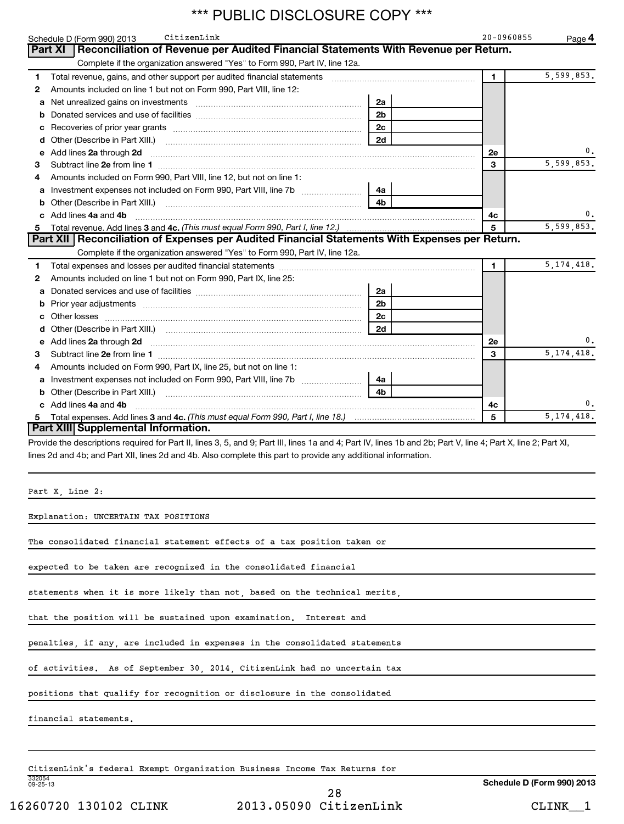|   | *** PUBLIC DISCLOSURE COPY ***                                                                                                                                                                                                 |                |                |              |
|---|--------------------------------------------------------------------------------------------------------------------------------------------------------------------------------------------------------------------------------|----------------|----------------|--------------|
|   | CitizenLink<br>Schedule D (Form 990) 2013                                                                                                                                                                                      |                | 20-0960855     | Page 4       |
|   | Reconciliation of Revenue per Audited Financial Statements With Revenue per Return.<br>Part XI                                                                                                                                 |                |                |              |
|   | Complete if the organization answered "Yes" to Form 990, Part IV, line 12a.                                                                                                                                                    |                |                |              |
| 1 | Total revenue, gains, and other support per audited financial statements                                                                                                                                                       |                | $\blacksquare$ | 5,599,853.   |
| 2 | Amounts included on line 1 but not on Form 990, Part VIII, line 12:                                                                                                                                                            |                |                |              |
| a | Net unrealized gains on investments [[11] [11] Net unrealized gains on investments [[11] [11] Monday Contract in the United States International International International International International International Interna | 2a             |                |              |
|   |                                                                                                                                                                                                                                | 2 <sub>b</sub> |                |              |
| с |                                                                                                                                                                                                                                | 2 <sub>c</sub> |                |              |
| d | Other (Describe in Part XIII.)                                                                                                                                                                                                 | 2d             |                |              |
| е | Add lines 2a through 2d                                                                                                                                                                                                        |                | 2e             | υ.           |
| 3 |                                                                                                                                                                                                                                |                | 3              | 5,599,853.   |
| 4 | Amounts included on Form 990, Part VIII, line 12, but not on line 1:                                                                                                                                                           |                |                |              |
| а | Investment expenses not included on Form 990, Part VIII, line 7b                                                                                                                                                               | 4a             |                |              |
| b | Other (Describe in Part XIII.)                                                                                                                                                                                                 | 4b             |                |              |
|   | Add lines 4a and 4b                                                                                                                                                                                                            |                | 4с             | 0.           |
|   | Total revenue. Add lines 3 and 4c. (This must equal Form 990, Part I, line 12.)                                                                                                                                                |                | 5              | 5,599,853.   |
|   | Part XII   Reconciliation of Expenses per Audited Financial Statements With Expenses per Return.                                                                                                                               |                |                |              |
|   | Complete if the organization answered "Yes" to Form 990, Part IV, line 12a.                                                                                                                                                    |                |                |              |
| 1 |                                                                                                                                                                                                                                |                | $\blacksquare$ | 5, 174, 418. |
| 2 | Amounts included on line 1 but not on Form 990, Part IX, line 25:                                                                                                                                                              |                |                |              |
| а |                                                                                                                                                                                                                                | 2a             |                |              |
| b |                                                                                                                                                                                                                                | 2 <sub>b</sub> |                |              |
|   | Other losses                                                                                                                                                                                                                   | 2 <sub>c</sub> |                |              |
| d |                                                                                                                                                                                                                                | 2d             |                |              |
| е | Add lines 2a through 2d <b>contained a contained a contained a contained a</b> contained a contained a contact the set                                                                                                         |                | 2e             | 0.           |
| 3 |                                                                                                                                                                                                                                |                | 3              | 5, 174, 418. |
| 4 | Amounts included on Form 990, Part IX, line 25, but not on line 1:                                                                                                                                                             |                |                |              |
| а | Investment expenses not included on Form 990, Part VIII, line 7b                                                                                                                                                               | 4a             |                |              |
| b | Other (Describe in Part XIII.)                                                                                                                                                                                                 | 4 <sub>b</sub> |                |              |
|   | Add lines 4a and 4b                                                                                                                                                                                                            |                | 4с             | 0.           |
|   |                                                                                                                                                                                                                                |                | 5              | 5, 174, 418. |
|   | Part XIII Supplemental Information.                                                                                                                                                                                            |                |                |              |
|   | Provide the descriptions required for Part II, lines 3, 5, and 9; Part III, lines 1a and 4; Part IV, lines 1b and 2b; Part V, line 4; Part X, line 2; Part XI,                                                                 |                |                |              |
|   | lines 2d and 4b; and Part XII, lines 2d and 4b. Also complete this part to provide any additional information.                                                                                                                 |                |                |              |
|   |                                                                                                                                                                                                                                |                |                |              |
|   |                                                                                                                                                                                                                                |                |                |              |
|   |                                                                                                                                                                                                                                |                |                |              |
|   | Part X, Line 2:                                                                                                                                                                                                                |                |                |              |
|   | Explanation: UNCERTAIN TAX POSITIONS                                                                                                                                                                                           |                |                |              |
|   | The consolidated financial statement effects of a tax position taken or                                                                                                                                                        |                |                |              |
|   |                                                                                                                                                                                                                                |                |                |              |
|   | expected to be taken are recognized in the consolidated financial                                                                                                                                                              |                |                |              |
|   |                                                                                                                                                                                                                                |                |                |              |

statements when it is more likely than not, based on the technical merits,

that the position will be sustained upon examination. Interest and

penalties, if any, are included in expenses in the consolidated statements

of activities. As of September 30, 2014, CitizenLink had no uncertain tax

positions that qualify for recognition or disclosure in the consolidated

financial statements.

332054 09-25-13 CitizenLink's federal Exempt Organization Business Income Tax Returns for

**Schedule D (Form 990) 2013**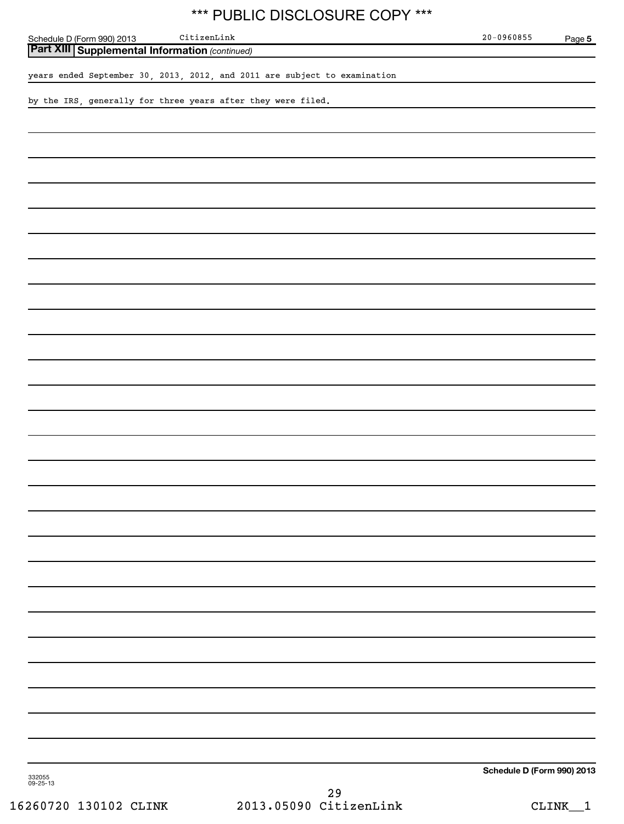| *** PUBLIC DISCLOSURE COPY ***                                            |                            |        |
|---------------------------------------------------------------------------|----------------------------|--------|
| $\tt CitizenLink$<br>Schedule D (Form 990) 2013                           | $20 - 0960855$             | Page 5 |
| <b>Part XIII Supplemental Information (continued)</b>                     |                            |        |
| years ended September 30, 2013, 2012, and 2011 are subject to examination |                            |        |
| by the IRS, generally for three years after they were filed.              |                            |        |
|                                                                           |                            |        |
|                                                                           |                            |        |
|                                                                           |                            |        |
|                                                                           |                            |        |
|                                                                           |                            |        |
|                                                                           |                            |        |
|                                                                           |                            |        |
|                                                                           |                            |        |
|                                                                           |                            |        |
|                                                                           |                            |        |
|                                                                           |                            |        |
|                                                                           |                            |        |
|                                                                           |                            |        |
|                                                                           |                            |        |
|                                                                           |                            |        |
|                                                                           |                            |        |
|                                                                           |                            |        |
|                                                                           |                            |        |
|                                                                           |                            |        |
|                                                                           |                            |        |
|                                                                           |                            |        |
|                                                                           |                            |        |
|                                                                           |                            |        |
|                                                                           |                            |        |
|                                                                           |                            |        |
|                                                                           |                            |        |
|                                                                           |                            |        |
|                                                                           |                            |        |
|                                                                           |                            |        |
|                                                                           |                            |        |
|                                                                           | Schedule D (Form 990) 2013 |        |
| 332055<br>09-25-13<br>29                                                  |                            |        |
|                                                                           |                            |        |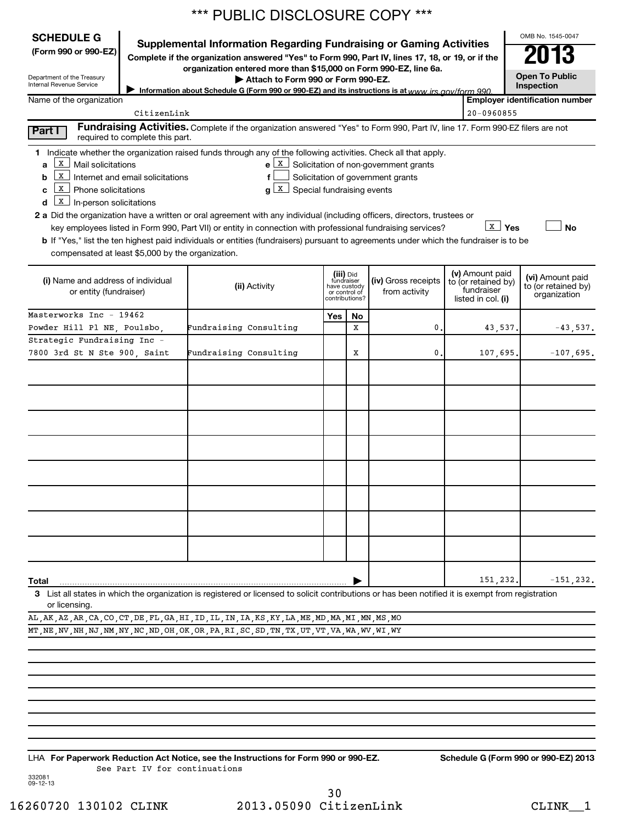|                                                                                                                                                                                | *** PUBLIC DISCLOSURE COPY ***                                                                                                                                          |           |                |                                                  |  |                    |                                       |  |  |  |
|--------------------------------------------------------------------------------------------------------------------------------------------------------------------------------|-------------------------------------------------------------------------------------------------------------------------------------------------------------------------|-----------|----------------|--------------------------------------------------|--|--------------------|---------------------------------------|--|--|--|
| <b>SCHEDULE G</b>                                                                                                                                                              |                                                                                                                                                                         |           |                |                                                  |  |                    | OMB No. 1545-0047                     |  |  |  |
| (Form 990 or 990-EZ)                                                                                                                                                           | Supplemental Information Regarding Fundraising or Gaming Activities<br>Complete if the organization answered "Yes" to Form 990, Part IV, lines 17, 18, or 19, or if the |           |                |                                                  |  |                    | 2013                                  |  |  |  |
|                                                                                                                                                                                | organization entered more than \$15,000 on Form 990-EZ, line 6a.                                                                                                        |           |                |                                                  |  |                    |                                       |  |  |  |
| Department of the Treasury<br>Internal Revenue Service                                                                                                                         | Attach to Form 990 or Form 990-EZ.                                                                                                                                      |           |                |                                                  |  |                    | <b>Open To Public</b><br>Inspection   |  |  |  |
| Name of the organization                                                                                                                                                       | Information about Schedule G (Form 990 or 990-EZ) and its instructions is at www irs gov/form 990                                                                       |           |                |                                                  |  |                    | <b>Employer identification number</b> |  |  |  |
| CitizenLink                                                                                                                                                                    |                                                                                                                                                                         |           |                |                                                  |  | $20 - 0960855$     |                                       |  |  |  |
| Part I<br>required to complete this part.                                                                                                                                      | Fundraising Activities. Complete if the organization answered "Yes" to Form 990, Part IV, line 17. Form 990-EZ filers are not                                           |           |                |                                                  |  |                    |                                       |  |  |  |
| 1 Indicate whether the organization raised funds through any of the following activities. Check all that apply.                                                                |                                                                                                                                                                         |           |                |                                                  |  |                    |                                       |  |  |  |
| х<br>Mail solicitations<br>a                                                                                                                                                   |                                                                                                                                                                         |           |                | $e \mid X$ Solicitation of non-government grants |  |                    |                                       |  |  |  |
| х<br>Solicitation of government grants<br>Internet and email solicitations<br>f<br>b<br>$\underline{x}$ Phone solicitations<br>$g\lfloor x \rfloor$ Special fundraising events |                                                                                                                                                                         |           |                |                                                  |  |                    |                                       |  |  |  |
| c<br>$\mathbf{x}$<br>In-person solicitations<br>d                                                                                                                              |                                                                                                                                                                         |           |                |                                                  |  |                    |                                       |  |  |  |
| 2 a Did the organization have a written or oral agreement with any individual (including officers, directors, trustees or                                                      |                                                                                                                                                                         |           |                |                                                  |  |                    |                                       |  |  |  |
| key employees listed in Form 990, Part VII) or entity in connection with professional fundraising services?                                                                    |                                                                                                                                                                         |           |                |                                                  |  | <b>Σ</b> Yes       | No                                    |  |  |  |
| b If "Yes," list the ten highest paid individuals or entities (fundraisers) pursuant to agreements under which the fundraiser is to be                                         |                                                                                                                                                                         |           |                |                                                  |  |                    |                                       |  |  |  |
| compensated at least \$5,000 by the organization.                                                                                                                              |                                                                                                                                                                         |           |                |                                                  |  |                    |                                       |  |  |  |
| (i) Name and address of individual                                                                                                                                             | (v) Amount paid<br>(iii) Did<br>fundraiser<br>have custody<br>(iv) Gross receipts<br>to (or retained by)                                                                |           |                |                                                  |  | (vi) Amount paid   |                                       |  |  |  |
| or entity (fundraiser)                                                                                                                                                         | (ii) Activity                                                                                                                                                           |           | or control of  | from activity                                    |  | fundraiser         | to (or retained by)<br>organization   |  |  |  |
|                                                                                                                                                                                |                                                                                                                                                                         |           | contributions? |                                                  |  | listed in col. (i) |                                       |  |  |  |
| Masterworks Inc - 19462                                                                                                                                                        |                                                                                                                                                                         | Yes<br>No |                |                                                  |  |                    |                                       |  |  |  |
| Powder Hill Pl NE, Poulsbo,<br>Strategic Fundraising Inc -                                                                                                                     | Fundraising Consulting                                                                                                                                                  |           | x              | 0.                                               |  | 43,537.            | $-43,537.$                            |  |  |  |
| 7800 3rd St N Ste 900, Saint                                                                                                                                                   | Fundraising Consulting                                                                                                                                                  |           | X              | 0.                                               |  | 107,695            | $-107,695.$                           |  |  |  |
|                                                                                                                                                                                |                                                                                                                                                                         |           |                |                                                  |  |                    |                                       |  |  |  |
|                                                                                                                                                                                |                                                                                                                                                                         |           |                |                                                  |  |                    |                                       |  |  |  |
|                                                                                                                                                                                |                                                                                                                                                                         |           |                |                                                  |  |                    |                                       |  |  |  |
|                                                                                                                                                                                |                                                                                                                                                                         |           |                |                                                  |  |                    |                                       |  |  |  |
|                                                                                                                                                                                |                                                                                                                                                                         |           |                |                                                  |  |                    |                                       |  |  |  |
|                                                                                                                                                                                |                                                                                                                                                                         |           |                |                                                  |  |                    |                                       |  |  |  |
|                                                                                                                                                                                |                                                                                                                                                                         |           |                |                                                  |  |                    |                                       |  |  |  |
|                                                                                                                                                                                |                                                                                                                                                                         |           |                |                                                  |  |                    |                                       |  |  |  |
|                                                                                                                                                                                |                                                                                                                                                                         |           |                |                                                  |  |                    |                                       |  |  |  |
|                                                                                                                                                                                |                                                                                                                                                                         |           |                |                                                  |  |                    |                                       |  |  |  |
|                                                                                                                                                                                |                                                                                                                                                                         |           |                |                                                  |  |                    |                                       |  |  |  |
|                                                                                                                                                                                |                                                                                                                                                                         |           |                |                                                  |  |                    |                                       |  |  |  |
|                                                                                                                                                                                |                                                                                                                                                                         |           |                |                                                  |  |                    |                                       |  |  |  |
|                                                                                                                                                                                |                                                                                                                                                                         |           |                |                                                  |  |                    |                                       |  |  |  |
|                                                                                                                                                                                |                                                                                                                                                                         |           |                |                                                  |  |                    |                                       |  |  |  |
| Total                                                                                                                                                                          |                                                                                                                                                                         |           |                |                                                  |  | 151,232            | $-151, 232.$                          |  |  |  |
| 3 List all states in which the organization is registered or licensed to solicit contributions or has been notified it is exempt from registration<br>or licensing.            |                                                                                                                                                                         |           |                |                                                  |  |                    |                                       |  |  |  |
| AL, AK, AZ, AR, CA, CO, CT, DE, FL, GA, HI, ID, IL, IN, IA, KS, KY, LA, ME, MD, MA, MI, MN, MS, MO                                                                             |                                                                                                                                                                         |           |                |                                                  |  |                    |                                       |  |  |  |
| MT , NE , NV , NH , NJ , NM , NY , NC , ND , OH , OK , OR , PA , RI , SC , SD , TN , TX , UT , VT , VA , WA , WV , WI , WY                                                     |                                                                                                                                                                         |           |                |                                                  |  |                    |                                       |  |  |  |
|                                                                                                                                                                                |                                                                                                                                                                         |           |                |                                                  |  |                    |                                       |  |  |  |
|                                                                                                                                                                                |                                                                                                                                                                         |           |                |                                                  |  |                    |                                       |  |  |  |

**For Paperwork Reduction Act Notice, see the Instructions for Form 990 or 990-EZ. Schedule G (Form 990 or 990-EZ) 2013** LHA See Part IV for continuations

332081 09-12-13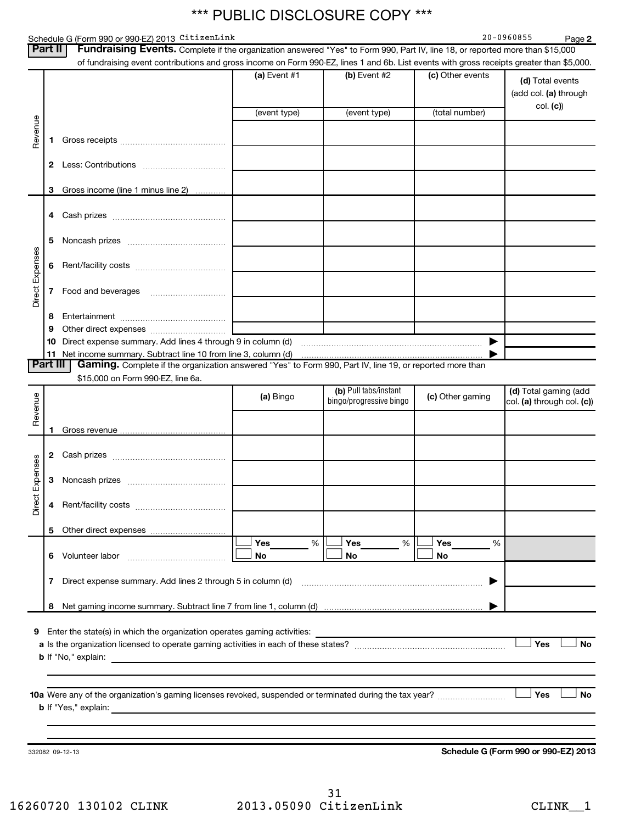### Schedule G (Form 990 or 990-EZ) 2013 CitizenLink and the control of the control of the control of the control o

**2**

| Part II         |          | Fundraising Events. Complete if the organization answered "Yes" to Form 990, Part IV, line 18, or reported more than \$15,000<br>of fundraising event contributions and gross income on Form 990-EZ, lines 1 and 6b. List events with gross receipts greater than \$5,000. |                |                         |                  |                                           |
|-----------------|----------|----------------------------------------------------------------------------------------------------------------------------------------------------------------------------------------------------------------------------------------------------------------------------|----------------|-------------------------|------------------|-------------------------------------------|
|                 |          |                                                                                                                                                                                                                                                                            | $(a)$ Event #1 | (b) Event #2            | (c) Other events | (d) Total events<br>(add col. (a) through |
|                 |          |                                                                                                                                                                                                                                                                            | (event type)   | (event type)            | (total number)   | col. (c)                                  |
| Revenue         |          |                                                                                                                                                                                                                                                                            |                |                         |                  |                                           |
|                 | 1        |                                                                                                                                                                                                                                                                            |                |                         |                  |                                           |
|                 | 2        |                                                                                                                                                                                                                                                                            |                |                         |                  |                                           |
|                 | 3        | Gross income (line 1 minus line 2)                                                                                                                                                                                                                                         |                |                         |                  |                                           |
|                 | 4        |                                                                                                                                                                                                                                                                            |                |                         |                  |                                           |
|                 | 5        | Noncash prizes [11,11,11,11,11,11,11,11,11,11,11,11]                                                                                                                                                                                                                       |                |                         |                  |                                           |
|                 | 6        |                                                                                                                                                                                                                                                                            |                |                         |                  |                                           |
| Direct Expenses | 7        |                                                                                                                                                                                                                                                                            |                |                         |                  |                                           |
|                 | 8        |                                                                                                                                                                                                                                                                            |                |                         |                  |                                           |
|                 | 9        |                                                                                                                                                                                                                                                                            |                |                         |                  |                                           |
|                 | 10       |                                                                                                                                                                                                                                                                            |                |                         |                  |                                           |
|                 | 11       |                                                                                                                                                                                                                                                                            |                |                         |                  |                                           |
|                 | Part III | Gaming. Complete if the organization answered "Yes" to Form 990, Part IV, line 19, or reported more than<br>\$15,000 on Form 990-EZ, line 6a.                                                                                                                              |                |                         |                  |                                           |
|                 |          |                                                                                                                                                                                                                                                                            |                | (b) Pull tabs/instant   |                  | (d) Total gaming (add                     |
| Revenue         |          |                                                                                                                                                                                                                                                                            | (a) Bingo      | bingo/progressive bingo | (c) Other gaming | col. (a) through col. (c))                |
|                 |          |                                                                                                                                                                                                                                                                            |                |                         |                  |                                           |
|                 | 1        |                                                                                                                                                                                                                                                                            |                |                         |                  |                                           |
|                 | 2        |                                                                                                                                                                                                                                                                            |                |                         |                  |                                           |
| Direct Expenses | 3        |                                                                                                                                                                                                                                                                            |                |                         |                  |                                           |
|                 | 4        |                                                                                                                                                                                                                                                                            |                |                         |                  |                                           |
|                 | 5        |                                                                                                                                                                                                                                                                            |                |                         |                  |                                           |
|                 |          |                                                                                                                                                                                                                                                                            | Yes<br>%       | Yes<br>%                | Yes<br>%         |                                           |
|                 | 6.       | Volunteer labor                                                                                                                                                                                                                                                            | No             | No                      | No               |                                           |
|                 | 7        |                                                                                                                                                                                                                                                                            |                |                         |                  |                                           |
|                 | 8        |                                                                                                                                                                                                                                                                            |                |                         |                  |                                           |
|                 |          | Enter the state(s) in which the organization operates gaming activities:                                                                                                                                                                                                   |                |                         |                  |                                           |
| 9               |          |                                                                                                                                                                                                                                                                            |                |                         |                  | Yes<br><b>No</b>                          |
|                 |          |                                                                                                                                                                                                                                                                            |                |                         |                  |                                           |
|                 |          |                                                                                                                                                                                                                                                                            |                |                         |                  | <b>Yes</b><br>No                          |
|                 |          |                                                                                                                                                                                                                                                                            |                |                         |                  |                                           |
|                 |          |                                                                                                                                                                                                                                                                            |                |                         |                  |                                           |
|                 |          | 332082 09-12-13                                                                                                                                                                                                                                                            |                |                         |                  | Schedule G (Form 990 or 990-EZ) 2013      |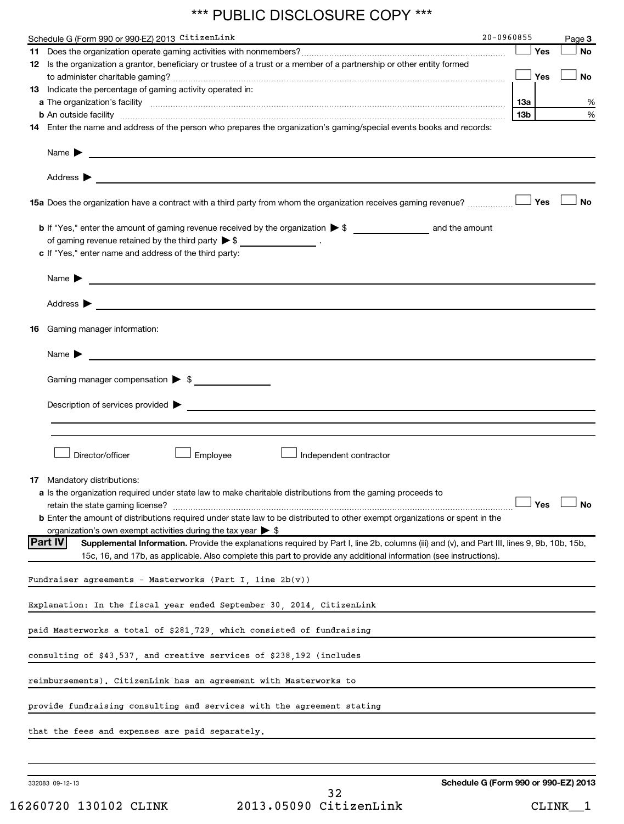| Schedule G (Form 990 or 990-EZ) 2013 CitizenLink<br><u> 1980 - Johann Barbara, martin amerikan basal dan basal dan basal dan basal dan basal dan basal dan basal dan</u>                                                                                           | 20-0960855 |            | Page 3    |
|--------------------------------------------------------------------------------------------------------------------------------------------------------------------------------------------------------------------------------------------------------------------|------------|------------|-----------|
|                                                                                                                                                                                                                                                                    |            | Yes        | <b>No</b> |
| 12 Is the organization a grantor, beneficiary or trustee of a trust or a member of a partnership or other entity formed                                                                                                                                            |            | Yes        | <b>No</b> |
| 13 Indicate the percentage of gaming activity operated in:                                                                                                                                                                                                         |            |            |           |
|                                                                                                                                                                                                                                                                    | 1За        |            | %         |
| <b>b</b> An outside facility <i>www.communicality www.communicality.communicality www.communicality www.communicality.com</i>                                                                                                                                      | 13b        |            | %         |
| 14 Enter the name and address of the person who prepares the organization's gaming/special events books and records:                                                                                                                                               |            |            |           |
| Name $\blacktriangleright$<br><u>state and the state of the state of the state of the state of the state of the state of the state of the state of the state of the state of the state of the state of the state of the state of the state of the state of the</u> |            |            |           |
| Address $\blacktriangleright$<br><u> 1989 - Johann Barn, amerikansk politiker (d. 1989)</u>                                                                                                                                                                        |            |            |           |
| 15a Does the organization have a contract with a third party from whom the organization receives gaming revenue?                                                                                                                                                   |            | <b>Yes</b> | <b>No</b> |
|                                                                                                                                                                                                                                                                    |            |            |           |
| of gaming revenue retained by the third party $\triangleright$ \$ _________________.                                                                                                                                                                               |            |            |           |
| c If "Yes," enter name and address of the third party:                                                                                                                                                                                                             |            |            |           |
| Name $\blacktriangleright$<br><u> 1989 - Johann John Stein, markin fan it fjort fan de ferstjer fan it fjort fan de ferstjer fan de ferstjer f</u>                                                                                                                 |            |            |           |
| Address $\blacktriangleright$<br><u> 1980 - John Harry Harry Harry Harry Harry Harry Harry Harry Harry Harry Harry Harry Harry Harry Harry Harry H</u>                                                                                                             |            |            |           |
| <b>16</b> Gaming manager information:                                                                                                                                                                                                                              |            |            |           |
| Name $\blacktriangleright$<br><u> 1989 - Johann Barn, fransk politik amerikansk politik (d. 1989)</u>                                                                                                                                                              |            |            |           |
| Gaming manager compensation > \$                                                                                                                                                                                                                                   |            |            |           |
|                                                                                                                                                                                                                                                                    |            |            |           |
|                                                                                                                                                                                                                                                                    |            |            |           |
|                                                                                                                                                                                                                                                                    |            |            |           |
| Director/officer<br>Employee<br>Independent contractor                                                                                                                                                                                                             |            |            |           |
| <b>17</b> Mandatory distributions:                                                                                                                                                                                                                                 |            |            |           |
| a Is the organization required under state law to make charitable distributions from the gaming proceeds to                                                                                                                                                        |            |            |           |
|                                                                                                                                                                                                                                                                    |            | Yes        | No        |
| <b>b</b> Enter the amount of distributions required under state law to be distributed to other exempt organizations or spent in the                                                                                                                                |            |            |           |
| organization's own exempt activities during the tax year $\triangleright$ \$                                                                                                                                                                                       |            |            |           |
| <b>Part IV</b><br>Supplemental Information. Provide the explanations required by Part I, line 2b, columns (iii) and (v), and Part III, lines 9, 9b, 10b, 15b,                                                                                                      |            |            |           |
| 15c, 16, and 17b, as applicable. Also complete this part to provide any additional information (see instructions).                                                                                                                                                 |            |            |           |
| Fundraiser agreements - Masterworks (Part I, line 2b(v))                                                                                                                                                                                                           |            |            |           |
| Explanation: In the fiscal year ended September 30, 2014, CitizenLink                                                                                                                                                                                              |            |            |           |
| paid Masterworks a total of \$281,729, which consisted of fundraising                                                                                                                                                                                              |            |            |           |
| consulting of \$43,537, and creative services of \$238,192 (includes                                                                                                                                                                                               |            |            |           |
| reimbursements). CitizenLink has an agreement with Masterworks to                                                                                                                                                                                                  |            |            |           |
| provide fundraising consulting and services with the agreement stating                                                                                                                                                                                             |            |            |           |
| that the fees and expenses are paid separately.                                                                                                                                                                                                                    |            |            |           |
|                                                                                                                                                                                                                                                                    |            |            |           |
|                                                                                                                                                                                                                                                                    |            |            |           |

332083 09-12-13

**Schedule G (Form 990 or 990-EZ) 2013**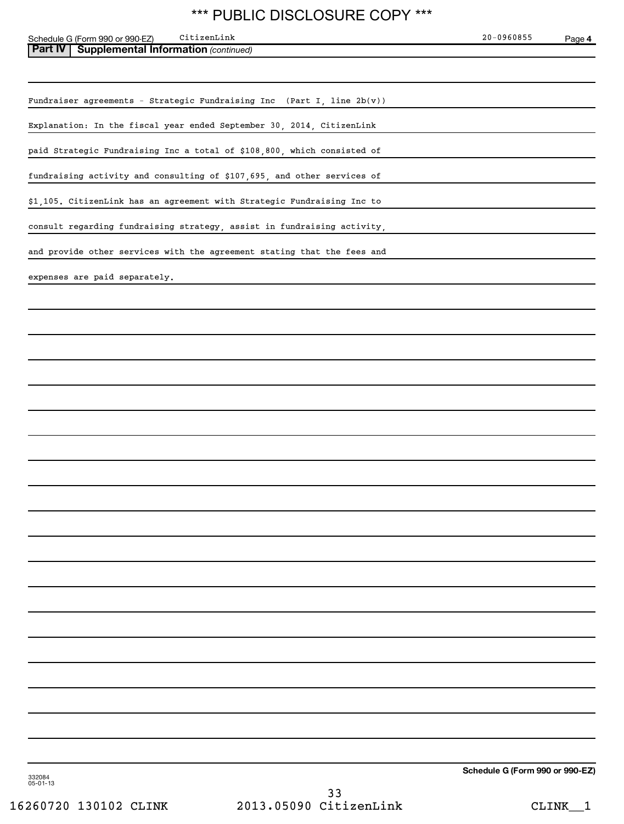Schedule G (Form 990 or 990-EZ) Page

| Part IV<br><b>Supplemental Information (continued)</b>                    |                                 |
|---------------------------------------------------------------------------|---------------------------------|
|                                                                           |                                 |
| Fundraiser agreements - Strategic Fundraising Inc (Part I, line $2b(v)$ ) |                                 |
| Explanation: In the fiscal year ended September 30, 2014, CitizenLink     |                                 |
| paid Strategic Fundraising Inc a total of \$108,800, which consisted of   |                                 |
| fundraising activity and consulting of \$107,695, and other services of   |                                 |
| \$1,105. CitizenLink has an agreement with Strategic Fundraising Inc to   |                                 |
| consult regarding fundraising strategy, assist in fundraising activity,   |                                 |
| and provide other services with the agreement stating that the fees and   |                                 |
| expenses are paid separately.                                             |                                 |
|                                                                           |                                 |
|                                                                           |                                 |
|                                                                           |                                 |
|                                                                           |                                 |
|                                                                           |                                 |
|                                                                           |                                 |
|                                                                           |                                 |
|                                                                           |                                 |
|                                                                           |                                 |
|                                                                           |                                 |
|                                                                           |                                 |
|                                                                           |                                 |
|                                                                           |                                 |
|                                                                           |                                 |
|                                                                           |                                 |
|                                                                           |                                 |
|                                                                           |                                 |
|                                                                           |                                 |
|                                                                           |                                 |
|                                                                           | Schedule G (Form 990 or 990-EZ) |

332084 05-01-13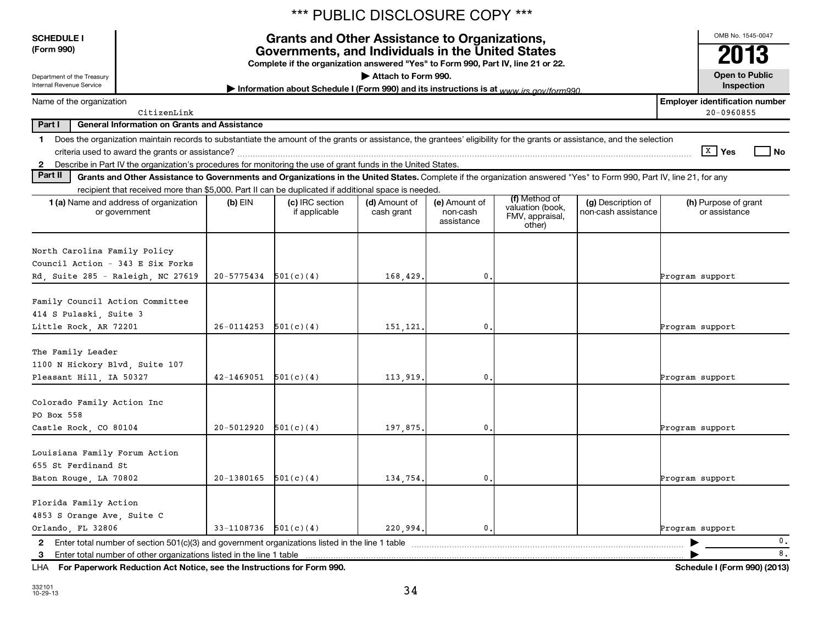|                                                                                                                                                                                  |             |                |                                                                                                                                                                                               | *** PUBLIC DISCLOSURE COPY *** |                                         |                                                                |                                           |                                       |                                       |                       |  |
|----------------------------------------------------------------------------------------------------------------------------------------------------------------------------------|-------------|----------------|-----------------------------------------------------------------------------------------------------------------------------------------------------------------------------------------------|--------------------------------|-----------------------------------------|----------------------------------------------------------------|-------------------------------------------|---------------------------------------|---------------------------------------|-----------------------|--|
| <b>SCHEDULE I</b><br>(Form 990)                                                                                                                                                  |             |                | <b>Grants and Other Assistance to Organizations,</b><br>Governments, and Individuals in the United States<br>Complete if the organization answered "Yes" to Form 990, Part IV, line 21 or 22. |                                |                                         |                                                                |                                           |                                       | OMB No. 1545-0047<br>2013             |                       |  |
| Department of the Treasury<br>Internal Revenue Service                                                                                                                           |             |                |                                                                                                                                                                                               | Attach to Form 990.            |                                         |                                                                |                                           |                                       | <b>Open to Public</b><br>Inspection   |                       |  |
| Name of the organization                                                                                                                                                         |             |                | Information about Schedule I (Form 990) and its instructions is at www irs gov/form990                                                                                                        |                                |                                         |                                                                |                                           | <b>Employer identification number</b> |                                       |                       |  |
|                                                                                                                                                                                  | CitizenLink |                |                                                                                                                                                                                               |                                |                                         |                                                                |                                           |                                       | 20-0960855                            |                       |  |
| Part I<br><b>General Information on Grants and Assistance</b>                                                                                                                    |             |                |                                                                                                                                                                                               |                                |                                         |                                                                |                                           |                                       |                                       |                       |  |
| Does the organization maintain records to substantiate the amount of the grants or assistance, the grantees' eligibility for the grants or assistance, and the selection<br>1.   |             |                |                                                                                                                                                                                               |                                |                                         |                                                                |                                           |                                       |                                       |                       |  |
| 2 Describe in Part IV the organization's procedures for monitoring the use of grant funds in the United States.                                                                  |             |                |                                                                                                                                                                                               |                                |                                         |                                                                |                                           |                                       | $X$ Yes                               | No                    |  |
| Part II<br>Grants and Other Assistance to Governments and Organizations in the United States. Complete if the organization answered "Yes" to Form 990, Part IV, line 21, for any |             |                |                                                                                                                                                                                               |                                |                                         |                                                                |                                           |                                       |                                       |                       |  |
| recipient that received more than \$5,000. Part II can be duplicated if additional space is needed.                                                                              |             |                |                                                                                                                                                                                               |                                |                                         |                                                                |                                           |                                       |                                       |                       |  |
| <b>1 (a)</b> Name and address of organization<br>or government                                                                                                                   |             | $(b)$ EIN      | (c) IRC section<br>if applicable                                                                                                                                                              | (d) Amount of<br>cash grant    | (e) Amount of<br>non-cash<br>assistance | (f) Method of<br>valuation (book,<br>FMV, appraisal,<br>other) | (g) Description of<br>non-cash assistance |                                       | (h) Purpose of grant<br>or assistance |                       |  |
| North Carolina Family Policy<br>Council Action - 343 E Six Forks<br>Rd, Suite 285 - Raleigh, NC 27619                                                                            |             | 20-5775434     | 501(c)(4)                                                                                                                                                                                     | 168,429                        | 0                                       |                                                                |                                           | Program support                       |                                       |                       |  |
| Family Council Action Committee<br>414 S Pulaski, Suite 3<br>Little Rock, AR 72201                                                                                               |             | 26-0114253     | 501(c)(4)                                                                                                                                                                                     | 151,121                        | 0                                       |                                                                |                                           | Program support                       |                                       |                       |  |
| The Family Leader<br>1100 N Hickory Blvd, Suite 107<br>Pleasant Hill, IA 50327                                                                                                   |             | 42-1469051     | 501(c)(4)                                                                                                                                                                                     | 113,919                        | $\mathbf{0}$                            |                                                                |                                           | Program support                       |                                       |                       |  |
| Colorado Family Action Inc<br>PO Box 558<br>Castle Rock, CO 80104                                                                                                                |             | $20 - 5012920$ | 501(c)(4)                                                                                                                                                                                     | 197,875                        | $\mathbf{0}$                            |                                                                |                                           | Program support                       |                                       |                       |  |
| Louisiana Family Forum Action<br>655 St Ferdinand St<br>Baton Rouge, LA 70802                                                                                                    |             | $20 - 1380165$ | 501(c)(4)                                                                                                                                                                                     | 134,754.                       | 0.1                                     |                                                                |                                           | Program support                       |                                       |                       |  |
| Florida Family Action<br>4853 S Orange Ave, Suite C<br>Orlando, FL 32806                                                                                                         |             | 33-1108736     | 501(c)(4)                                                                                                                                                                                     | 220,994.                       | 0.                                      |                                                                |                                           | Program support                       |                                       |                       |  |
| 2 Enter total number of section $501(c)(3)$ and government organizations listed in the line 1 table<br>3 Enter total number of other organizations listed in the line 1 table    |             |                |                                                                                                                                                                                               |                                |                                         |                                                                |                                           |                                       |                                       | 0.<br>$^\mathrm{8}$ . |  |

**For Paperwork Reduction Act Notice, see the Instructions for Form 990. Schedule I (Form 990) (2013)** LHA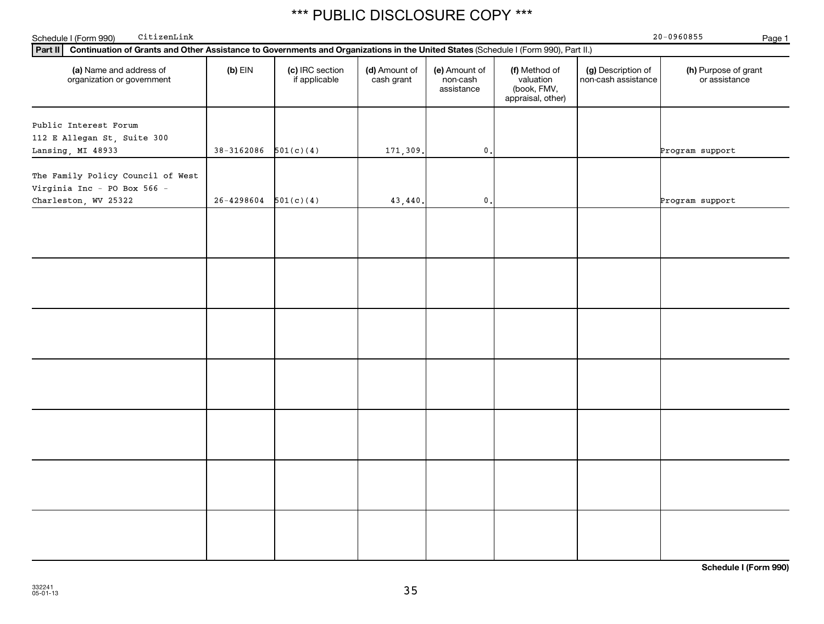| CitizenLink<br>Schedule I (Form 990)                                                                                                           |                            |                                  |                             |                                         |                                                                |                                           | $20 - 0960855$<br>Page 1              |
|------------------------------------------------------------------------------------------------------------------------------------------------|----------------------------|----------------------------------|-----------------------------|-----------------------------------------|----------------------------------------------------------------|-------------------------------------------|---------------------------------------|
| Continuation of Grants and Other Assistance to Governments and Organizations in the United States (Schedule I (Form 990), Part II.)<br>Part II |                            |                                  |                             |                                         |                                                                |                                           |                                       |
| (a) Name and address of<br>organization or government                                                                                          | $(b)$ EIN                  | (c) IRC section<br>if applicable | (d) Amount of<br>cash grant | (e) Amount of<br>non-cash<br>assistance | (f) Method of<br>valuation<br>(book, FMV,<br>appraisal, other) | (g) Description of<br>non-cash assistance | (h) Purpose of grant<br>or assistance |
| Public Interest Forum<br>112 E Allegan St, Suite 300<br>Lansing, MI 48933                                                                      | $38-3162086$ $501(c)(4)$   |                                  | 171,309.                    | $\mathbf{0}$ .                          |                                                                |                                           | Program support                       |
| The Family Policy Council of West<br>Virginia Inc - PO Box 566 -                                                                               |                            |                                  |                             |                                         |                                                                |                                           |                                       |
| Charleston, WV 25322                                                                                                                           | $26 - 4298604$ $501(c)(4)$ |                                  | 43,440.                     | $\mathbf 0$ .                           |                                                                |                                           | Program support                       |
|                                                                                                                                                |                            |                                  |                             |                                         |                                                                |                                           |                                       |
|                                                                                                                                                |                            |                                  |                             |                                         |                                                                |                                           |                                       |
|                                                                                                                                                |                            |                                  |                             |                                         |                                                                |                                           |                                       |
|                                                                                                                                                |                            |                                  |                             |                                         |                                                                |                                           |                                       |
|                                                                                                                                                |                            |                                  |                             |                                         |                                                                |                                           |                                       |
|                                                                                                                                                |                            |                                  |                             |                                         |                                                                |                                           |                                       |
|                                                                                                                                                |                            |                                  |                             |                                         |                                                                |                                           |                                       |

**Schedule I (Form 990)**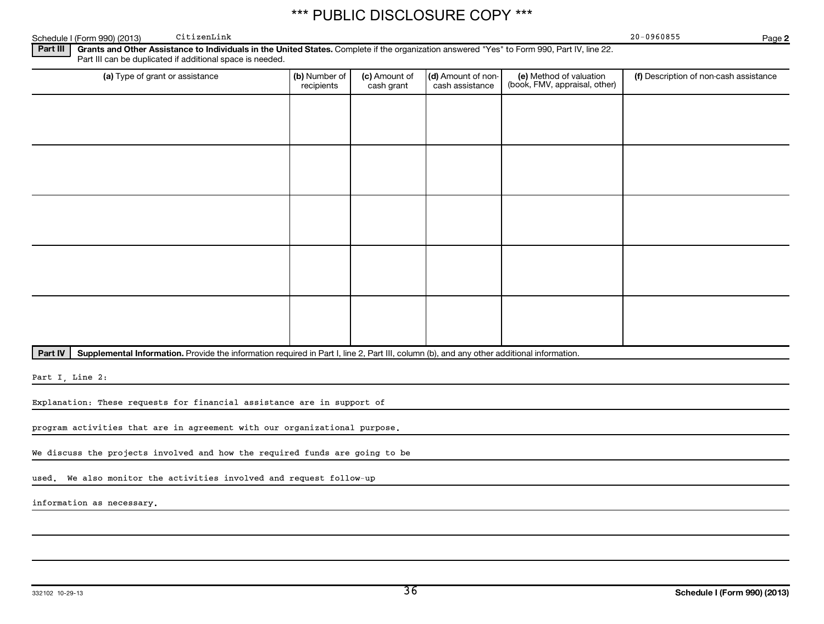Schedule I (Form 990) (2013) CitizenLink Channels and Contract Channels Control of the Contract Contract Control of the Contract Contract Control of the Contract Contract Control of the Contract Control of the Contract Con CitizenLink 20-0960855

**2**

Part III | Grants and Other Assistance to Individuals in the United States. Complete if the organization answered "Yes" to Form 990, Part IV, line 22. Part III can be duplicated if additional space is needed.

| (a) Type of grant or assistance | (b) Number of<br>recipients | (c) Amount of<br>cash grant | (d) Amount of non-<br>cash assistance | (e) Method of valuation<br>(book, FMV, appraisal, other) | (f) Description of non-cash assistance |
|---------------------------------|-----------------------------|-----------------------------|---------------------------------------|----------------------------------------------------------|----------------------------------------|
|                                 |                             |                             |                                       |                                                          |                                        |
|                                 |                             |                             |                                       |                                                          |                                        |
|                                 |                             |                             |                                       |                                                          |                                        |
|                                 |                             |                             |                                       |                                                          |                                        |
|                                 |                             |                             |                                       |                                                          |                                        |
|                                 |                             |                             |                                       |                                                          |                                        |
|                                 |                             |                             |                                       |                                                          |                                        |
|                                 |                             |                             |                                       |                                                          |                                        |
|                                 |                             |                             |                                       |                                                          |                                        |
|                                 |                             |                             |                                       |                                                          |                                        |

Part IV | Supplemental Information. Provide the information required in Part I, line 2, Part III, column (b), and any other additional information.

Part I, Line 2:

Explanation: These requests for financial assistance are in support of

program activities that are in agreement with our organizational purpose.

We discuss the projects involved and how the required funds are going to be

used. We also monitor the activities involved and request follow-up

information as necessary.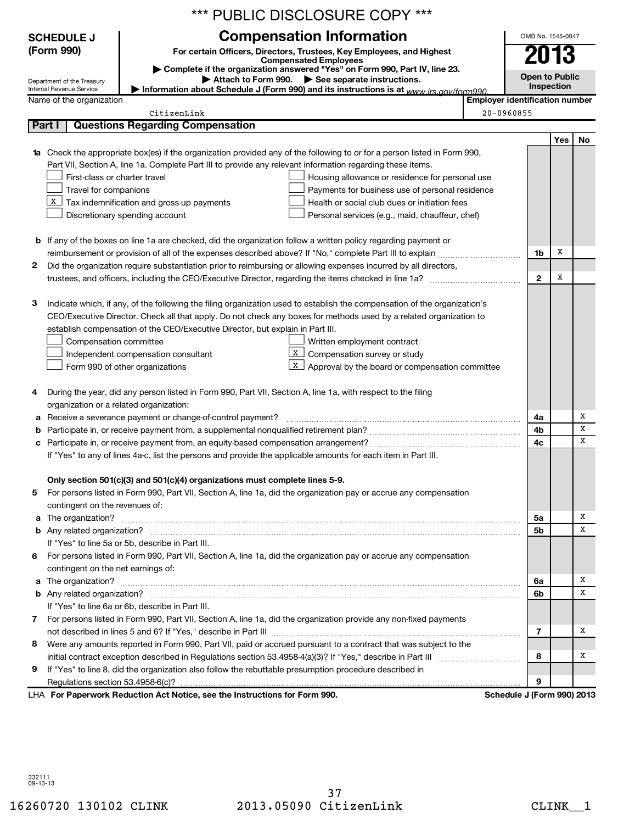|   | *** PUBLIC DISCLOSURE COPY ***                                                                                                                                        |                                       |                   |                       |    |  |
|---|-----------------------------------------------------------------------------------------------------------------------------------------------------------------------|---------------------------------------|-------------------|-----------------------|----|--|
|   | <b>Compensation Information</b><br><b>SCHEDULE J</b>                                                                                                                  |                                       |                   | OMB No. 1545-0047     |    |  |
|   | (Form 990)<br>For certain Officers, Directors, Trustees, Key Employees, and Highest                                                                                   |                                       |                   |                       |    |  |
|   | <b>Compensated Employees</b>                                                                                                                                          |                                       |                   | 2013                  |    |  |
|   | Complete if the organization answered "Yes" on Form 990, Part IV, line 23.<br>Attach to Form 990. See separate instructions.                                          |                                       |                   | <b>Open to Public</b> |    |  |
|   | Department of the Treasury<br>Information about Schedule J (Form 990) and its instructions is at www irs gov/form990<br>Internal Revenue Service                      |                                       | <b>Inspection</b> |                       |    |  |
|   | Name of the organization                                                                                                                                              | <b>Employer identification number</b> |                   |                       |    |  |
|   | CitizenLink                                                                                                                                                           | 20-0960855                            |                   |                       |    |  |
|   | Part I<br><b>Questions Regarding Compensation</b>                                                                                                                     |                                       |                   |                       |    |  |
|   |                                                                                                                                                                       |                                       |                   | Yes                   | No |  |
|   | 1a Check the appropriate box(es) if the organization provided any of the following to or for a person listed in Form 990,                                             |                                       |                   |                       |    |  |
|   | Part VII, Section A, line 1a. Complete Part III to provide any relevant information regarding these items.                                                            |                                       |                   |                       |    |  |
|   | First-class or charter travel<br>Housing allowance or residence for personal use                                                                                      |                                       |                   |                       |    |  |
|   | Travel for companions<br>Payments for business use of personal residence                                                                                              |                                       |                   |                       |    |  |
|   | X  <br>Tax indemnification and gross-up payments<br>Health or social club dues or initiation fees                                                                     |                                       |                   |                       |    |  |
|   | Discretionary spending account<br>Personal services (e.g., maid, chauffeur, chef)                                                                                     |                                       |                   |                       |    |  |
|   |                                                                                                                                                                       |                                       |                   |                       |    |  |
|   | <b>b</b> If any of the boxes on line 1a are checked, did the organization follow a written policy regarding payment or                                                |                                       | 1b                | Х                     |    |  |
| 2 | Did the organization require substantiation prior to reimbursing or allowing expenses incurred by all directors,                                                      |                                       |                   |                       |    |  |
|   |                                                                                                                                                                       |                                       | $\mathbf{2}$      | х                     |    |  |
|   |                                                                                                                                                                       |                                       |                   |                       |    |  |
| з | Indicate which, if any, of the following the filing organization used to establish the compensation of the organization's                                             |                                       |                   |                       |    |  |
|   | CEO/Executive Director. Check all that apply. Do not check any boxes for methods used by a related organization to                                                    |                                       |                   |                       |    |  |
|   | establish compensation of the CEO/Executive Director, but explain in Part III.                                                                                        |                                       |                   |                       |    |  |
|   | Compensation committee<br>Written employment contract                                                                                                                 |                                       |                   |                       |    |  |
|   | x  <br>Compensation survey or study<br>Independent compensation consultant                                                                                            |                                       |                   |                       |    |  |
|   | X <sub>1</sub><br>Approval by the board or compensation committee<br>Form 990 of other organizations                                                                  |                                       |                   |                       |    |  |
|   |                                                                                                                                                                       |                                       |                   |                       |    |  |
| 4 | During the year, did any person listed in Form 990, Part VII, Section A, line 1a, with respect to the filing                                                          |                                       |                   |                       |    |  |
|   | organization or a related organization:                                                                                                                               |                                       |                   |                       |    |  |
|   | a Receive a severance payment or change-of-control payment?                                                                                                           |                                       | 4a                |                       | х  |  |
|   |                                                                                                                                                                       |                                       | 4b                |                       | x  |  |
|   |                                                                                                                                                                       |                                       | 4c                |                       | х  |  |
|   | If "Yes" to any of lines 4a-c, list the persons and provide the applicable amounts for each item in Part III.                                                         |                                       |                   |                       |    |  |
|   |                                                                                                                                                                       |                                       |                   |                       |    |  |
|   | Only section 501(c)(3) and 501(c)(4) organizations must complete lines 5-9.                                                                                           |                                       |                   |                       |    |  |
| 5 | For persons listed in Form 990, Part VII, Section A, line 1a, did the organization pay or accrue any compensation                                                     |                                       |                   |                       |    |  |
|   | contingent on the revenues of:                                                                                                                                        |                                       |                   |                       | х  |  |
| a |                                                                                                                                                                       |                                       | 5a                |                       | х  |  |
|   |                                                                                                                                                                       |                                       | 5b                |                       |    |  |
|   | If "Yes" to line 5a or 5b, describe in Part III.<br>For persons listed in Form 990, Part VII, Section A, line 1a, did the organization pay or accrue any compensation |                                       |                   |                       |    |  |
| 6 | contingent on the net earnings of:                                                                                                                                    |                                       |                   |                       |    |  |
|   |                                                                                                                                                                       |                                       | 6a                |                       | x  |  |
|   |                                                                                                                                                                       |                                       | 6b                |                       | х  |  |
|   | If "Yes" to line 6a or 6b, describe in Part III.                                                                                                                      |                                       |                   |                       |    |  |
| 7 | For persons listed in Form 990, Part VII, Section A, line 1a, did the organization provide any non-fixed payments                                                     |                                       |                   |                       |    |  |
|   |                                                                                                                                                                       |                                       | 7                 |                       | х  |  |
| 8 | Were any amounts reported in Form 990, Part VII, paid or accrued pursuant to a contract that was subject to the                                                       |                                       |                   |                       |    |  |
|   |                                                                                                                                                                       |                                       | 8                 |                       | х  |  |
| 9 | If "Yes" to line 8, did the organization also follow the rebuttable presumption procedure described in                                                                |                                       |                   |                       |    |  |
|   |                                                                                                                                                                       |                                       | 9                 |                       |    |  |
|   | LHA For Paperwork Reduction Act Notice, see the Instructions for Form 990.                                                                                            | Schedule J (Form 990) 2013            |                   |                       |    |  |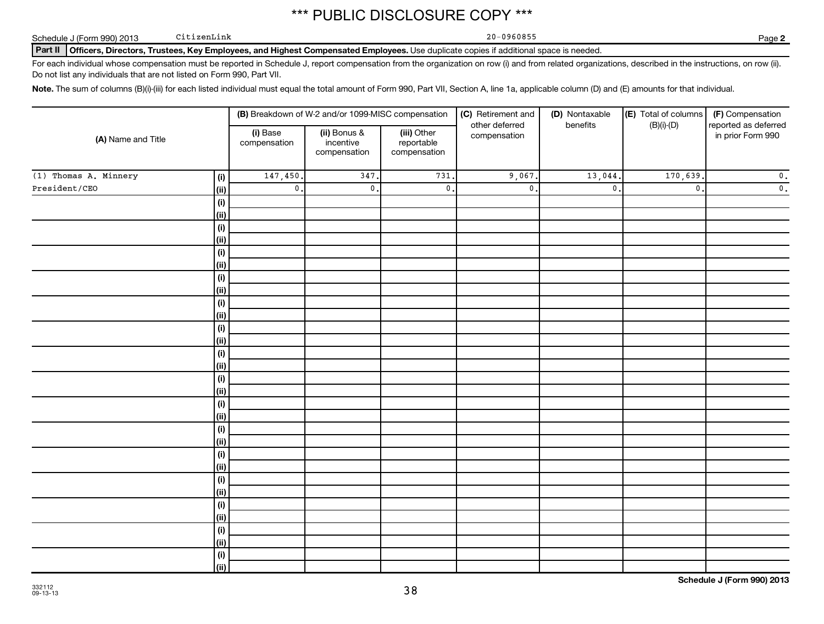Schedule J (Form 990) 2013 CitizenLink Changes and Changes and Changes and Changes and Changes and Changes and Changes and Changes and Changes and Changes and Changes and Changes and Changes and Changes and Changes and Cha

 $CitizenLink$ 

**2**

Part II | Officers, Directors, Trustees, Key Employees, and Highest Compensated Employees. Use duplicate copies if additional space is needed.

For each individual whose compensation must be reported in Schedule J, report compensation from the organization on row (i) and from related organizations, described in the instructions, on row (ii). Do not list any individuals that are not listed on Form 990, Part VII.

Note. The sum of columns (B)(i)-(iii) for each listed individual must equal the total amount of Form 990, Part VII, Section A, line 1a, applicable column (D) and (E) amounts for that individual.

|                       |                        |                          | (B) Breakdown of W-2 and/or 1099-MISC compensation |                                           | (C) Retirement and             | (D) Nontaxable            | (E) Total of columns | (F) Compensation                          |  |
|-----------------------|------------------------|--------------------------|----------------------------------------------------|-------------------------------------------|--------------------------------|---------------------------|----------------------|-------------------------------------------|--|
| (A) Name and Title    |                        | (i) Base<br>compensation | (ii) Bonus &<br>incentive<br>compensation          | (iii) Other<br>reportable<br>compensation | other deferred<br>compensation | benefits                  | $(B)(i)-(D)$         | reported as deferred<br>in prior Form 990 |  |
| (1) Thomas A. Minnery | (i)                    | 147,450.                 | 347.                                               | 731                                       | 9,067.                         | 13,044.                   | 170,639.             | $\mathfrak o$ .                           |  |
| President/CEO         | (ii)                   | $\mathsf{0}$ .           | $\mathbf{0}$                                       | $\mathfrak o$ .                           | $\mathfrak o$ .                | $\overline{\mathbf{0}}$ . | $\mathbf{0}$ .       | $\mathfrak o$ .                           |  |
|                       | (i)                    |                          |                                                    |                                           |                                |                           |                      |                                           |  |
|                       | (ii)                   |                          |                                                    |                                           |                                |                           |                      |                                           |  |
|                       | (i)                    |                          |                                                    |                                           |                                |                           |                      |                                           |  |
|                       | (ii)                   |                          |                                                    |                                           |                                |                           |                      |                                           |  |
|                       | (i)                    |                          |                                                    |                                           |                                |                           |                      |                                           |  |
|                       | (ii)                   |                          |                                                    |                                           |                                |                           |                      |                                           |  |
|                       | (i)                    |                          |                                                    |                                           |                                |                           |                      |                                           |  |
|                       | (ii)                   |                          |                                                    |                                           |                                |                           |                      |                                           |  |
|                       | (i)                    |                          |                                                    |                                           |                                |                           |                      |                                           |  |
|                       | (ii)                   |                          |                                                    |                                           |                                |                           |                      |                                           |  |
|                       | (i)                    |                          |                                                    |                                           |                                |                           |                      |                                           |  |
|                       | (ii)                   |                          |                                                    |                                           |                                |                           |                      |                                           |  |
|                       | (i)                    |                          |                                                    |                                           |                                |                           |                      |                                           |  |
|                       | (ii)                   |                          |                                                    |                                           |                                |                           |                      |                                           |  |
|                       | $(\mathsf{i})$<br>(ii) |                          |                                                    |                                           |                                |                           |                      |                                           |  |
|                       | $(\mathsf{i})$         |                          |                                                    |                                           |                                |                           |                      |                                           |  |
|                       | (ii)                   |                          |                                                    |                                           |                                |                           |                      |                                           |  |
|                       | (i)                    |                          |                                                    |                                           |                                |                           |                      |                                           |  |
|                       | (ii)                   |                          |                                                    |                                           |                                |                           |                      |                                           |  |
|                       | (i)                    |                          |                                                    |                                           |                                |                           |                      |                                           |  |
|                       | (ii)                   |                          |                                                    |                                           |                                |                           |                      |                                           |  |
|                       | (i)                    |                          |                                                    |                                           |                                |                           |                      |                                           |  |
|                       | (i)                    |                          |                                                    |                                           |                                |                           |                      |                                           |  |
|                       | (i)                    |                          |                                                    |                                           |                                |                           |                      |                                           |  |
|                       | (i)                    |                          |                                                    |                                           |                                |                           |                      |                                           |  |
|                       | (i)                    |                          |                                                    |                                           |                                |                           |                      |                                           |  |
|                       | (ii)                   |                          |                                                    |                                           |                                |                           |                      |                                           |  |
|                       | (i)                    |                          |                                                    |                                           |                                |                           |                      |                                           |  |
|                       | (ii)                   |                          |                                                    |                                           |                                |                           |                      |                                           |  |

**Schedule J (Form 990) 2013**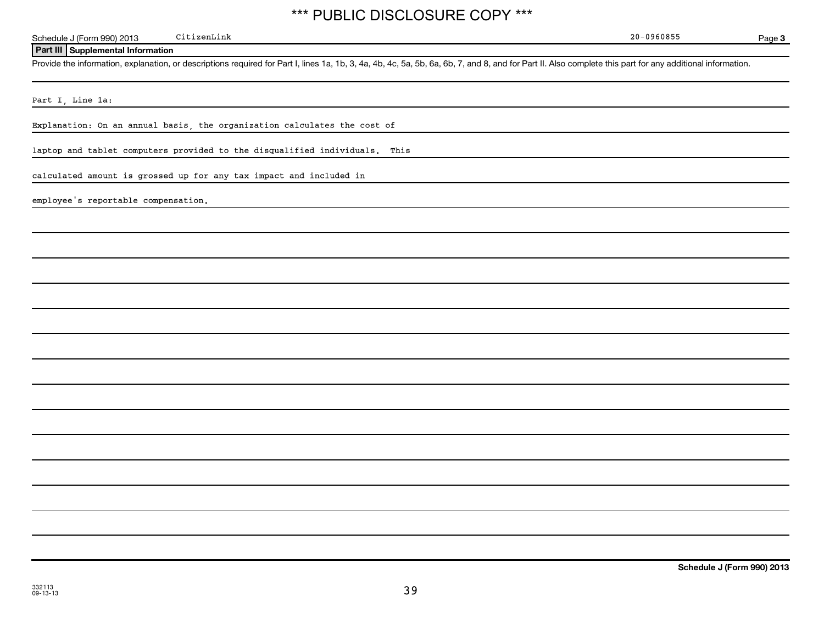Schedule J (Form 990) 2013 CitizenLink Channel Company of Channel Company of Channel Company of Channel Company of Channel Company of Channel Company of Channel Company of Channel Company of Channel Company of Channel Comp CitizenLink 20-0960855

**Page 3** 

### **Part III Supplemental Information**

Provide the information, explanation, or descriptions required for Part I, lines 1a, 1b, 3, 4a, 4b, 4c, 5a, 5b, 6a, 6b, 7, and 8, and for Part II. Also complete this part for any additional information.

Part I, Line 1a:

Explanation: On an annual basis, the organization calculates the cost of

laptop and tablet computers provided to the disqualified individuals. This

calculated amount is grossed up for any tax impact and included in

employee's reportable compensation.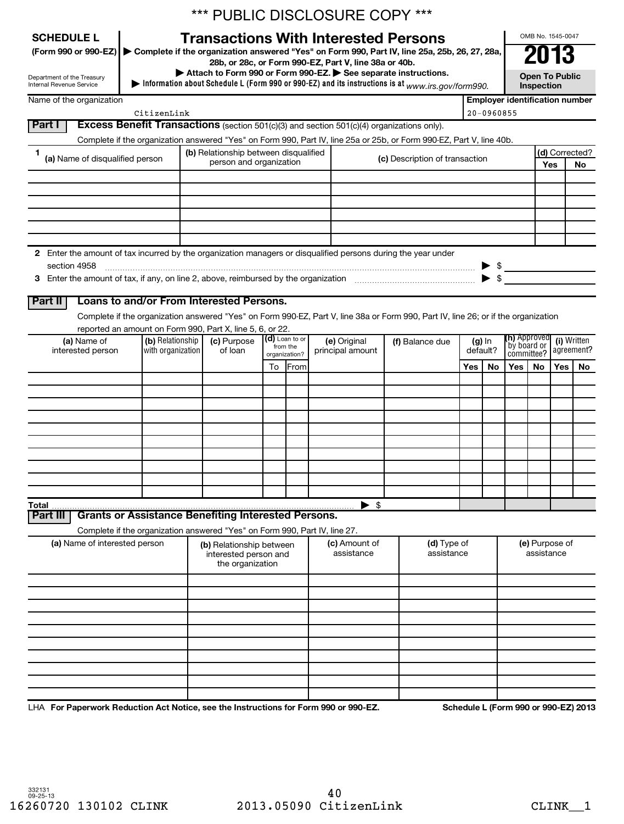|                 | <b>SCHEDULE L</b>                                      |                   | *** PUBLIC DISCLOSURE COPY ***<br><b>Transactions With Interested Persons</b>                                 |                           |                |                             |                                |                                                                                                                                    |                              |                |                                     |                                    | OMB No. 1545-0047 |                                       |     |          |  |            |  |            |
|-----------------|--------------------------------------------------------|-------------------|---------------------------------------------------------------------------------------------------------------|---------------------------|----------------|-----------------------------|--------------------------------|------------------------------------------------------------------------------------------------------------------------------------|------------------------------|----------------|-------------------------------------|------------------------------------|-------------------|---------------------------------------|-----|----------|--|------------|--|------------|
|                 | (Form 990 or 990-EZ)                                   |                   | 28b, or 28c, or Form 990-EZ, Part V, line 38a or 40b.                                                         |                           |                |                             |                                | Complete if the organization answered "Yes" on Form 990, Part IV, line 25a, 25b, 26, 27, 28a,                                      |                              |                |                                     |                                    | 2013              |                                       |     |          |  |            |  |            |
|                 | Department of the Treasury<br>Internal Revenue Service |                   | Attach to Form 990 or Form 990-EZ. See separate instructions.                                                 |                           |                |                             |                                | Information about Schedule L (Form 990 or 990-EZ) and its instructions is at $_{WWV,irs. gov/form990.}$                            |                              |                | <b>Open To Public</b><br>Inspection |                                    |                   |                                       |     |          |  |            |  |            |
|                 | Name of the organization                               |                   |                                                                                                               |                           |                |                             |                                |                                                                                                                                    |                              |                |                                     |                                    |                   | <b>Employer identification number</b> |     |          |  |            |  |            |
| Part I          |                                                        | CitizenLink       | <b>Excess Benefit Transactions</b> (section 501(c)(3) and section 501(c)(4) organizations only).              |                           |                |                             |                                |                                                                                                                                    |                              | $20 - 0960855$ |                                     |                                    |                   |                                       |     |          |  |            |  |            |
|                 |                                                        |                   |                                                                                                               |                           |                |                             |                                | Complete if the organization answered "Yes" on Form 990, Part IV, line 25a or 25b, or Form 990-EZ, Part V, line 40b.               |                              |                |                                     |                                    |                   |                                       |     |          |  |            |  |            |
| 1               |                                                        |                   | (b) Relationship between disqualified                                                                         |                           |                |                             |                                |                                                                                                                                    |                              |                |                                     |                                    |                   | (d) Corrected?                        |     |          |  |            |  |            |
|                 | (a) Name of disqualified person                        |                   | person and organization                                                                                       |                           |                |                             | (c) Description of transaction |                                                                                                                                    |                              |                | Yes<br>No                           |                                    |                   |                                       |     |          |  |            |  |            |
|                 |                                                        |                   |                                                                                                               |                           |                |                             |                                |                                                                                                                                    |                              |                |                                     |                                    |                   |                                       |     |          |  |            |  |            |
|                 |                                                        |                   |                                                                                                               |                           |                |                             |                                |                                                                                                                                    |                              |                |                                     |                                    |                   |                                       |     |          |  |            |  |            |
|                 |                                                        |                   |                                                                                                               |                           |                |                             |                                |                                                                                                                                    |                              |                |                                     |                                    |                   |                                       |     |          |  |            |  |            |
|                 |                                                        |                   |                                                                                                               |                           |                |                             |                                |                                                                                                                                    |                              |                |                                     |                                    |                   |                                       |     |          |  |            |  |            |
|                 |                                                        |                   |                                                                                                               |                           |                |                             |                                |                                                                                                                                    |                              |                |                                     |                                    |                   |                                       |     |          |  |            |  |            |
|                 | section 4958                                           |                   | 2 Enter the amount of tax incurred by the organization managers or disqualified persons during the year under |                           |                |                             |                                |                                                                                                                                    |                              |                |                                     |                                    |                   |                                       |     |          |  |            |  |            |
|                 |                                                        |                   |                                                                                                               |                           |                |                             |                                |                                                                                                                                    |                              |                |                                     |                                    |                   |                                       |     |          |  |            |  |            |
|                 |                                                        |                   |                                                                                                               |                           |                |                             |                                |                                                                                                                                    |                              |                |                                     |                                    |                   |                                       |     |          |  |            |  |            |
| Part II         |                                                        |                   | Loans to and/or From Interested Persons.                                                                      |                           |                |                             |                                |                                                                                                                                    |                              |                |                                     |                                    |                   |                                       |     |          |  |            |  |            |
|                 |                                                        |                   | reported an amount on Form 990, Part X, line 5, 6, or 22.                                                     |                           |                |                             |                                | Complete if the organization answered "Yes" on Form 990-EZ, Part V, line 38a or Form 990, Part IV, line 26; or if the organization |                              |                |                                     |                                    |                   |                                       |     |          |  |            |  |            |
|                 | (a) Name of                                            | (b) Relationship  | (c) Purpose                                                                                                   |                           | (d) Loan to or | (e) Original                |                                | (f) Balance due                                                                                                                    |                              | (g) In         |                                     | <b>(h)</b> Approved<br>by board or |                   | (i) Written                           |     |          |  |            |  |            |
|                 | interested person                                      | with organization | of loan                                                                                                       | from the<br>organization? |                |                             |                                |                                                                                                                                    |                              |                |                                     | principal amount                   |                   |                                       |     | default? |  | committee? |  | agreement? |
|                 |                                                        |                   |                                                                                                               | To                        | From           |                             |                                |                                                                                                                                    |                              |                |                                     | No                                 | Yes l             | No.                                   | Yes | No.      |  |            |  |            |
|                 |                                                        |                   |                                                                                                               |                           |                |                             |                                |                                                                                                                                    |                              |                |                                     |                                    |                   |                                       |     |          |  |            |  |            |
|                 |                                                        |                   |                                                                                                               |                           |                |                             |                                |                                                                                                                                    |                              |                |                                     |                                    |                   |                                       |     |          |  |            |  |            |
|                 |                                                        |                   |                                                                                                               |                           |                |                             |                                |                                                                                                                                    |                              |                |                                     |                                    |                   |                                       |     |          |  |            |  |            |
|                 |                                                        |                   |                                                                                                               |                           |                |                             |                                |                                                                                                                                    |                              |                |                                     |                                    |                   |                                       |     |          |  |            |  |            |
|                 |                                                        |                   |                                                                                                               |                           |                |                             |                                |                                                                                                                                    |                              |                |                                     |                                    |                   |                                       |     |          |  |            |  |            |
|                 |                                                        |                   |                                                                                                               |                           |                |                             |                                |                                                                                                                                    |                              |                |                                     |                                    |                   |                                       |     |          |  |            |  |            |
|                 |                                                        |                   |                                                                                                               |                           |                |                             |                                |                                                                                                                                    |                              |                |                                     |                                    |                   |                                       |     |          |  |            |  |            |
|                 |                                                        |                   |                                                                                                               |                           |                |                             |                                |                                                                                                                                    |                              |                |                                     |                                    |                   |                                       |     |          |  |            |  |            |
| Total           |                                                        |                   |                                                                                                               |                           |                | $\blacktriangleright$ \$    |                                |                                                                                                                                    |                              |                |                                     |                                    |                   |                                       |     |          |  |            |  |            |
| <b>Part III</b> |                                                        |                   | <b>Grants or Assistance Benefiting Interested Persons.</b>                                                    |                           |                |                             |                                |                                                                                                                                    |                              |                |                                     |                                    |                   |                                       |     |          |  |            |  |            |
|                 |                                                        |                   | Complete if the organization answered "Yes" on Form 990, Part IV, line 27.                                    |                           |                |                             |                                |                                                                                                                                    |                              |                |                                     |                                    |                   |                                       |     |          |  |            |  |            |
|                 | (a) Name of interested person                          |                   | (b) Relationship between<br>interested person and<br>the organization                                         |                           |                | (c) Amount of<br>assistance |                                | (d) Type of<br>assistance                                                                                                          | (e) Purpose of<br>assistance |                |                                     |                                    |                   |                                       |     |          |  |            |  |            |
|                 |                                                        |                   |                                                                                                               |                           |                |                             |                                |                                                                                                                                    |                              |                |                                     |                                    |                   |                                       |     |          |  |            |  |            |
|                 |                                                        |                   |                                                                                                               |                           |                |                             |                                |                                                                                                                                    |                              |                |                                     |                                    |                   |                                       |     |          |  |            |  |            |
|                 |                                                        |                   |                                                                                                               |                           |                |                             |                                |                                                                                                                                    |                              |                |                                     |                                    |                   |                                       |     |          |  |            |  |            |
|                 |                                                        |                   |                                                                                                               |                           |                |                             |                                |                                                                                                                                    |                              |                |                                     |                                    |                   |                                       |     |          |  |            |  |            |
|                 |                                                        |                   |                                                                                                               |                           |                |                             |                                |                                                                                                                                    |                              |                |                                     |                                    |                   |                                       |     |          |  |            |  |            |
|                 |                                                        |                   |                                                                                                               |                           |                |                             |                                |                                                                                                                                    |                              |                |                                     |                                    |                   |                                       |     |          |  |            |  |            |

LHA For Paperwork Reduction Act Notice, see the Instructions for Form 990 or 990-EZ. Schedule L (Form 990 or 990-EZ) 2013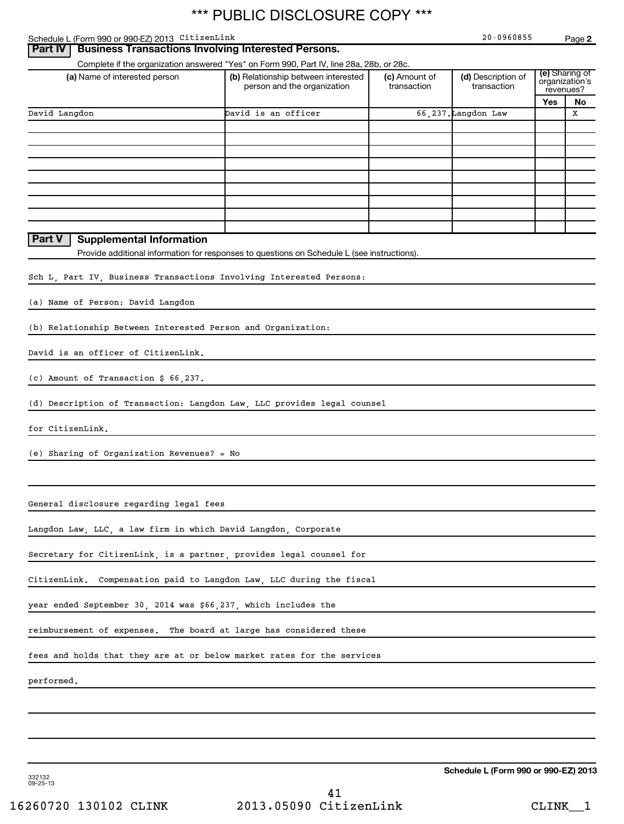| Schedule L (Form 990 or 990-EZ) 2013 CitizenLink                        |                                                                                             |               | 20-0960855          |     | Page 2                           |
|-------------------------------------------------------------------------|---------------------------------------------------------------------------------------------|---------------|---------------------|-----|----------------------------------|
| Part IV                                                                 | <b>Business Transactions Involving Interested Persons.</b>                                  |               |                     |     |                                  |
|                                                                         | Complete if the organization answered "Yes" on Form 990, Part IV, line 28a, 28b, or 28c.    |               |                     |     |                                  |
| (a) Name of interested person                                           | (b) Relationship between interested                                                         | (c) Amount of | (d) Description of  |     | (e) Sharing of<br>organization's |
|                                                                         | person and the organization                                                                 | transaction   | transaction         |     | revenues?                        |
|                                                                         |                                                                                             |               |                     | Yes | No                               |
| David Langdon                                                           | David is an officer                                                                         |               | 66,237. Langdon Law |     | X                                |
|                                                                         |                                                                                             |               |                     |     |                                  |
|                                                                         |                                                                                             |               |                     |     |                                  |
|                                                                         |                                                                                             |               |                     |     |                                  |
|                                                                         |                                                                                             |               |                     |     |                                  |
|                                                                         |                                                                                             |               |                     |     |                                  |
|                                                                         |                                                                                             |               |                     |     |                                  |
|                                                                         |                                                                                             |               |                     |     |                                  |
|                                                                         |                                                                                             |               |                     |     |                                  |
|                                                                         |                                                                                             |               |                     |     |                                  |
|                                                                         |                                                                                             |               |                     |     |                                  |
| <b>Supplemental Information</b><br>Part V                               |                                                                                             |               |                     |     |                                  |
|                                                                         | Provide additional information for responses to questions on Schedule L (see instructions). |               |                     |     |                                  |
|                                                                         |                                                                                             |               |                     |     |                                  |
| Sch L. Part IV. Business Transactions Involving Interested Persons:     |                                                                                             |               |                     |     |                                  |
|                                                                         |                                                                                             |               |                     |     |                                  |
| (a) Name of Person: David Langdon                                       |                                                                                             |               |                     |     |                                  |
|                                                                         |                                                                                             |               |                     |     |                                  |
| (b) Relationship Between Interested Person and Organization:            |                                                                                             |               |                     |     |                                  |
|                                                                         |                                                                                             |               |                     |     |                                  |
| David is an officer of CitizenLink.                                     |                                                                                             |               |                     |     |                                  |
|                                                                         |                                                                                             |               |                     |     |                                  |
|                                                                         |                                                                                             |               |                     |     |                                  |
| (c) Amount of Transaction \$ 66,237.                                    |                                                                                             |               |                     |     |                                  |
|                                                                         |                                                                                             |               |                     |     |                                  |
| (d) Description of Transaction: Langdon Law, LLC provides legal counsel |                                                                                             |               |                     |     |                                  |
|                                                                         |                                                                                             |               |                     |     |                                  |
| for CitizenLink.                                                        |                                                                                             |               |                     |     |                                  |
|                                                                         |                                                                                             |               |                     |     |                                  |
| (e) Sharing of Organization Revenues? = No                              |                                                                                             |               |                     |     |                                  |
|                                                                         |                                                                                             |               |                     |     |                                  |
|                                                                         |                                                                                             |               |                     |     |                                  |
|                                                                         |                                                                                             |               |                     |     |                                  |
| General disclosure regarding legal fees                                 |                                                                                             |               |                     |     |                                  |
|                                                                         |                                                                                             |               |                     |     |                                  |
| Langdon Law, LLC, a law firm in which David Langdon, Corporate          |                                                                                             |               |                     |     |                                  |
|                                                                         |                                                                                             |               |                     |     |                                  |
| Secretary for CitizenLink, is a partner, provides legal counsel for     |                                                                                             |               |                     |     |                                  |
|                                                                         |                                                                                             |               |                     |     |                                  |
|                                                                         |                                                                                             |               |                     |     |                                  |
| CitizenLink.                                                            | Compensation paid to Langdon Law, LLC during the fiscal                                     |               |                     |     |                                  |
|                                                                         |                                                                                             |               |                     |     |                                  |
| year ended September 30, 2014 was \$66,237, which includes the          |                                                                                             |               |                     |     |                                  |
|                                                                         |                                                                                             |               |                     |     |                                  |
| reimbursement of expenses. The board at large has considered these      |                                                                                             |               |                     |     |                                  |
|                                                                         |                                                                                             |               |                     |     |                                  |
| fees and holds that they are at or below market rates for the services  |                                                                                             |               |                     |     |                                  |
|                                                                         |                                                                                             |               |                     |     |                                  |
| performed.                                                              |                                                                                             |               |                     |     |                                  |
|                                                                         |                                                                                             |               |                     |     |                                  |
|                                                                         |                                                                                             |               |                     |     |                                  |
|                                                                         |                                                                                             |               |                     |     |                                  |
|                                                                         |                                                                                             |               |                     |     |                                  |
|                                                                         |                                                                                             |               |                     |     |                                  |
|                                                                         |                                                                                             |               |                     |     |                                  |

332132 09-25-13

**Schedule L (Form 990 or 990-EZ) 2013**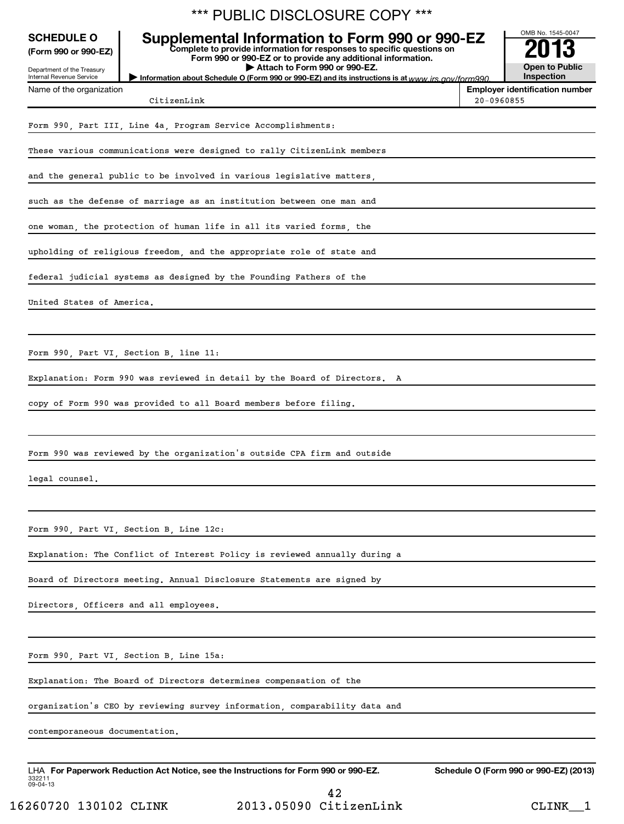|                                                                                                     | *** PUBLIC DISCLOSURE COPY ***                                                                                                                                                                                                                                                                                                |            |                                                                 |
|-----------------------------------------------------------------------------------------------------|-------------------------------------------------------------------------------------------------------------------------------------------------------------------------------------------------------------------------------------------------------------------------------------------------------------------------------|------------|-----------------------------------------------------------------|
| <b>SCHEDULE O</b><br>(Form 990 or 990-EZ)<br>Department of the Treasury<br>Internal Revenue Service | Supplemental Information to Form 990 or 990-EZ<br>Complete to provide information for responses to specific questions on<br>Form 990 or 990-EZ or to provide any additional information.<br>Attach to Form 990 or 990-EZ.<br>Information about Schedule O (Form 990 or 990-EZ) and its instructions is at www irs gov/form990 |            | OMB No. 1545-0047<br><b>Open to Public</b><br><b>Inspection</b> |
| Name of the organization                                                                            | CitizenLink                                                                                                                                                                                                                                                                                                                   | 20-0960855 | <b>Employer identification number</b>                           |
|                                                                                                     | Form 990, Part III, Line 4a, Program Service Accomplishments:                                                                                                                                                                                                                                                                 |            |                                                                 |
|                                                                                                     | These various communications were designed to rally CitizenLink members                                                                                                                                                                                                                                                       |            |                                                                 |
|                                                                                                     | and the general public to be involved in various legislative matters,                                                                                                                                                                                                                                                         |            |                                                                 |
|                                                                                                     | such as the defense of marriage as an institution between one man and                                                                                                                                                                                                                                                         |            |                                                                 |
|                                                                                                     | one woman, the protection of human life in all its varied forms, the                                                                                                                                                                                                                                                          |            |                                                                 |
|                                                                                                     | upholding of religious freedom, and the appropriate role of state and                                                                                                                                                                                                                                                         |            |                                                                 |
|                                                                                                     | federal judicial systems as designed by the Founding Fathers of the                                                                                                                                                                                                                                                           |            |                                                                 |
| United States of America.                                                                           |                                                                                                                                                                                                                                                                                                                               |            |                                                                 |
|                                                                                                     |                                                                                                                                                                                                                                                                                                                               |            |                                                                 |
|                                                                                                     | Form 990, Part VI, Section B, line 11:                                                                                                                                                                                                                                                                                        |            |                                                                 |
|                                                                                                     | Explanation: Form 990 was reviewed in detail by the Board of Directors. A                                                                                                                                                                                                                                                     |            |                                                                 |
|                                                                                                     | copy of Form 990 was provided to all Board members before filing.                                                                                                                                                                                                                                                             |            |                                                                 |
|                                                                                                     |                                                                                                                                                                                                                                                                                                                               |            |                                                                 |
|                                                                                                     | Form 990 was reviewed by the organization's outside CPA firm and outside                                                                                                                                                                                                                                                      |            |                                                                 |
| legal counsel,                                                                                      |                                                                                                                                                                                                                                                                                                                               |            |                                                                 |
|                                                                                                     |                                                                                                                                                                                                                                                                                                                               |            |                                                                 |
|                                                                                                     | Form 990, Part VI, Section B, Line 12c:                                                                                                                                                                                                                                                                                       |            |                                                                 |
|                                                                                                     | Explanation: The Conflict of Interest Policy is reviewed annually during a                                                                                                                                                                                                                                                    |            |                                                                 |
|                                                                                                     | Board of Directors meeting. Annual Disclosure Statements are signed by                                                                                                                                                                                                                                                        |            |                                                                 |
|                                                                                                     | Directors, Officers and all employees.                                                                                                                                                                                                                                                                                        |            |                                                                 |
|                                                                                                     |                                                                                                                                                                                                                                                                                                                               |            |                                                                 |
|                                                                                                     | Form 990, Part VI, Section B, Line 15a:                                                                                                                                                                                                                                                                                       |            |                                                                 |
|                                                                                                     | Explanation: The Board of Directors determines compensation of the                                                                                                                                                                                                                                                            |            |                                                                 |
|                                                                                                     | organization's CEO by reviewing survey information, comparability data and                                                                                                                                                                                                                                                    |            |                                                                 |
| contemporaneous documentation.                                                                      |                                                                                                                                                                                                                                                                                                                               |            |                                                                 |
| 332211<br>$09 - 04 - 13$                                                                            | LHA For Paperwork Reduction Act Notice, see the Instructions for Form 990 or 990-EZ.                                                                                                                                                                                                                                          |            | Schedule O (Form 990 or 990-EZ) (2013)                          |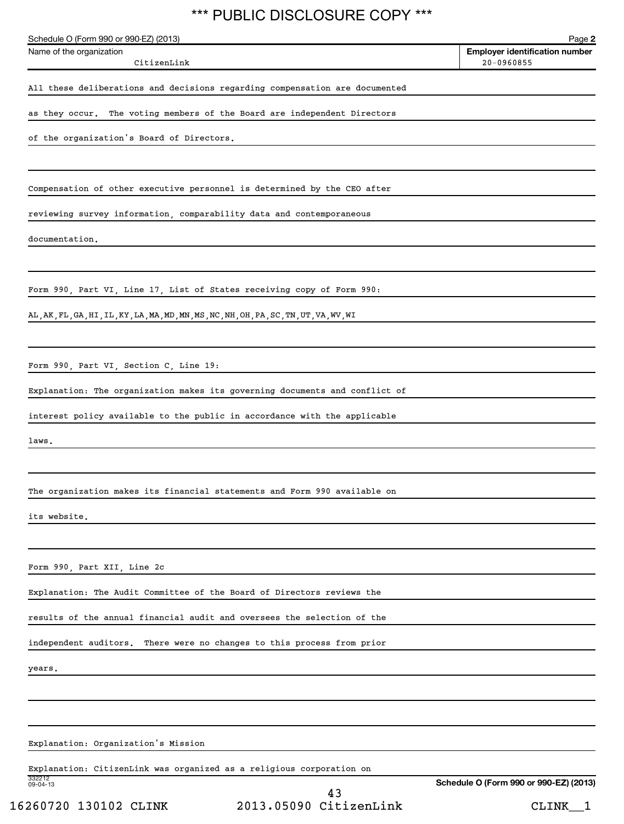| Schedule O (Form 990 or 990-EZ) (2013)<br>Name of the organization                     | Page 2<br>Employer identification number |
|----------------------------------------------------------------------------------------|------------------------------------------|
| CitizenLink                                                                            | $20 - 0960855$                           |
| All these deliberations and decisions regarding compensation are documented            |                                          |
| as they occur. The voting members of the Board are independent Directors               |                                          |
| of the organization's Board of Directors.                                              |                                          |
| Compensation of other executive personnel is determined by the CEO after               |                                          |
| reviewing survey information, comparability data and contemporaneous                   |                                          |
| documentation.                                                                         |                                          |
|                                                                                        |                                          |
| Form 990, Part VI, Line 17, List of States receiving copy of Form 990:                 |                                          |
| AL, AK, FL, GA, HI, IL, KY, LA, MA, MD, MN, MS, NC, NH, OH, PA, SC, TN, UT, VA, WV, WI |                                          |
| Form 990, Part VI, Section C, Line 19:                                                 |                                          |
| Explanation: The organization makes its governing documents and conflict of            |                                          |
| interest policy available to the public in accordance with the applicable              |                                          |
| laws.                                                                                  |                                          |
| The organization makes its financial statements and Form 990 available on              |                                          |
| its website.                                                                           |                                          |
|                                                                                        |                                          |
| Form 990, Part XII, Line 2c                                                            |                                          |
| Explanation: The Audit Committee of the Board of Directors reviews the                 |                                          |
| results of the annual financial audit and oversees the selection of the                |                                          |
| independent auditors. There were no changes to this process from prior                 |                                          |
| years.                                                                                 |                                          |
|                                                                                        |                                          |
| Explanation: Organization's Mission                                                    |                                          |
| Explanation: CitizenLink was organized as a religious corporation on                   |                                          |
| 332212<br>09-04-13<br>43<br>2013.05090 CitizenLink<br>16260720 130102 CLINK            | Schedule O (Form 990 or 990-EZ) (2013)   |
|                                                                                        | CLINK <sub>1</sub>                       |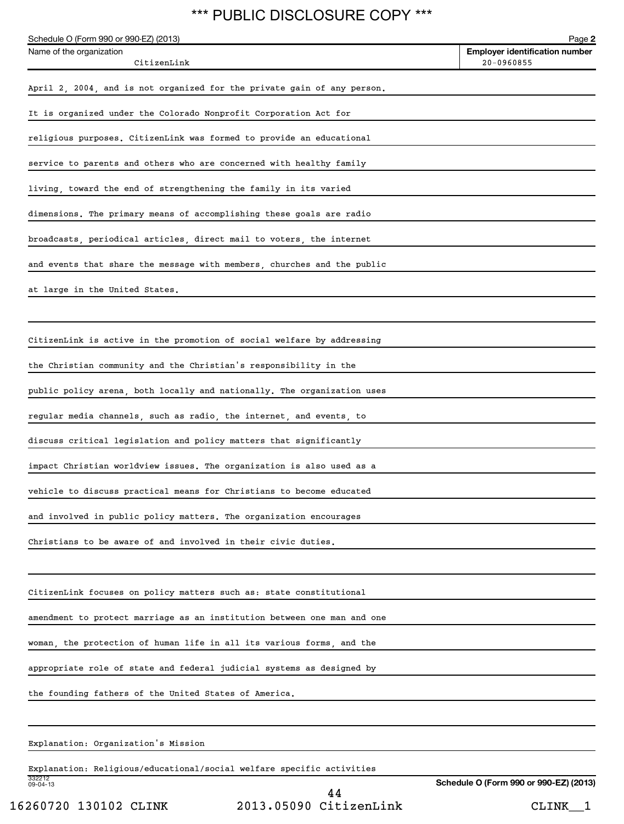| Schedule O (Form 990 or 990-EZ) (2013)                                  | Page 2                                              |
|-------------------------------------------------------------------------|-----------------------------------------------------|
| Name of the organization<br>CitizenLink                                 | <b>Employer identification number</b><br>20-0960855 |
|                                                                         |                                                     |
| April 2, 2004, and is not organized for the private gain of any person. |                                                     |
| It is organized under the Colorado Nonprofit Corporation Act for        |                                                     |
| religious purposes. CitizenLink was formed to provide an educational    |                                                     |
| service to parents and others who are concerned with healthy family     |                                                     |
| living, toward the end of strengthening the family in its varied        |                                                     |
| dimensions. The primary means of accomplishing these goals are radio    |                                                     |
| broadcasts, periodical articles, direct mail to voters, the internet    |                                                     |
| and events that share the message with members, churches and the public |                                                     |
| at large in the United States.                                          |                                                     |
|                                                                         |                                                     |
| CitizenLink is active in the promotion of social welfare by addressing  |                                                     |
| the Christian community and the Christian's responsibility in the       |                                                     |
|                                                                         |                                                     |
| public policy arena, both locally and nationally. The organization uses |                                                     |
| regular media channels, such as radio, the internet, and events, to     |                                                     |
| discuss critical legislation and policy matters that significantly      |                                                     |
| impact Christian worldview issues. The organization is also used as a   |                                                     |
| vehicle to discuss practical means for Christians to become educated    |                                                     |
| and involved in public policy matters. The organization encourages      |                                                     |
| Christians to be aware of and involved in their civic duties.           |                                                     |
|                                                                         |                                                     |
| CitizenLink focuses on policy matters such as: state constitutional     |                                                     |
| amendment to protect marriage as an institution between one man and one |                                                     |
| woman, the protection of human life in all its various forms, and the   |                                                     |
| appropriate role of state and federal judicial systems as designed by   |                                                     |
| the founding fathers of the United States of America.                   |                                                     |
|                                                                         |                                                     |
| Explanation: Organization's Mission                                     |                                                     |
| Explanation: Religious/educational/social welfare specific activities   |                                                     |

332212 09-04-13

16260720 130102 CLINK 2013.05090 CitizenLink CLINK\_\_1 44

**Schedule O (Form 990 or 990-EZ) (2013)**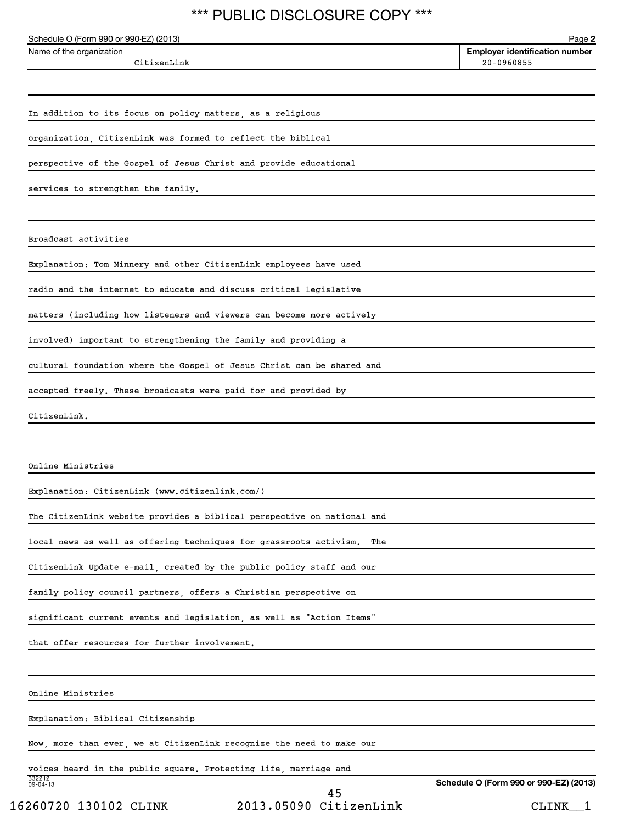| Schedule O (Form 990 or 990-EZ) (2013)                                    | Page 2                                                  |
|---------------------------------------------------------------------------|---------------------------------------------------------|
| Name of the organization<br>CitizenLink                                   | <b>Employer identification number</b><br>$20 - 0960855$ |
|                                                                           |                                                         |
| In addition to its focus on policy matters, as a religious                |                                                         |
| organization, CitizenLink was formed to reflect the biblical              |                                                         |
| perspective of the Gospel of Jesus Christ and provide educational         |                                                         |
| services to strengthen the family.                                        |                                                         |
|                                                                           |                                                         |
| Broadcast activities                                                      |                                                         |
| Explanation: Tom Minnery and other CitizenLink employees have used        |                                                         |
| radio and the internet to educate and discuss critical legislative        |                                                         |
| matters (including how listeners and viewers can become more actively     |                                                         |
| involved) important to strengthening the family and providing a           |                                                         |
| cultural foundation where the Gospel of Jesus Christ can be shared and    |                                                         |
| accepted freely. These broadcasts were paid for and provided by           |                                                         |
| CitizenLink.                                                              |                                                         |
|                                                                           |                                                         |
| Online Ministries                                                         |                                                         |
| Explanation: CitizenLink (www.citizenlink.com/)                           |                                                         |
| The CitizenLink website provides a biblical perspective on national and   |                                                         |
| local news as well as offering techniques for grassroots activism.<br>The |                                                         |
| CitizenLink Update e-mail, created by the public policy staff and our     |                                                         |
| family policy council partners, offers a Christian perspective on         |                                                         |
| significant current events and legislation, as well as "Action Items"     |                                                         |
| that offer resources for further involvement.                             |                                                         |
|                                                                           |                                                         |
| Online Ministries                                                         |                                                         |
| Explanation: Biblical Citizenship                                         |                                                         |
| Now, more than ever, we at CitizenLink recognize the need to make our     |                                                         |
| voices heard in the public square. Protecting life, marriage and          |                                                         |
| 332212<br>09-04-13<br>45                                                  | Schedule O (Form 990 or 990-EZ) (2013)                  |

16260720 130102 CLINK 2013.05090 CitizenLink CLINK\_\_1 45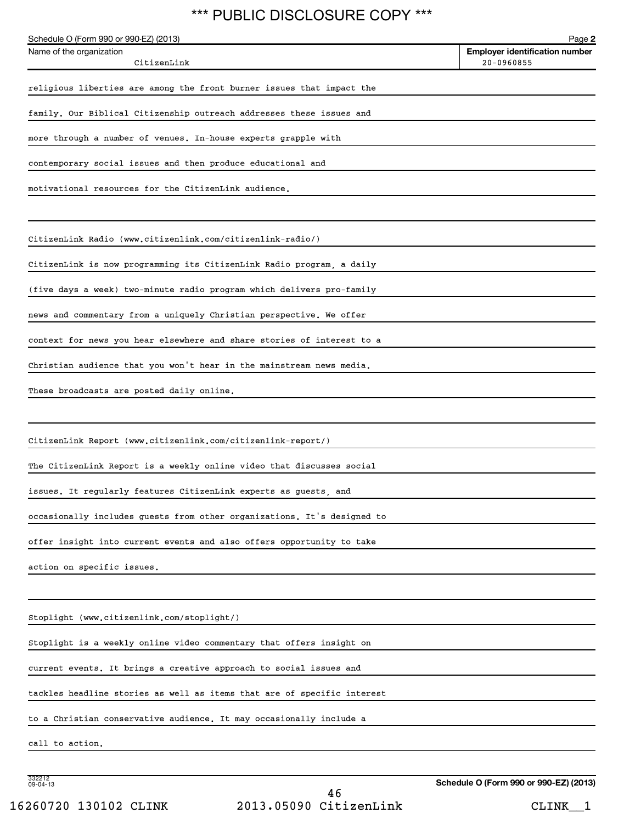| Schedule O (Form 990 or 990-EZ) (2013)<br>Name of the organization      | Page 2<br><b>Employer identification number</b> |
|-------------------------------------------------------------------------|-------------------------------------------------|
| CitizenLink                                                             | 20-0960855                                      |
| religious liberties are among the front burner issues that impact the   |                                                 |
| family. Our Biblical Citizenship outreach addresses these issues and    |                                                 |
| more through a number of venues. In-house experts grapple with          |                                                 |
| contemporary social issues and then produce educational and             |                                                 |
| motivational resources for the CitizenLink audience.                    |                                                 |
| CitizenLink Radio (www.citizenlink.com/citizenlink-radio/)              |                                                 |
| CitizenLink is now programming its CitizenLink Radio program, a daily   |                                                 |
| (five days a week) two-minute radio program which delivers pro-family   |                                                 |
| news and commentary from a uniquely Christian perspective. We offer     |                                                 |
| context for news you hear elsewhere and share stories of interest to a  |                                                 |
| Christian audience that you won't hear in the mainstream news media.    |                                                 |
| These broadcasts are posted daily online.                               |                                                 |
| CitizenLink Report (www.citizenlink.com/citizenlink-report/)            |                                                 |
| The CitizenLink Report is a weekly online video that discusses social   |                                                 |
| issues. It regularly features CitizenLink experts as guests, and        |                                                 |
| occasionally includes guests from other organizations. It's designed to |                                                 |
| offer insight into current events and also offers opportunity to take   |                                                 |
| action on specific issues.                                              |                                                 |
|                                                                         |                                                 |
| Stoplight (www.citizenlink.com/stoplight/)                              |                                                 |
| Stoplight is a weekly online video commentary that offers insight on    |                                                 |
| current events. It brings a creative approach to social issues and      |                                                 |
| tackles headline stories as well as items that are of specific interest |                                                 |
| to a Christian conservative audience. It may occasionally include a     |                                                 |
| call to action.                                                         |                                                 |
| 332212<br>09-04-13                                                      |                                                 |
|                                                                         | Schedule O (Form 990 or 990-EZ) (2013)          |

**Schedule O (Form 990 or 990-EZ) (2013)**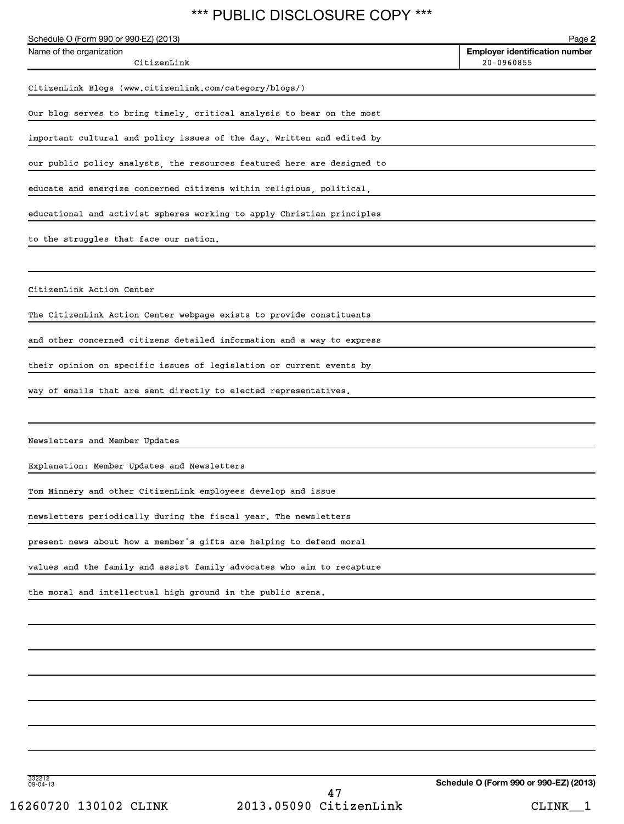| レッションしつ<br>◡ ◡                                                          |                                                 |
|-------------------------------------------------------------------------|-------------------------------------------------|
| Schedule O (Form 990 or 990-EZ) (2013)<br>Name of the organization      | Page 2<br><b>Employer identification number</b> |
| CitizenLink                                                             | $20 - 0960855$                                  |
| CitizenLink Blogs (www.citizenlink.com/category/blogs/)                 |                                                 |
| Our blog serves to bring timely, critical analysis to bear on the most  |                                                 |
| important cultural and policy issues of the day. Written and edited by  |                                                 |
| our public policy analysts, the resources featured here are designed to |                                                 |
| educate and energize concerned citizens within religious, political,    |                                                 |
| educational and activist spheres working to apply Christian principles  |                                                 |
| to the struggles that face our nation.                                  |                                                 |
|                                                                         |                                                 |
| CitizenLink Action Center                                               |                                                 |
| The CitizenLink Action Center webpage exists to provide constituents    |                                                 |
| and other concerned citizens detailed information and a way to express  |                                                 |
| their opinion on specific issues of legislation or current events by    |                                                 |
| way of emails that are sent directly to elected representatives.        |                                                 |
|                                                                         |                                                 |
| Newsletters and Member Updates                                          |                                                 |
| Explanation: Member Updates and Newsletters                             |                                                 |
| Tom Minnery and other CitizenLink employees develop and issue           |                                                 |
| newsletters periodically during the fiscal year. The newsletters        |                                                 |
| present news about how a member's gifts are helping to defend moral     |                                                 |
| values and the family and assist family advocates who aim to recapture  |                                                 |
| the moral and intellectual high ground in the public arena.             |                                                 |
|                                                                         |                                                 |
|                                                                         |                                                 |
|                                                                         |                                                 |
|                                                                         |                                                 |
|                                                                         |                                                 |
|                                                                         |                                                 |
|                                                                         |                                                 |
| 332212<br>09-04-13                                                      | Schedule O (Form 990 or 990-EZ) (2013)          |

**Schedule O (Form 990 or 990-EZ) (2013)**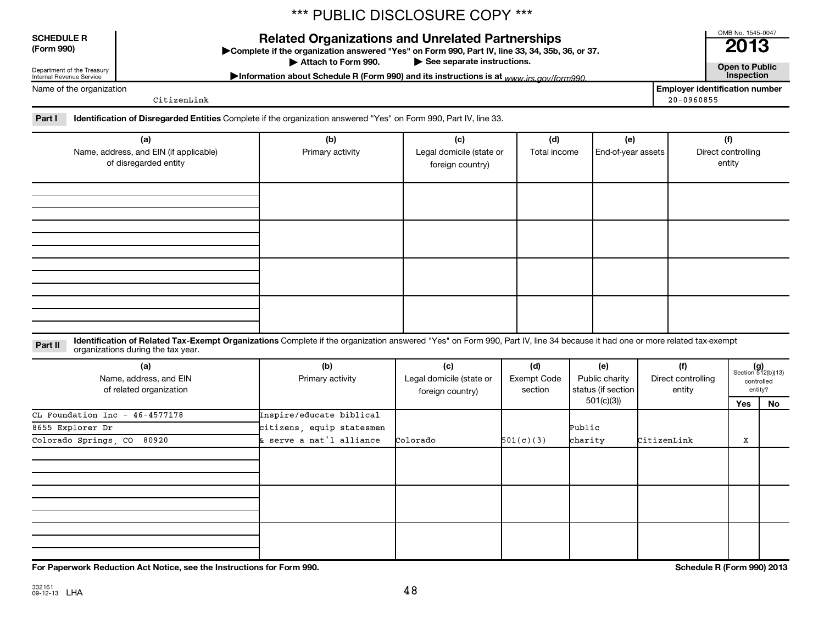### **SCHEDULE R**

Department of the Treasury Internal Revenue Service

Name of the organization

**(Form 990) Complete if the organizations and Unrelated Partnerships**<br> **Related Organization answered "Yes" on Form 990, Part IV, line 33, 34, 35b, 36, or 37.**<br>
■ 2013

Attach to Form 990.

▶ See separate instructions.<br>
nd its instructions is at *www.irs.gov/form*990. **Morto 2008** Information about Schedule R (Form 990) and its instructions is at www.irs.gov/form990.

OMB No. 1545-0047

**Employer identification number** CitizenLink 20-0960855

Part I lentification of Disregarded Entities Complete if the organization answered "Yes" on Form 990, Part IV, line 33.

| (a)<br>Name, address, and EIN (if applicable)<br>of disregarded entity | (b)<br>Primary activity | (c)<br>Legal domicile (state or<br>foreign country) | (d)<br>Total income | (e)<br>End-of-year assets | (f)<br>Direct controlling<br>entity |
|------------------------------------------------------------------------|-------------------------|-----------------------------------------------------|---------------------|---------------------------|-------------------------------------|
|                                                                        |                         |                                                     |                     |                           |                                     |
|                                                                        |                         |                                                     |                     |                           |                                     |
|                                                                        |                         |                                                     |                     |                           |                                     |
|                                                                        |                         |                                                     |                     |                           |                                     |

Part II ldentification of Related Tax-Exempt Organizations Complete if the organization answered "Yes" on Form 990, Part IV, line 34 because it had one or more related tax-exempt<br>Complete it is a seminary way were presente organizations during the tax year.

| (a)<br>Name, address, and EIN<br>of related organization | (b)<br>Primary activity   | (c)<br>Legal domicile (state or<br>foreign country) | (d)<br>Exempt Code<br>section | (e)<br>Public charity<br>status (if section | (f)<br>Direct controlling<br>entity |     | $(g)$<br>Section 512(b)(13)<br>controlled<br>entity? |
|----------------------------------------------------------|---------------------------|-----------------------------------------------------|-------------------------------|---------------------------------------------|-------------------------------------|-----|------------------------------------------------------|
|                                                          |                           |                                                     |                               | 501(c)(3))                                  |                                     | Yes | No                                                   |
| CL Foundation Inc - $46-4577178$                         | Inspire/educate biblical  |                                                     |                               |                                             |                                     |     |                                                      |
| 8655 Explorer Dr                                         | citizens, equip statesmen |                                                     |                               | Public                                      |                                     |     |                                                      |
| Colorado Springs, CO<br>80920                            | & serve a nat'l alliance  | Colorado                                            | 501(c)(3)                     | charity                                     | CitizenLink                         | x   |                                                      |
|                                                          |                           |                                                     |                               |                                             |                                     |     |                                                      |
|                                                          |                           |                                                     |                               |                                             |                                     |     |                                                      |
|                                                          |                           |                                                     |                               |                                             |                                     |     |                                                      |

**For Paperwork Reduction Act Notice, see the Instructions for Form 990. Schedule R (Form 990) 2013**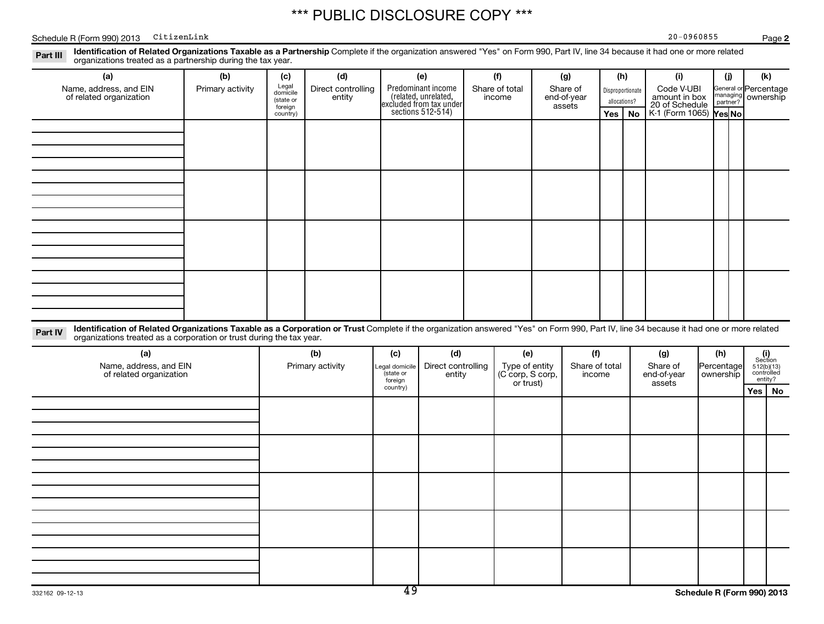Schedule R (Form 990) 2013 CitizenLink Page Page Page 20-0960855

**2**

Part III Identification of Related Organizations Taxable as a Partnership Complete if the organization answered "Yes" on Form 990, Part IV, line 34 because it had one or more related<br>Read to consistions tracted as a partne organizations treated as a partnership during the tax year.

|         | organizations treated as a partnership during the tax year.                                                                                                                                                                                                    |                  |                                           |                              |                                                                                            |                              |                                                 |                                   |                          |                                  |     |                                               |                         |                      |                                     |  |
|---------|----------------------------------------------------------------------------------------------------------------------------------------------------------------------------------------------------------------------------------------------------------------|------------------|-------------------------------------------|------------------------------|--------------------------------------------------------------------------------------------|------------------------------|-------------------------------------------------|-----------------------------------|--------------------------|----------------------------------|-----|-----------------------------------------------|-------------------------|----------------------|-------------------------------------|--|
|         | (a)                                                                                                                                                                                                                                                            | (b)              | (c)                                       | (d)                          |                                                                                            | (e)                          | (f)                                             |                                   | (g)                      |                                  | (h) | (i)                                           |                         | (i)                  | (k)                                 |  |
|         | Name, address, and EIN<br>of related organization                                                                                                                                                                                                              | Primary activity | Legal<br>domicile<br>(state or<br>foreign | Direct controlling<br>entity | Predominant income<br>(related, unrelated,<br>excluded from tax under<br>sections 512-514) |                              | Share of total<br>income                        | Share of<br>end-of-year<br>assets |                          | Disproportionate<br>allocations? |     | Code V-UBI<br>amount in box<br>20 of Schedule |                         | managing<br>partner? | General or Percentage<br>ownership  |  |
|         |                                                                                                                                                                                                                                                                |                  | country)                                  |                              |                                                                                            |                              |                                                 |                                   |                          | Yes                              | No  | K-1 (Form 1065)   Yes No                      |                         |                      |                                     |  |
|         |                                                                                                                                                                                                                                                                |                  |                                           |                              |                                                                                            |                              |                                                 |                                   |                          |                                  |     |                                               |                         |                      |                                     |  |
|         |                                                                                                                                                                                                                                                                |                  |                                           |                              |                                                                                            |                              |                                                 |                                   |                          |                                  |     |                                               |                         |                      |                                     |  |
|         |                                                                                                                                                                                                                                                                |                  |                                           |                              |                                                                                            |                              |                                                 |                                   |                          |                                  |     |                                               |                         |                      |                                     |  |
|         |                                                                                                                                                                                                                                                                |                  |                                           |                              |                                                                                            |                              |                                                 |                                   |                          |                                  |     |                                               |                         |                      |                                     |  |
|         |                                                                                                                                                                                                                                                                |                  |                                           |                              |                                                                                            |                              |                                                 |                                   |                          |                                  |     |                                               |                         |                      |                                     |  |
|         |                                                                                                                                                                                                                                                                |                  |                                           |                              |                                                                                            |                              |                                                 |                                   |                          |                                  |     |                                               |                         |                      |                                     |  |
|         |                                                                                                                                                                                                                                                                |                  |                                           |                              |                                                                                            |                              |                                                 |                                   |                          |                                  |     |                                               |                         |                      |                                     |  |
|         |                                                                                                                                                                                                                                                                |                  |                                           |                              |                                                                                            |                              |                                                 |                                   |                          |                                  |     |                                               |                         |                      |                                     |  |
|         |                                                                                                                                                                                                                                                                |                  |                                           |                              |                                                                                            |                              |                                                 |                                   |                          |                                  |     |                                               |                         |                      |                                     |  |
|         |                                                                                                                                                                                                                                                                |                  |                                           |                              |                                                                                            |                              |                                                 |                                   |                          |                                  |     |                                               |                         |                      |                                     |  |
|         |                                                                                                                                                                                                                                                                |                  |                                           |                              |                                                                                            |                              |                                                 |                                   |                          |                                  |     |                                               |                         |                      |                                     |  |
|         |                                                                                                                                                                                                                                                                |                  |                                           |                              |                                                                                            |                              |                                                 |                                   |                          |                                  |     |                                               |                         |                      |                                     |  |
|         |                                                                                                                                                                                                                                                                |                  |                                           |                              |                                                                                            |                              |                                                 |                                   |                          |                                  |     |                                               |                         |                      |                                     |  |
|         |                                                                                                                                                                                                                                                                |                  |                                           |                              |                                                                                            |                              |                                                 |                                   |                          |                                  |     |                                               |                         |                      |                                     |  |
|         |                                                                                                                                                                                                                                                                |                  |                                           |                              |                                                                                            |                              |                                                 |                                   |                          |                                  |     |                                               |                         |                      |                                     |  |
| Part IV | Identification of Related Organizations Taxable as a Corporation or Trust Complete if the organization answered "Yes" on Form 990, Part IV, line 34 because it had one or more related<br>organizations treated as a corporation or trust during the tax year. |                  |                                           |                              |                                                                                            |                              |                                                 |                                   |                          |                                  |     |                                               |                         |                      |                                     |  |
|         | (a)                                                                                                                                                                                                                                                            |                  |                                           | (b)                          | (c)                                                                                        | (d)                          | (e)                                             |                                   | (f)                      |                                  |     | (g)                                           | (h)                     |                      | (i)<br>Section                      |  |
|         | Name, address, and EIN<br>of related organization                                                                                                                                                                                                              |                  |                                           | Primary activity             | Legal domicile<br>(state or<br>foreign                                                     | Direct controlling<br>entity | Type of entity<br>(C corp, S corp,<br>or trust) |                                   | Share of total<br>income |                                  |     | Share of<br>end-of-year<br>assets             | Percentage<br>ownership |                      | 512(b)(13)<br>controlled<br>entity? |  |
|         |                                                                                                                                                                                                                                                                |                  |                                           |                              | country)                                                                                   |                              |                                                 |                                   |                          |                                  |     |                                               |                         |                      | Yes   No                            |  |
|         |                                                                                                                                                                                                                                                                |                  |                                           |                              |                                                                                            |                              |                                                 |                                   |                          |                                  |     |                                               |                         |                      |                                     |  |
|         |                                                                                                                                                                                                                                                                |                  |                                           |                              |                                                                                            |                              |                                                 |                                   |                          |                                  |     |                                               |                         |                      |                                     |  |
|         |                                                                                                                                                                                                                                                                |                  |                                           |                              |                                                                                            |                              |                                                 |                                   |                          |                                  |     |                                               |                         |                      |                                     |  |
|         |                                                                                                                                                                                                                                                                |                  |                                           |                              |                                                                                            |                              |                                                 |                                   |                          |                                  |     |                                               |                         |                      |                                     |  |
|         |                                                                                                                                                                                                                                                                |                  |                                           |                              |                                                                                            |                              |                                                 |                                   |                          |                                  |     |                                               |                         |                      |                                     |  |
|         |                                                                                                                                                                                                                                                                |                  |                                           |                              |                                                                                            |                              |                                                 |                                   |                          |                                  |     |                                               |                         |                      |                                     |  |
|         |                                                                                                                                                                                                                                                                |                  |                                           |                              |                                                                                            |                              |                                                 |                                   |                          |                                  |     |                                               |                         |                      |                                     |  |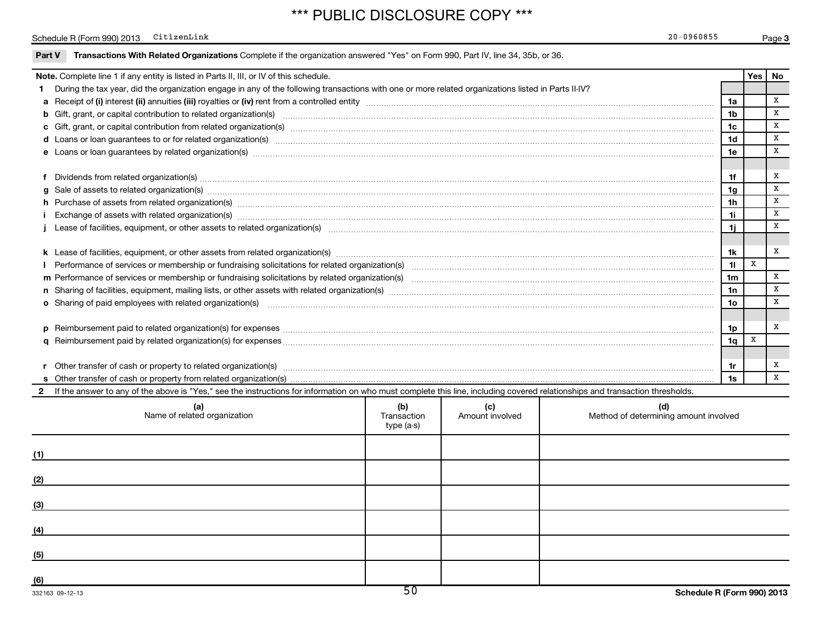### Schedule R (Form 990) 2013 CitizenLink Page Page Page 20-0960855

|     | <b>Note.</b> Complete line 1 if any entity is listed in Parts II, III, or IV of this schedule.                                                                                                                                                                                                                                                                                                                                                                                                                                                                                                                                                                                                                                                                                                                                                                                                                                                                                                                                                                                                                                                                                                                                                                                                                                                                                                                                                                                                                                                                                                                                                                                                                                                                                                                                                                                                                                                                                                        |  |  |  |                | Yes | No           |
|-----|-------------------------------------------------------------------------------------------------------------------------------------------------------------------------------------------------------------------------------------------------------------------------------------------------------------------------------------------------------------------------------------------------------------------------------------------------------------------------------------------------------------------------------------------------------------------------------------------------------------------------------------------------------------------------------------------------------------------------------------------------------------------------------------------------------------------------------------------------------------------------------------------------------------------------------------------------------------------------------------------------------------------------------------------------------------------------------------------------------------------------------------------------------------------------------------------------------------------------------------------------------------------------------------------------------------------------------------------------------------------------------------------------------------------------------------------------------------------------------------------------------------------------------------------------------------------------------------------------------------------------------------------------------------------------------------------------------------------------------------------------------------------------------------------------------------------------------------------------------------------------------------------------------------------------------------------------------------------------------------------------------|--|--|--|----------------|-----|--------------|
|     | During the tax year, did the organization engage in any of the following transactions with one or more related organizations listed in Parts II-IV?                                                                                                                                                                                                                                                                                                                                                                                                                                                                                                                                                                                                                                                                                                                                                                                                                                                                                                                                                                                                                                                                                                                                                                                                                                                                                                                                                                                                                                                                                                                                                                                                                                                                                                                                                                                                                                                   |  |  |  |                |     |              |
|     |                                                                                                                                                                                                                                                                                                                                                                                                                                                                                                                                                                                                                                                                                                                                                                                                                                                                                                                                                                                                                                                                                                                                                                                                                                                                                                                                                                                                                                                                                                                                                                                                                                                                                                                                                                                                                                                                                                                                                                                                       |  |  |  | 1a             |     | X            |
|     |                                                                                                                                                                                                                                                                                                                                                                                                                                                                                                                                                                                                                                                                                                                                                                                                                                                                                                                                                                                                                                                                                                                                                                                                                                                                                                                                                                                                                                                                                                                                                                                                                                                                                                                                                                                                                                                                                                                                                                                                       |  |  |  | 1 <sub>b</sub> |     | x            |
|     |                                                                                                                                                                                                                                                                                                                                                                                                                                                                                                                                                                                                                                                                                                                                                                                                                                                                                                                                                                                                                                                                                                                                                                                                                                                                                                                                                                                                                                                                                                                                                                                                                                                                                                                                                                                                                                                                                                                                                                                                       |  |  |  | 1c             |     | x            |
|     |                                                                                                                                                                                                                                                                                                                                                                                                                                                                                                                                                                                                                                                                                                                                                                                                                                                                                                                                                                                                                                                                                                                                                                                                                                                                                                                                                                                                                                                                                                                                                                                                                                                                                                                                                                                                                                                                                                                                                                                                       |  |  |  | 1d             |     | x            |
|     |                                                                                                                                                                                                                                                                                                                                                                                                                                                                                                                                                                                                                                                                                                                                                                                                                                                                                                                                                                                                                                                                                                                                                                                                                                                                                                                                                                                                                                                                                                                                                                                                                                                                                                                                                                                                                                                                                                                                                                                                       |  |  |  | 1e             |     | x            |
|     |                                                                                                                                                                                                                                                                                                                                                                                                                                                                                                                                                                                                                                                                                                                                                                                                                                                                                                                                                                                                                                                                                                                                                                                                                                                                                                                                                                                                                                                                                                                                                                                                                                                                                                                                                                                                                                                                                                                                                                                                       |  |  |  |                |     |              |
|     |                                                                                                                                                                                                                                                                                                                                                                                                                                                                                                                                                                                                                                                                                                                                                                                                                                                                                                                                                                                                                                                                                                                                                                                                                                                                                                                                                                                                                                                                                                                                                                                                                                                                                                                                                                                                                                                                                                                                                                                                       |  |  |  | 1f             |     | x            |
|     |                                                                                                                                                                                                                                                                                                                                                                                                                                                                                                                                                                                                                                                                                                                                                                                                                                                                                                                                                                                                                                                                                                                                                                                                                                                                                                                                                                                                                                                                                                                                                                                                                                                                                                                                                                                                                                                                                                                                                                                                       |  |  |  | 1q             |     | x            |
|     |                                                                                                                                                                                                                                                                                                                                                                                                                                                                                                                                                                                                                                                                                                                                                                                                                                                                                                                                                                                                                                                                                                                                                                                                                                                                                                                                                                                                                                                                                                                                                                                                                                                                                                                                                                                                                                                                                                                                                                                                       |  |  |  | 1h             |     | x            |
|     |                                                                                                                                                                                                                                                                                                                                                                                                                                                                                                                                                                                                                                                                                                                                                                                                                                                                                                                                                                                                                                                                                                                                                                                                                                                                                                                                                                                                                                                                                                                                                                                                                                                                                                                                                                                                                                                                                                                                                                                                       |  |  |  |                |     |              |
|     |                                                                                                                                                                                                                                                                                                                                                                                                                                                                                                                                                                                                                                                                                                                                                                                                                                                                                                                                                                                                                                                                                                                                                                                                                                                                                                                                                                                                                                                                                                                                                                                                                                                                                                                                                                                                                                                                                                                                                                                                       |  |  |  | 1i.            |     | $\mathbf{x}$ |
|     |                                                                                                                                                                                                                                                                                                                                                                                                                                                                                                                                                                                                                                                                                                                                                                                                                                                                                                                                                                                                                                                                                                                                                                                                                                                                                                                                                                                                                                                                                                                                                                                                                                                                                                                                                                                                                                                                                                                                                                                                       |  |  |  |                |     |              |
|     |                                                                                                                                                                                                                                                                                                                                                                                                                                                                                                                                                                                                                                                                                                                                                                                                                                                                                                                                                                                                                                                                                                                                                                                                                                                                                                                                                                                                                                                                                                                                                                                                                                                                                                                                                                                                                                                                                                                                                                                                       |  |  |  | 1k             |     | x            |
|     |                                                                                                                                                                                                                                                                                                                                                                                                                                                                                                                                                                                                                                                                                                                                                                                                                                                                                                                                                                                                                                                                                                                                                                                                                                                                                                                                                                                                                                                                                                                                                                                                                                                                                                                                                                                                                                                                                                                                                                                                       |  |  |  | 11             | x   |              |
|     |                                                                                                                                                                                                                                                                                                                                                                                                                                                                                                                                                                                                                                                                                                                                                                                                                                                                                                                                                                                                                                                                                                                                                                                                                                                                                                                                                                                                                                                                                                                                                                                                                                                                                                                                                                                                                                                                                                                                                                                                       |  |  |  | 1m             |     | x            |
|     |                                                                                                                                                                                                                                                                                                                                                                                                                                                                                                                                                                                                                                                                                                                                                                                                                                                                                                                                                                                                                                                                                                                                                                                                                                                                                                                                                                                                                                                                                                                                                                                                                                                                                                                                                                                                                                                                                                                                                                                                       |  |  |  | 1n             |     | x            |
|     | d Loans or loan guarantees to or for related organization(s) www.communities.com/www.communities.com/www.communities.com/www.communities.com/www.communities.com/www.communities.com/www.communities.com/www.communities.com/w<br>e Loans or loan guarantees by related organization(s) manufaction contracts and an account of the contract of the contract of the contract of the contract of the contract of the contract of the contract of the contract of<br>Sale of assets to related organization(s) www.assettion.com/www.assettion.com/www.assettion.com/www.assettion.com/www.assettion.com/www.assettion.com/www.assettion.com/www.assettion.com/www.assettion.com/www.assettion.com/<br>h Purchase of assets from related organization(s) manufactured content to content the content of assets from related organization(s) manufactured content to content the content of the content of the content of the content<br>1i<br>Performance of services or membership or fundraising solicitations for related organization(s) manufaction manufactured content and the content of the content of the content of the content of the content of the content of<br>o Sharing of paid employees with related organization(s) manufactured content to the content of the content of the content of the content of the content of the content of the content of the content of the content of the co<br>10<br>1q<br>r Other transfer of cash or property to related organization(s) manufaction contains and contains and contains and contains and contains and contains and contains and contains and contains and contains and contains and con<br>If the answer to any of the above is "Yes," see the instructions for information on who must complete this line, including covered relationships and transaction thresholds.<br>(b)<br>(d)<br>(a)<br>Name of related organization<br>(c)<br>Method of determining amount involved<br>Transaction<br>Amount involved<br>type (a-s)<br>(3) |  |  |  |                |     |              |
|     |                                                                                                                                                                                                                                                                                                                                                                                                                                                                                                                                                                                                                                                                                                                                                                                                                                                                                                                                                                                                                                                                                                                                                                                                                                                                                                                                                                                                                                                                                                                                                                                                                                                                                                                                                                                                                                                                                                                                                                                                       |  |  |  |                |     |              |
|     |                                                                                                                                                                                                                                                                                                                                                                                                                                                                                                                                                                                                                                                                                                                                                                                                                                                                                                                                                                                                                                                                                                                                                                                                                                                                                                                                                                                                                                                                                                                                                                                                                                                                                                                                                                                                                                                                                                                                                                                                       |  |  |  | 1p             |     | x            |
|     |                                                                                                                                                                                                                                                                                                                                                                                                                                                                                                                                                                                                                                                                                                                                                                                                                                                                                                                                                                                                                                                                                                                                                                                                                                                                                                                                                                                                                                                                                                                                                                                                                                                                                                                                                                                                                                                                                                                                                                                                       |  |  |  |                |     |              |
|     |                                                                                                                                                                                                                                                                                                                                                                                                                                                                                                                                                                                                                                                                                                                                                                                                                                                                                                                                                                                                                                                                                                                                                                                                                                                                                                                                                                                                                                                                                                                                                                                                                                                                                                                                                                                                                                                                                                                                                                                                       |  |  |  |                |     |              |
|     |                                                                                                                                                                                                                                                                                                                                                                                                                                                                                                                                                                                                                                                                                                                                                                                                                                                                                                                                                                                                                                                                                                                                                                                                                                                                                                                                                                                                                                                                                                                                                                                                                                                                                                                                                                                                                                                                                                                                                                                                       |  |  |  | 1r             |     | X            |
|     |                                                                                                                                                                                                                                                                                                                                                                                                                                                                                                                                                                                                                                                                                                                                                                                                                                                                                                                                                                                                                                                                                                                                                                                                                                                                                                                                                                                                                                                                                                                                                                                                                                                                                                                                                                                                                                                                                                                                                                                                       |  |  |  | 1s             |     | $\mathbf{x}$ |
|     |                                                                                                                                                                                                                                                                                                                                                                                                                                                                                                                                                                                                                                                                                                                                                                                                                                                                                                                                                                                                                                                                                                                                                                                                                                                                                                                                                                                                                                                                                                                                                                                                                                                                                                                                                                                                                                                                                                                                                                                                       |  |  |  |                |     |              |
|     |                                                                                                                                                                                                                                                                                                                                                                                                                                                                                                                                                                                                                                                                                                                                                                                                                                                                                                                                                                                                                                                                                                                                                                                                                                                                                                                                                                                                                                                                                                                                                                                                                                                                                                                                                                                                                                                                                                                                                                                                       |  |  |  |                |     |              |
|     |                                                                                                                                                                                                                                                                                                                                                                                                                                                                                                                                                                                                                                                                                                                                                                                                                                                                                                                                                                                                                                                                                                                                                                                                                                                                                                                                                                                                                                                                                                                                                                                                                                                                                                                                                                                                                                                                                                                                                                                                       |  |  |  |                |     |              |
| (1) |                                                                                                                                                                                                                                                                                                                                                                                                                                                                                                                                                                                                                                                                                                                                                                                                                                                                                                                                                                                                                                                                                                                                                                                                                                                                                                                                                                                                                                                                                                                                                                                                                                                                                                                                                                                                                                                                                                                                                                                                       |  |  |  |                |     |              |
|     |                                                                                                                                                                                                                                                                                                                                                                                                                                                                                                                                                                                                                                                                                                                                                                                                                                                                                                                                                                                                                                                                                                                                                                                                                                                                                                                                                                                                                                                                                                                                                                                                                                                                                                                                                                                                                                                                                                                                                                                                       |  |  |  |                |     |              |
| (2) |                                                                                                                                                                                                                                                                                                                                                                                                                                                                                                                                                                                                                                                                                                                                                                                                                                                                                                                                                                                                                                                                                                                                                                                                                                                                                                                                                                                                                                                                                                                                                                                                                                                                                                                                                                                                                                                                                                                                                                                                       |  |  |  |                |     |              |
|     |                                                                                                                                                                                                                                                                                                                                                                                                                                                                                                                                                                                                                                                                                                                                                                                                                                                                                                                                                                                                                                                                                                                                                                                                                                                                                                                                                                                                                                                                                                                                                                                                                                                                                                                                                                                                                                                                                                                                                                                                       |  |  |  |                |     |              |
|     |                                                                                                                                                                                                                                                                                                                                                                                                                                                                                                                                                                                                                                                                                                                                                                                                                                                                                                                                                                                                                                                                                                                                                                                                                                                                                                                                                                                                                                                                                                                                                                                                                                                                                                                                                                                                                                                                                                                                                                                                       |  |  |  |                |     |              |
|     |                                                                                                                                                                                                                                                                                                                                                                                                                                                                                                                                                                                                                                                                                                                                                                                                                                                                                                                                                                                                                                                                                                                                                                                                                                                                                                                                                                                                                                                                                                                                                                                                                                                                                                                                                                                                                                                                                                                                                                                                       |  |  |  |                |     |              |
| (4) |                                                                                                                                                                                                                                                                                                                                                                                                                                                                                                                                                                                                                                                                                                                                                                                                                                                                                                                                                                                                                                                                                                                                                                                                                                                                                                                                                                                                                                                                                                                                                                                                                                                                                                                                                                                                                                                                                                                                                                                                       |  |  |  |                |     |              |
|     |                                                                                                                                                                                                                                                                                                                                                                                                                                                                                                                                                                                                                                                                                                                                                                                                                                                                                                                                                                                                                                                                                                                                                                                                                                                                                                                                                                                                                                                                                                                                                                                                                                                                                                                                                                                                                                                                                                                                                                                                       |  |  |  |                |     |              |
| (5) |                                                                                                                                                                                                                                                                                                                                                                                                                                                                                                                                                                                                                                                                                                                                                                                                                                                                                                                                                                                                                                                                                                                                                                                                                                                                                                                                                                                                                                                                                                                                                                                                                                                                                                                                                                                                                                                                                                                                                                                                       |  |  |  |                |     |              |
|     |                                                                                                                                                                                                                                                                                                                                                                                                                                                                                                                                                                                                                                                                                                                                                                                                                                                                                                                                                                                                                                                                                                                                                                                                                                                                                                                                                                                                                                                                                                                                                                                                                                                                                                                                                                                                                                                                                                                                                                                                       |  |  |  |                |     |              |
| (6) |                                                                                                                                                                                                                                                                                                                                                                                                                                                                                                                                                                                                                                                                                                                                                                                                                                                                                                                                                                                                                                                                                                                                                                                                                                                                                                                                                                                                                                                                                                                                                                                                                                                                                                                                                                                                                                                                                                                                                                                                       |  |  |  |                |     |              |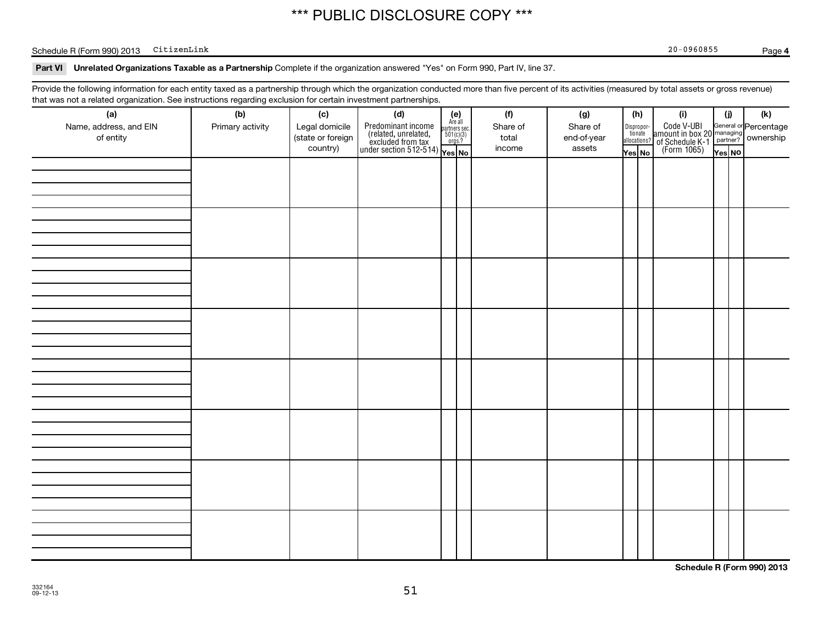### Schedule R (Form 990) 2013 CitizenLink Page Page Page 20-0960855

**4**

### Part VI Unrelated Organizations Taxable as a Partnership Complete if the organization answered "Yes" on Form 990, Part IV, line 37.

Provide the following information for each entity taxed as a partnership through which the organization conducted more than five percent of its activities (measured by total assets or gross revenue) that was not a related organization. See instructions regarding exclusion for certain investment partnerships.

| (a)<br>Name, address, and EIN<br>of entity | ັ<br>ັ<br>(b)<br>Primary activity | (c)<br>Legal domicile<br>(state or foreign<br>country) | (d)<br>Predominant income<br>(related, unrelated, and failed)<br>excluded from tax<br>under section 512-514)<br>$\sqrt{100}$<br>$\sqrt{100}$<br>$\sqrt{100}$<br>$\sqrt{100}$<br>$\sqrt{100}$<br>$\sqrt{100}$ | $(e)$<br>Are all | (f)<br>Share of<br>total<br>income | (g)<br>Share of<br>end-of-year<br>assets | (h)<br>Dispropor-<br>tionate<br>allocations? | Yes No | (i)<br>Code V-UBI<br>amount in box 20<br>of Schedule K-1<br>(Form 1065) | (i)<br>Yes NO | $(\mathsf{k})$<br>General or Percentage<br>managing ownership |
|--------------------------------------------|-----------------------------------|--------------------------------------------------------|--------------------------------------------------------------------------------------------------------------------------------------------------------------------------------------------------------------|------------------|------------------------------------|------------------------------------------|----------------------------------------------|--------|-------------------------------------------------------------------------|---------------|---------------------------------------------------------------|
|                                            |                                   |                                                        |                                                                                                                                                                                                              |                  |                                    |                                          |                                              |        |                                                                         |               |                                                               |
|                                            |                                   |                                                        |                                                                                                                                                                                                              |                  |                                    |                                          |                                              |        |                                                                         |               |                                                               |
|                                            |                                   |                                                        |                                                                                                                                                                                                              |                  |                                    |                                          |                                              |        |                                                                         |               |                                                               |
|                                            |                                   |                                                        |                                                                                                                                                                                                              |                  |                                    |                                          |                                              |        |                                                                         |               |                                                               |
|                                            |                                   |                                                        |                                                                                                                                                                                                              |                  |                                    |                                          |                                              |        |                                                                         |               |                                                               |
|                                            |                                   |                                                        |                                                                                                                                                                                                              |                  |                                    |                                          |                                              |        |                                                                         |               |                                                               |
|                                            |                                   |                                                        |                                                                                                                                                                                                              |                  |                                    |                                          |                                              |        |                                                                         |               |                                                               |
|                                            |                                   |                                                        |                                                                                                                                                                                                              |                  |                                    |                                          |                                              |        |                                                                         |               |                                                               |

**Schedule R (Form 990) 2013**